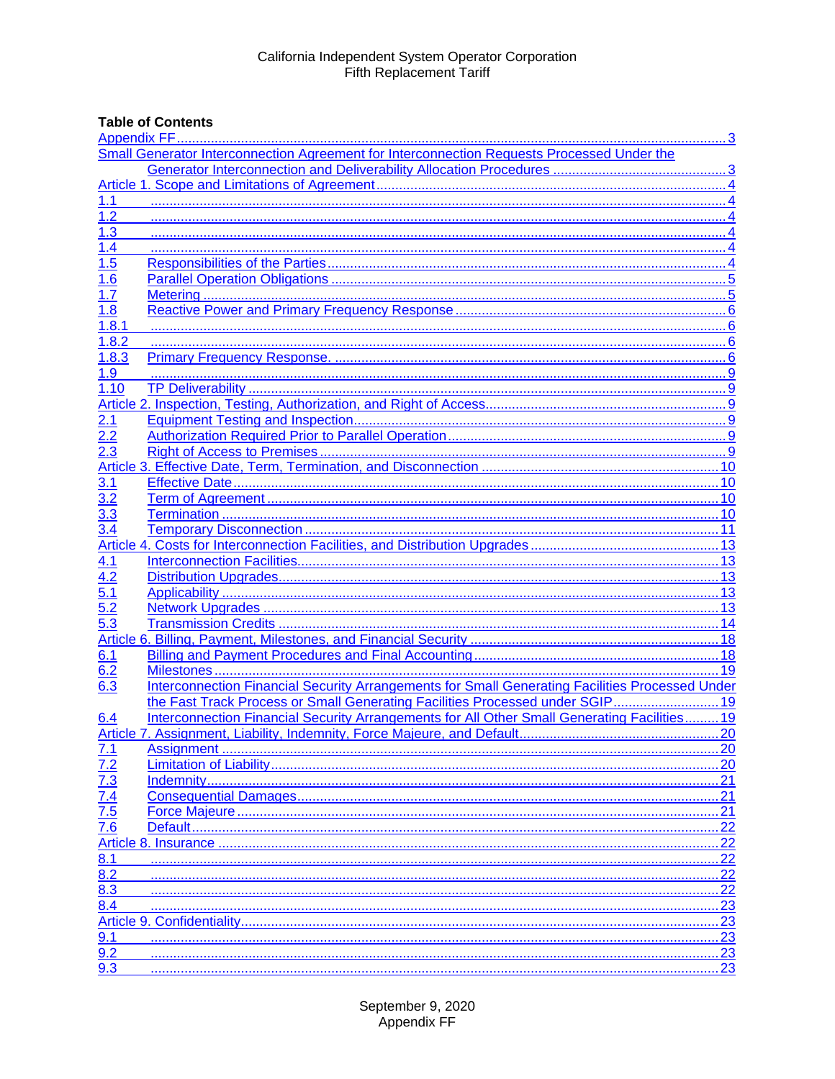# **Table of Contents**

|                                                             | Small Generator Interconnection Agreement for Interconnection Requests Processed Under the      |      |  |  |
|-------------------------------------------------------------|-------------------------------------------------------------------------------------------------|------|--|--|
|                                                             |                                                                                                 |      |  |  |
|                                                             |                                                                                                 |      |  |  |
| 1.1                                                         |                                                                                                 |      |  |  |
| 1.2                                                         |                                                                                                 |      |  |  |
| 1.3                                                         |                                                                                                 |      |  |  |
| 1.4                                                         |                                                                                                 |      |  |  |
| 1.5                                                         |                                                                                                 |      |  |  |
| 1.6                                                         |                                                                                                 |      |  |  |
| 1.7                                                         |                                                                                                 |      |  |  |
| 1.8                                                         |                                                                                                 |      |  |  |
| 1.8.1                                                       |                                                                                                 |      |  |  |
| 1.8.2                                                       |                                                                                                 |      |  |  |
| 1.8.3                                                       |                                                                                                 |      |  |  |
| 1.9                                                         |                                                                                                 |      |  |  |
| 1.10                                                        |                                                                                                 |      |  |  |
|                                                             |                                                                                                 |      |  |  |
| 2.1                                                         |                                                                                                 |      |  |  |
| 2.2                                                         |                                                                                                 |      |  |  |
| 2.3                                                         |                                                                                                 |      |  |  |
|                                                             |                                                                                                 |      |  |  |
| 3.1                                                         |                                                                                                 |      |  |  |
| 3.2                                                         |                                                                                                 |      |  |  |
| 3.3                                                         |                                                                                                 |      |  |  |
| 3.4                                                         |                                                                                                 |      |  |  |
|                                                             |                                                                                                 |      |  |  |
| 4.1                                                         |                                                                                                 |      |  |  |
| 4.2                                                         |                                                                                                 |      |  |  |
| 5.1                                                         |                                                                                                 |      |  |  |
| 5.2                                                         |                                                                                                 |      |  |  |
| 5.3                                                         |                                                                                                 |      |  |  |
|                                                             |                                                                                                 |      |  |  |
| 6.1                                                         |                                                                                                 |      |  |  |
| 6.2                                                         |                                                                                                 | . 19 |  |  |
| 6.3                                                         | Interconnection Financial Security Arrangements for Small Generating Facilities Processed Under |      |  |  |
|                                                             | the Fast Track Process or Small Generating Facilities Processed under SGIP 19                   |      |  |  |
| 6.4                                                         | Interconnection Financial Security Arrangements for All Other Small Generating Facilities 19    |      |  |  |
|                                                             |                                                                                                 |      |  |  |
| 7.1                                                         |                                                                                                 | .20  |  |  |
| $\frac{7.2}{7.3}$<br>$\frac{7.3}{7.4}$<br>$\frac{7.5}{7.6}$ | 20                                                                                              |      |  |  |
|                                                             |                                                                                                 |      |  |  |
|                                                             |                                                                                                 |      |  |  |
|                                                             |                                                                                                 | .21  |  |  |
|                                                             |                                                                                                 | 22   |  |  |
|                                                             |                                                                                                 | 22   |  |  |
| 8.1                                                         |                                                                                                 | 22   |  |  |
| 8.2                                                         |                                                                                                 | 22   |  |  |
| $8.\overline{3}$                                            |                                                                                                 | 22   |  |  |
| 8.4                                                         |                                                                                                 | .23  |  |  |
|                                                             |                                                                                                 | 23   |  |  |
| 9.1                                                         |                                                                                                 | 23   |  |  |
| $9.\overline{2}$                                            |                                                                                                 | .23  |  |  |
| 9.3                                                         |                                                                                                 | 23   |  |  |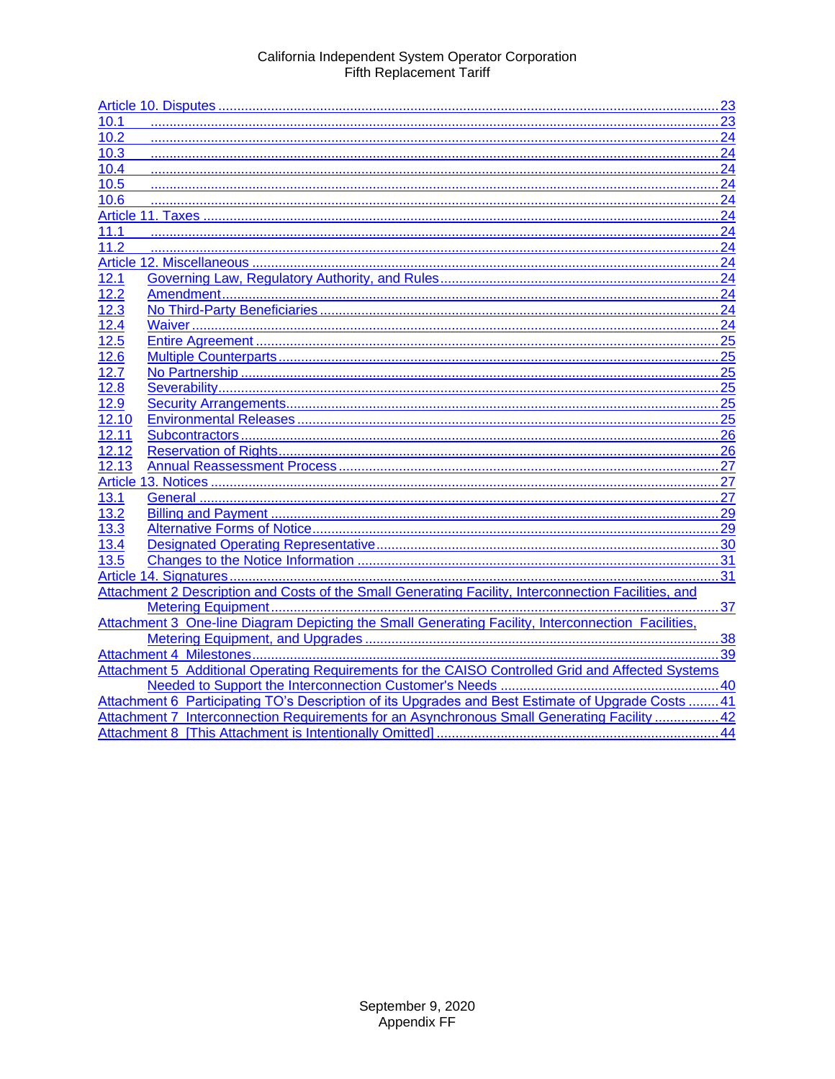| 10.1  |                                                                                                      |  |  |
|-------|------------------------------------------------------------------------------------------------------|--|--|
| 10.2  |                                                                                                      |  |  |
| 10.3  |                                                                                                      |  |  |
| 10.4  |                                                                                                      |  |  |
| 10.5  |                                                                                                      |  |  |
| 10.6  |                                                                                                      |  |  |
|       |                                                                                                      |  |  |
| 11.1  |                                                                                                      |  |  |
| 11.2  |                                                                                                      |  |  |
|       |                                                                                                      |  |  |
| 12.1  |                                                                                                      |  |  |
| 12.2  |                                                                                                      |  |  |
| 12.3  |                                                                                                      |  |  |
| 12.4  |                                                                                                      |  |  |
| 12.5  |                                                                                                      |  |  |
| 12.6  |                                                                                                      |  |  |
| 12.7  |                                                                                                      |  |  |
| 12.8  |                                                                                                      |  |  |
| 12.9  |                                                                                                      |  |  |
| 12.10 |                                                                                                      |  |  |
| 12.11 |                                                                                                      |  |  |
| 12.12 |                                                                                                      |  |  |
| 12.13 |                                                                                                      |  |  |
|       |                                                                                                      |  |  |
| 13.1  |                                                                                                      |  |  |
| 13.2  |                                                                                                      |  |  |
| 13.3  |                                                                                                      |  |  |
| 13.4  |                                                                                                      |  |  |
| 13.5  |                                                                                                      |  |  |
|       |                                                                                                      |  |  |
|       | Attachment 2 Description and Costs of the Small Generating Facility, Interconnection Facilities, and |  |  |
|       |                                                                                                      |  |  |
|       |                                                                                                      |  |  |
|       |                                                                                                      |  |  |
|       |                                                                                                      |  |  |
|       | Attachment 5 Additional Operating Requirements for the CAISO Controlled Grid and Affected Systems    |  |  |
|       |                                                                                                      |  |  |
|       | Attachment 6 Participating TO's Description of its Upgrades and Best Estimate of Upgrade Costs  41   |  |  |
|       | Attachment 7 Interconnection Requirements for an Asynchronous Small Generating Facility  42          |  |  |
|       |                                                                                                      |  |  |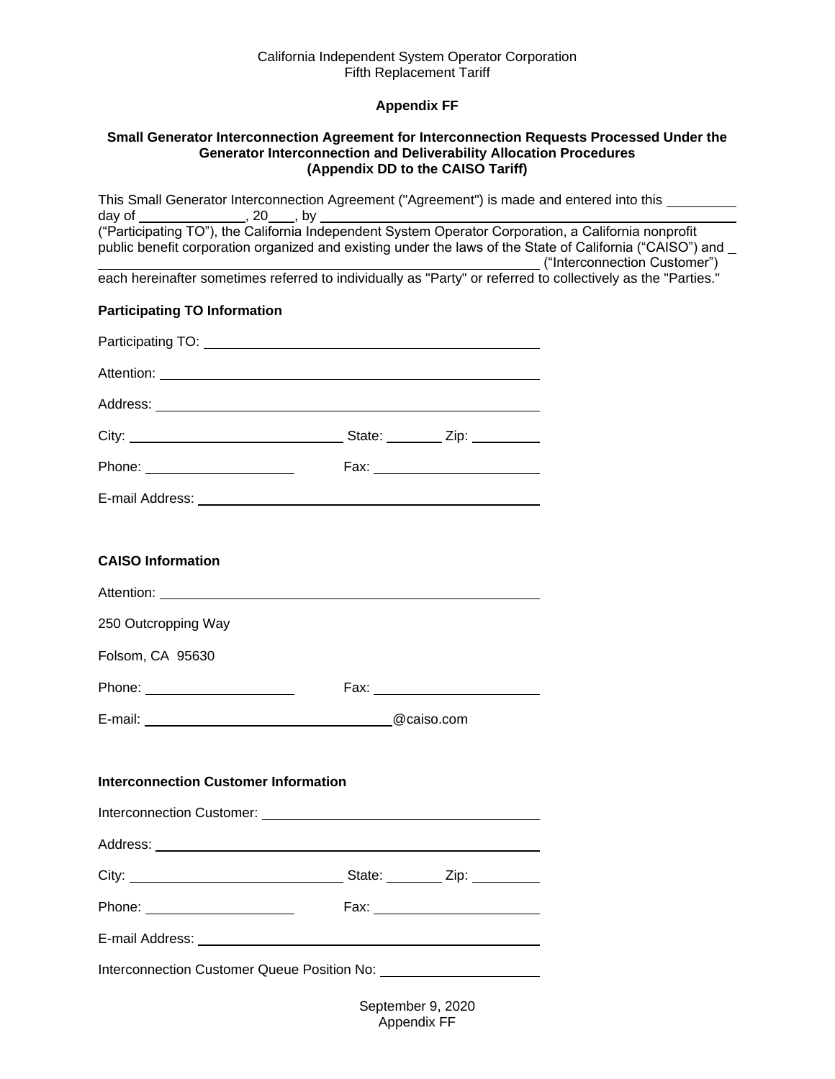# **Appendix FF**

#### <span id="page-2-1"></span><span id="page-2-0"></span>**Small Generator Interconnection Agreement for Interconnection Requests Processed Under the Generator Interconnection and Deliverability Allocation Procedures (Appendix DD to the CAISO Tariff)**

This Small Generator Interconnection Agreement ("Agreement") is made and entered into this day of  $\_\_\_\_\_\_\$ , 20  $\_\_\_\$ , by  $\_\_\_\_\_\$ ("Participating TO"), the California Independent System Operator Corporation, a California nonprofit public benefit corporation organized and existing under the laws of the State of California ("CAISO") and ("Interconnection Customer") each hereinafter sometimes referred to individually as "Party" or referred to collectively as the "Parties." **Participating TO Information** Participating TO: Attention: **Attention: Attention: Attention:** Address: **Address: Address: Address: Address: Address: Address: Address: Address: Address: Address: Address: Address: Address: Address: Address: Address: Address: Address: Address: Add** City: City: State: Zip: Phone: Fax: E-mail Address: **CAISO Information** Attention: 250 Outcropping Way Folsom, CA 95630 Phone: Fax: E-mail: @caiso.com **Interconnection Customer Information** Interconnection Customer: University of the University of the University of the University of the University of the University of the University of the University of the University of the University of the University of th Address: **Address: Address: Address:** City: State: Zip: Phone: Fax: E-mail Address: Interconnection Customer Queue Position No:

> September 9, 2020 Appendix FF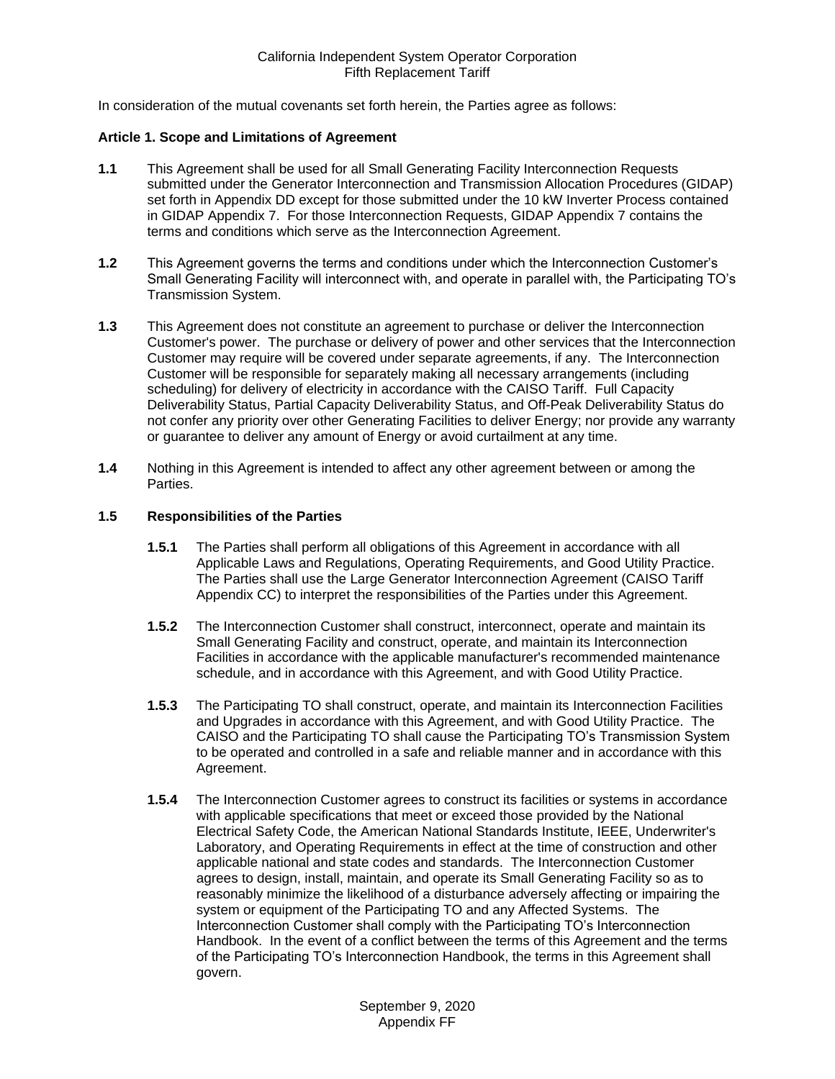In consideration of the mutual covenants set forth herein, the Parties agree as follows:

#### <span id="page-3-0"></span>**Article 1. Scope and Limitations of Agreement**

- <span id="page-3-1"></span>**1.1** This Agreement shall be used for all Small Generating Facility Interconnection Requests submitted under the Generator Interconnection and Transmission Allocation Procedures (GIDAP) set forth in Appendix DD except for those submitted under the 10 kW Inverter Process contained in GIDAP Appendix 7. For those Interconnection Requests, GIDAP Appendix 7 contains the terms and conditions which serve as the Interconnection Agreement.
- <span id="page-3-2"></span>**1.2** This Agreement governs the terms and conditions under which the Interconnection Customer's Small Generating Facility will interconnect with, and operate in parallel with, the Participating TO's Transmission System.
- <span id="page-3-3"></span>**1.3** This Agreement does not constitute an agreement to purchase or deliver the Interconnection Customer's power. The purchase or delivery of power and other services that the Interconnection Customer may require will be covered under separate agreements, if any. The Interconnection Customer will be responsible for separately making all necessary arrangements (including scheduling) for delivery of electricity in accordance with the CAISO Tariff. Full Capacity Deliverability Status, Partial Capacity Deliverability Status, and Off-Peak Deliverability Status do not confer any priority over other Generating Facilities to deliver Energy; nor provide any warranty or guarantee to deliver any amount of Energy or avoid curtailment at any time.
- <span id="page-3-4"></span>**1.4** Nothing in this Agreement is intended to affect any other agreement between or among the **Parties**

## <span id="page-3-5"></span>**1.5 Responsibilities of the Parties**

- **1.5.1** The Parties shall perform all obligations of this Agreement in accordance with all Applicable Laws and Regulations, Operating Requirements, and Good Utility Practice. The Parties shall use the Large Generator Interconnection Agreement (CAISO Tariff Appendix CC) to interpret the responsibilities of the Parties under this Agreement.
- **1.5.2** The Interconnection Customer shall construct, interconnect, operate and maintain its Small Generating Facility and construct, operate, and maintain its Interconnection Facilities in accordance with the applicable manufacturer's recommended maintenance schedule, and in accordance with this Agreement, and with Good Utility Practice.
- **1.5.3** The Participating TO shall construct, operate, and maintain its Interconnection Facilities and Upgrades in accordance with this Agreement, and with Good Utility Practice. The CAISO and the Participating TO shall cause the Participating TO's Transmission System to be operated and controlled in a safe and reliable manner and in accordance with this Agreement.
- **1.5.4** The Interconnection Customer agrees to construct its facilities or systems in accordance with applicable specifications that meet or exceed those provided by the National Electrical Safety Code, the American National Standards Institute, IEEE, Underwriter's Laboratory, and Operating Requirements in effect at the time of construction and other applicable national and state codes and standards. The Interconnection Customer agrees to design, install, maintain, and operate its Small Generating Facility so as to reasonably minimize the likelihood of a disturbance adversely affecting or impairing the system or equipment of the Participating TO and any Affected Systems. The Interconnection Customer shall comply with the Participating TO's Interconnection Handbook. In the event of a conflict between the terms of this Agreement and the terms of the Participating TO's Interconnection Handbook, the terms in this Agreement shall govern.

September 9, 2020 Appendix FF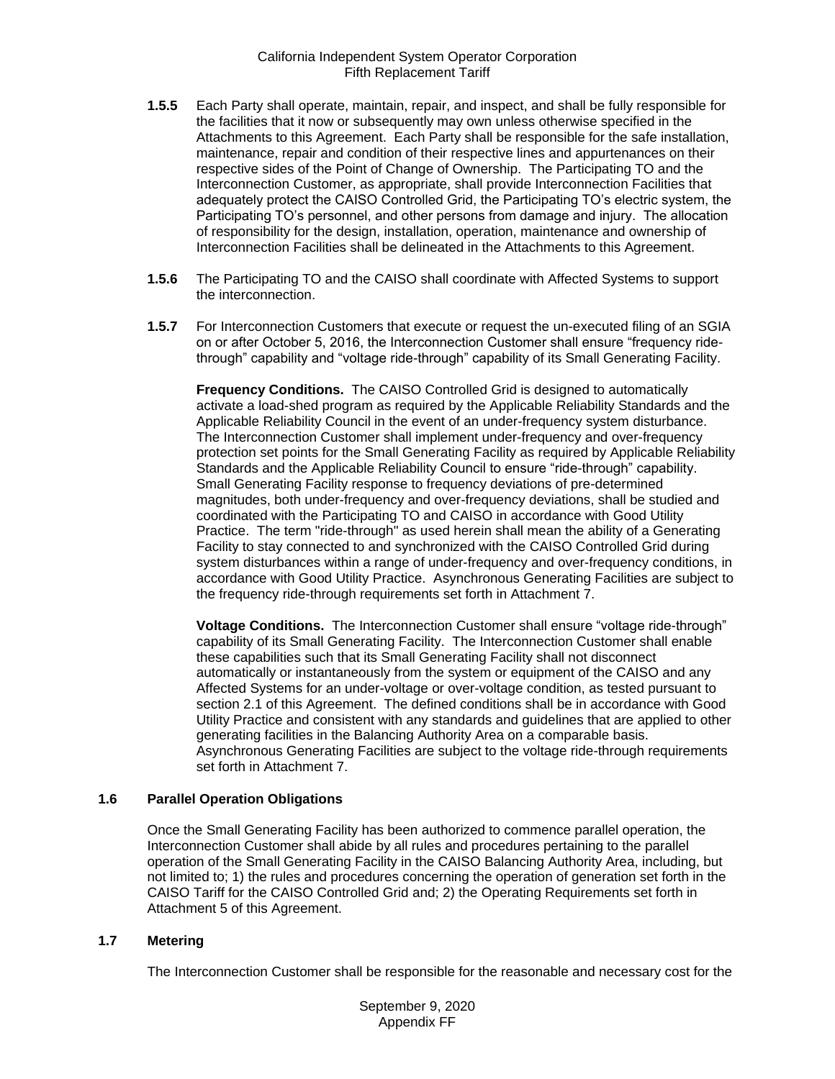- **1.5.5** Each Party shall operate, maintain, repair, and inspect, and shall be fully responsible for the facilities that it now or subsequently may own unless otherwise specified in the Attachments to this Agreement. Each Party shall be responsible for the safe installation, maintenance, repair and condition of their respective lines and appurtenances on their respective sides of the Point of Change of Ownership. The Participating TO and the Interconnection Customer, as appropriate, shall provide Interconnection Facilities that adequately protect the CAISO Controlled Grid, the Participating TO's electric system, the Participating TO's personnel, and other persons from damage and injury. The allocation of responsibility for the design, installation, operation, maintenance and ownership of Interconnection Facilities shall be delineated in the Attachments to this Agreement.
- **1.5.6** The Participating TO and the CAISO shall coordinate with Affected Systems to support the interconnection.
- **1.5.7** For Interconnection Customers that execute or request the un-executed filing of an SGIA on or after October 5, 2016, the Interconnection Customer shall ensure "frequency ridethrough" capability and "voltage ride-through" capability of its Small Generating Facility.

**Frequency Conditions.** The CAISO Controlled Grid is designed to automatically activate a load-shed program as required by the Applicable Reliability Standards and the Applicable Reliability Council in the event of an under-frequency system disturbance. The Interconnection Customer shall implement under-frequency and over-frequency protection set points for the Small Generating Facility as required by Applicable Reliability Standards and the Applicable Reliability Council to ensure "ride-through" capability. Small Generating Facility response to frequency deviations of pre-determined magnitudes, both under-frequency and over-frequency deviations, shall be studied and coordinated with the Participating TO and CAISO in accordance with Good Utility Practice. The term "ride-through" as used herein shall mean the ability of a Generating Facility to stay connected to and synchronized with the CAISO Controlled Grid during system disturbances within a range of under-frequency and over-frequency conditions, in accordance with Good Utility Practice. Asynchronous Generating Facilities are subject to the frequency ride-through requirements set forth in Attachment 7.

**Voltage Conditions.** The Interconnection Customer shall ensure "voltage ride-through" capability of its Small Generating Facility. The Interconnection Customer shall enable these capabilities such that its Small Generating Facility shall not disconnect automatically or instantaneously from the system or equipment of the CAISO and any Affected Systems for an under-voltage or over-voltage condition, as tested pursuant to section 2.1 of this Agreement. The defined conditions shall be in accordance with Good Utility Practice and consistent with any standards and guidelines that are applied to other generating facilities in the Balancing Authority Area on a comparable basis. Asynchronous Generating Facilities are subject to the voltage ride-through requirements set forth in Attachment 7.

#### <span id="page-4-0"></span>**1.6 Parallel Operation Obligations**

Once the Small Generating Facility has been authorized to commence parallel operation, the Interconnection Customer shall abide by all rules and procedures pertaining to the parallel operation of the Small Generating Facility in the CAISO Balancing Authority Area, including, but not limited to; 1) the rules and procedures concerning the operation of generation set forth in the CAISO Tariff for the CAISO Controlled Grid and; 2) the Operating Requirements set forth in Attachment 5 of this Agreement.

#### <span id="page-4-1"></span>**1.7 Metering**

The Interconnection Customer shall be responsible for the reasonable and necessary cost for the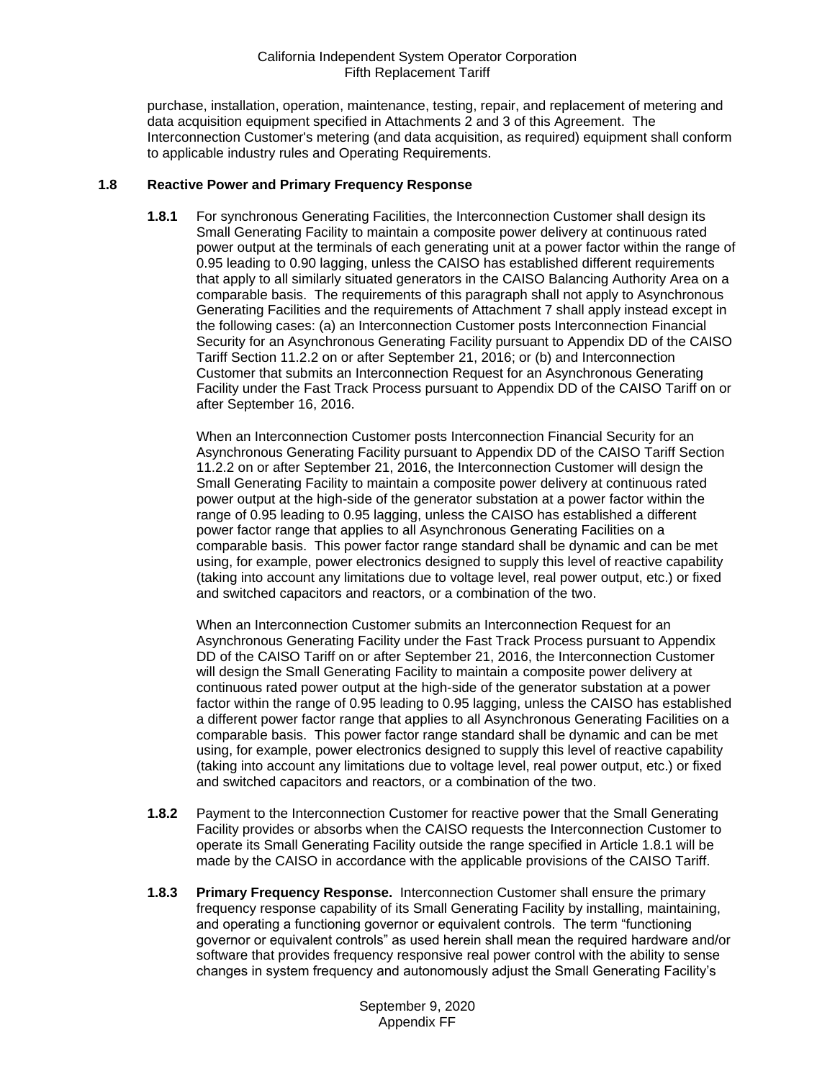purchase, installation, operation, maintenance, testing, repair, and replacement of metering and data acquisition equipment specified in Attachments 2 and 3 of this Agreement. The Interconnection Customer's metering (and data acquisition, as required) equipment shall conform to applicable industry rules and Operating Requirements.

## <span id="page-5-1"></span><span id="page-5-0"></span>**1.8 Reactive Power and Primary Frequency Response**

**1.8.1** For synchronous Generating Facilities, the Interconnection Customer shall design its Small Generating Facility to maintain a composite power delivery at continuous rated power output at the terminals of each generating unit at a power factor within the range of 0.95 leading to 0.90 lagging, unless the CAISO has established different requirements that apply to all similarly situated generators in the CAISO Balancing Authority Area on a comparable basis. The requirements of this paragraph shall not apply to Asynchronous Generating Facilities and the requirements of Attachment 7 shall apply instead except in the following cases: (a) an Interconnection Customer posts Interconnection Financial Security for an Asynchronous Generating Facility pursuant to Appendix DD of the CAISO Tariff Section 11.2.2 on or after September 21, 2016; or (b) and Interconnection Customer that submits an Interconnection Request for an Asynchronous Generating Facility under the Fast Track Process pursuant to Appendix DD of the CAISO Tariff on or after September 16, 2016.

When an Interconnection Customer posts Interconnection Financial Security for an Asynchronous Generating Facility pursuant to Appendix DD of the CAISO Tariff Section 11.2.2 on or after September 21, 2016, the Interconnection Customer will design the Small Generating Facility to maintain a composite power delivery at continuous rated power output at the high-side of the generator substation at a power factor within the range of 0.95 leading to 0.95 lagging, unless the CAISO has established a different power factor range that applies to all Asynchronous Generating Facilities on a comparable basis. This power factor range standard shall be dynamic and can be met using, for example, power electronics designed to supply this level of reactive capability (taking into account any limitations due to voltage level, real power output, etc.) or fixed and switched capacitors and reactors, or a combination of the two.

When an Interconnection Customer submits an Interconnection Request for an Asynchronous Generating Facility under the Fast Track Process pursuant to Appendix DD of the CAISO Tariff on or after September 21, 2016, the Interconnection Customer will design the Small Generating Facility to maintain a composite power delivery at continuous rated power output at the high-side of the generator substation at a power factor within the range of 0.95 leading to 0.95 lagging, unless the CAISO has established a different power factor range that applies to all Asynchronous Generating Facilities on a comparable basis. This power factor range standard shall be dynamic and can be met using, for example, power electronics designed to supply this level of reactive capability (taking into account any limitations due to voltage level, real power output, etc.) or fixed and switched capacitors and reactors, or a combination of the two.

- <span id="page-5-2"></span>**1.8.2** Payment to the Interconnection Customer for reactive power that the Small Generating Facility provides or absorbs when the CAISO requests the Interconnection Customer to operate its Small Generating Facility outside the range specified in Article 1.8.1 will be made by the CAISO in accordance with the applicable provisions of the CAISO Tariff.
- <span id="page-5-3"></span>**1.8.3 Primary Frequency Response.** Interconnection Customer shall ensure the primary frequency response capability of its Small Generating Facility by installing, maintaining, and operating a functioning governor or equivalent controls. The term "functioning governor or equivalent controls" as used herein shall mean the required hardware and/or software that provides frequency responsive real power control with the ability to sense changes in system frequency and autonomously adjust the Small Generating Facility's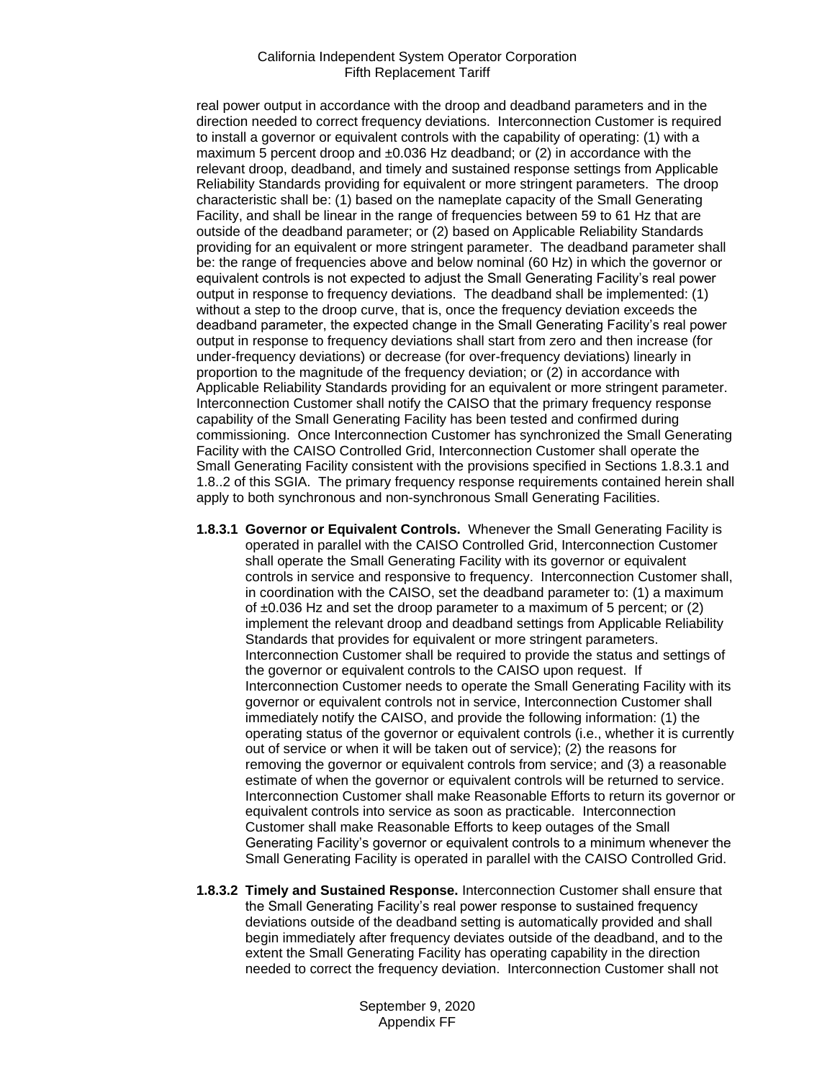real power output in accordance with the droop and deadband parameters and in the direction needed to correct frequency deviations. Interconnection Customer is required to install a governor or equivalent controls with the capability of operating: (1) with a maximum 5 percent droop and  $\pm 0.036$  Hz deadband; or (2) in accordance with the relevant droop, deadband, and timely and sustained response settings from Applicable Reliability Standards providing for equivalent or more stringent parameters. The droop characteristic shall be: (1) based on the nameplate capacity of the Small Generating Facility, and shall be linear in the range of frequencies between 59 to 61 Hz that are outside of the deadband parameter; or (2) based on Applicable Reliability Standards providing for an equivalent or more stringent parameter. The deadband parameter shall be: the range of frequencies above and below nominal (60 Hz) in which the governor or equivalent controls is not expected to adjust the Small Generating Facility's real power output in response to frequency deviations. The deadband shall be implemented: (1) without a step to the droop curve, that is, once the frequency deviation exceeds the deadband parameter, the expected change in the Small Generating Facility's real power output in response to frequency deviations shall start from zero and then increase (for under-frequency deviations) or decrease (for over-frequency deviations) linearly in proportion to the magnitude of the frequency deviation; or (2) in accordance with Applicable Reliability Standards providing for an equivalent or more stringent parameter. Interconnection Customer shall notify the CAISO that the primary frequency response capability of the Small Generating Facility has been tested and confirmed during commissioning. Once Interconnection Customer has synchronized the Small Generating Facility with the CAISO Controlled Grid, Interconnection Customer shall operate the Small Generating Facility consistent with the provisions specified in Sections 1.8.3.1 and 1.8..2 of this SGIA. The primary frequency response requirements contained herein shall apply to both synchronous and non-synchronous Small Generating Facilities.

- **1.8.3.1 Governor or Equivalent Controls.** Whenever the Small Generating Facility is operated in parallel with the CAISO Controlled Grid, Interconnection Customer shall operate the Small Generating Facility with its governor or equivalent controls in service and responsive to frequency. Interconnection Customer shall, in coordination with the CAISO, set the deadband parameter to: (1) a maximum of  $\pm 0.036$  Hz and set the droop parameter to a maximum of 5 percent; or (2) implement the relevant droop and deadband settings from Applicable Reliability Standards that provides for equivalent or more stringent parameters. Interconnection Customer shall be required to provide the status and settings of the governor or equivalent controls to the CAISO upon request. If Interconnection Customer needs to operate the Small Generating Facility with its governor or equivalent controls not in service, Interconnection Customer shall immediately notify the CAISO, and provide the following information: (1) the operating status of the governor or equivalent controls (i.e., whether it is currently out of service or when it will be taken out of service); (2) the reasons for removing the governor or equivalent controls from service; and (3) a reasonable estimate of when the governor or equivalent controls will be returned to service. Interconnection Customer shall make Reasonable Efforts to return its governor or equivalent controls into service as soon as practicable. Interconnection Customer shall make Reasonable Efforts to keep outages of the Small Generating Facility's governor or equivalent controls to a minimum whenever the Small Generating Facility is operated in parallel with the CAISO Controlled Grid.
- **1.8.3.2 Timely and Sustained Response.** Interconnection Customer shall ensure that the Small Generating Facility's real power response to sustained frequency deviations outside of the deadband setting is automatically provided and shall begin immediately after frequency deviates outside of the deadband, and to the extent the Small Generating Facility has operating capability in the direction needed to correct the frequency deviation. Interconnection Customer shall not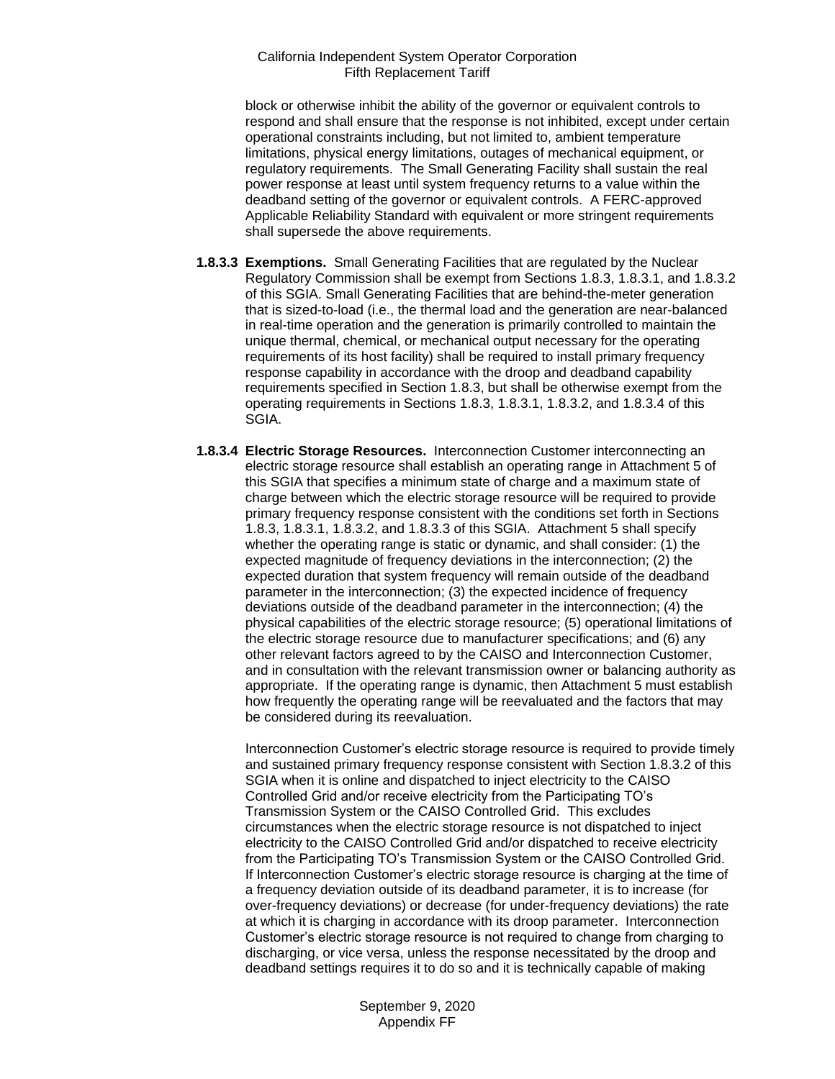block or otherwise inhibit the ability of the governor or equivalent controls to respond and shall ensure that the response is not inhibited, except under certain operational constraints including, but not limited to, ambient temperature limitations, physical energy limitations, outages of mechanical equipment, or regulatory requirements. The Small Generating Facility shall sustain the real power response at least until system frequency returns to a value within the deadband setting of the governor or equivalent controls. A FERC-approved Applicable Reliability Standard with equivalent or more stringent requirements shall supersede the above requirements.

- **1.8.3.3 Exemptions.** Small Generating Facilities that are regulated by the Nuclear Regulatory Commission shall be exempt from Sections 1.8.3, 1.8.3.1, and 1.8.3.2 of this SGIA. Small Generating Facilities that are behind-the-meter generation that is sized-to-load (i.e., the thermal load and the generation are near-balanced in real-time operation and the generation is primarily controlled to maintain the unique thermal, chemical, or mechanical output necessary for the operating requirements of its host facility) shall be required to install primary frequency response capability in accordance with the droop and deadband capability requirements specified in Section 1.8.3, but shall be otherwise exempt from the operating requirements in Sections 1.8.3, 1.8.3.1, 1.8.3.2, and 1.8.3.4 of this SGIA.
- **1.8.3.4 Electric Storage Resources.** Interconnection Customer interconnecting an electric storage resource shall establish an operating range in Attachment 5 of this SGIA that specifies a minimum state of charge and a maximum state of charge between which the electric storage resource will be required to provide primary frequency response consistent with the conditions set forth in Sections 1.8.3, 1.8.3.1, 1.8.3.2, and 1.8.3.3 of this SGIA. Attachment 5 shall specify whether the operating range is static or dynamic, and shall consider: (1) the expected magnitude of frequency deviations in the interconnection; (2) the expected duration that system frequency will remain outside of the deadband parameter in the interconnection; (3) the expected incidence of frequency deviations outside of the deadband parameter in the interconnection; (4) the physical capabilities of the electric storage resource; (5) operational limitations of the electric storage resource due to manufacturer specifications; and (6) any other relevant factors agreed to by the CAISO and Interconnection Customer, and in consultation with the relevant transmission owner or balancing authority as appropriate. If the operating range is dynamic, then Attachment 5 must establish how frequently the operating range will be reevaluated and the factors that may be considered during its reevaluation.

Interconnection Customer's electric storage resource is required to provide timely and sustained primary frequency response consistent with Section 1.8.3.2 of this SGIA when it is online and dispatched to inject electricity to the CAISO Controlled Grid and/or receive electricity from the Participating TO's Transmission System or the CAISO Controlled Grid. This excludes circumstances when the electric storage resource is not dispatched to inject electricity to the CAISO Controlled Grid and/or dispatched to receive electricity from the Participating TO's Transmission System or the CAISO Controlled Grid. If Interconnection Customer's electric storage resource is charging at the time of a frequency deviation outside of its deadband parameter, it is to increase (for over-frequency deviations) or decrease (for under-frequency deviations) the rate at which it is charging in accordance with its droop parameter. Interconnection Customer's electric storage resource is not required to change from charging to discharging, or vice versa, unless the response necessitated by the droop and deadband settings requires it to do so and it is technically capable of making

> September 9, 2020 Appendix FF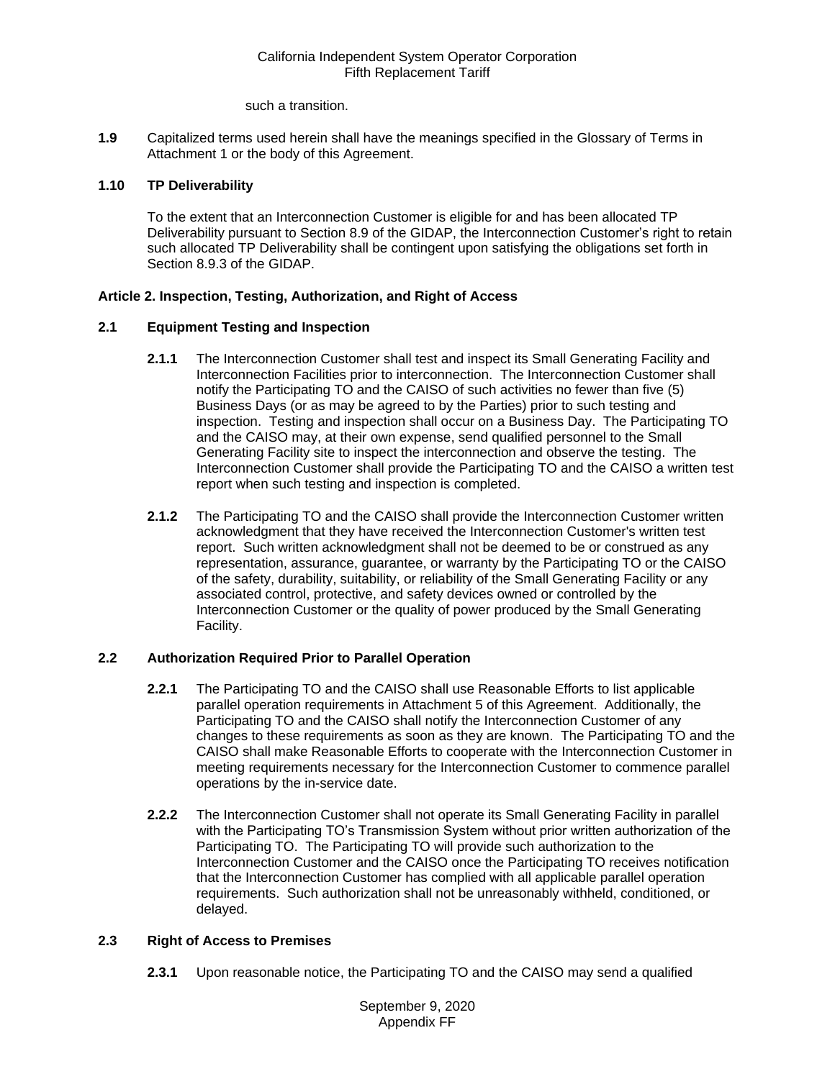such a transition.

<span id="page-8-0"></span>**1.9** Capitalized terms used herein shall have the meanings specified in the Glossary of Terms in Attachment 1 or the body of this Agreement.

# <span id="page-8-1"></span>**1.10 TP Deliverability**

To the extent that an Interconnection Customer is eligible for and has been allocated TP Deliverability pursuant to Section 8.9 of the GIDAP, the Interconnection Customer's right to retain such allocated TP Deliverability shall be contingent upon satisfying the obligations set forth in Section 8.9.3 of the GIDAP.

# <span id="page-8-2"></span>**Article 2. Inspection, Testing, Authorization, and Right of Access**

## <span id="page-8-3"></span>**2.1 Equipment Testing and Inspection**

- **2.1.1** The Interconnection Customer shall test and inspect its Small Generating Facility and Interconnection Facilities prior to interconnection. The Interconnection Customer shall notify the Participating TO and the CAISO of such activities no fewer than five (5) Business Days (or as may be agreed to by the Parties) prior to such testing and inspection. Testing and inspection shall occur on a Business Day. The Participating TO and the CAISO may, at their own expense, send qualified personnel to the Small Generating Facility site to inspect the interconnection and observe the testing. The Interconnection Customer shall provide the Participating TO and the CAISO a written test report when such testing and inspection is completed.
- **2.1.2** The Participating TO and the CAISO shall provide the Interconnection Customer written acknowledgment that they have received the Interconnection Customer's written test report. Such written acknowledgment shall not be deemed to be or construed as any representation, assurance, guarantee, or warranty by the Participating TO or the CAISO of the safety, durability, suitability, or reliability of the Small Generating Facility or any associated control, protective, and safety devices owned or controlled by the Interconnection Customer or the quality of power produced by the Small Generating Facility.

## <span id="page-8-4"></span>**2.2 Authorization Required Prior to Parallel Operation**

- **2.2.1** The Participating TO and the CAISO shall use Reasonable Efforts to list applicable parallel operation requirements in Attachment 5 of this Agreement. Additionally, the Participating TO and the CAISO shall notify the Interconnection Customer of any changes to these requirements as soon as they are known. The Participating TO and the CAISO shall make Reasonable Efforts to cooperate with the Interconnection Customer in meeting requirements necessary for the Interconnection Customer to commence parallel operations by the in-service date.
- **2.2.2** The Interconnection Customer shall not operate its Small Generating Facility in parallel with the Participating TO's Transmission System without prior written authorization of the Participating TO. The Participating TO will provide such authorization to the Interconnection Customer and the CAISO once the Participating TO receives notification that the Interconnection Customer has complied with all applicable parallel operation requirements. Such authorization shall not be unreasonably withheld, conditioned, or delayed.

# <span id="page-8-5"></span>**2.3 Right of Access to Premises**

**2.3.1** Upon reasonable notice, the Participating TO and the CAISO may send a qualified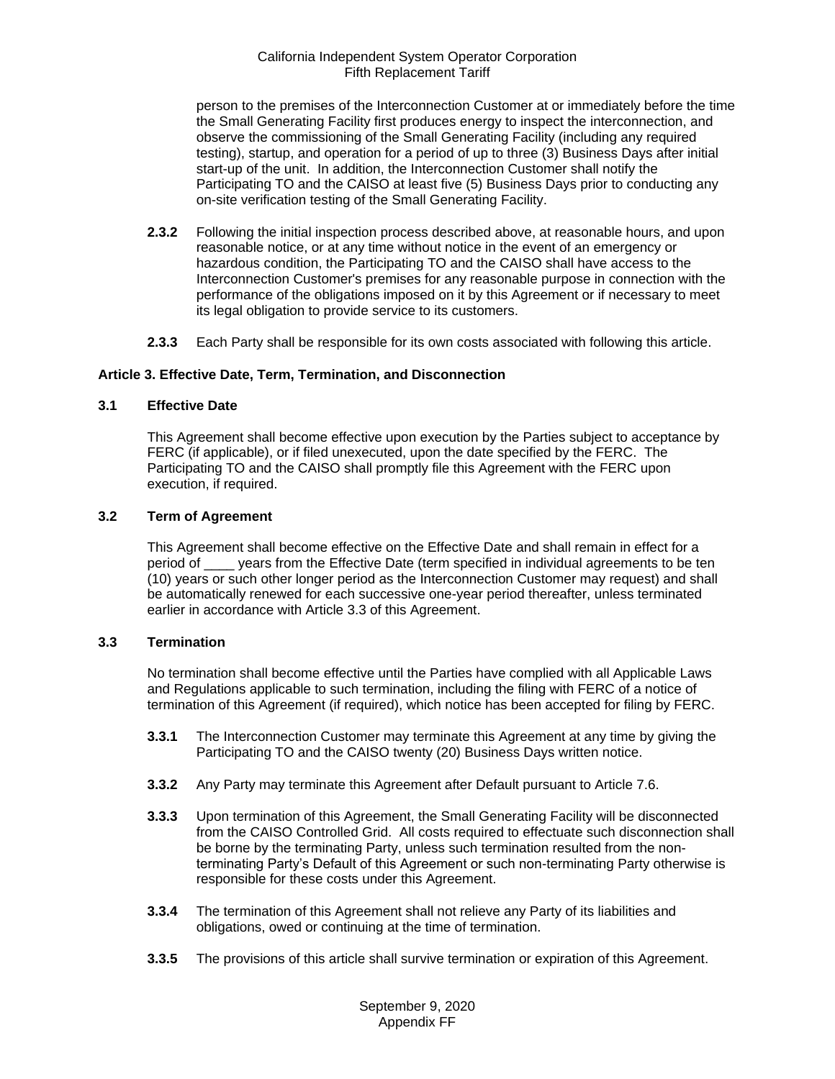person to the premises of the Interconnection Customer at or immediately before the time the Small Generating Facility first produces energy to inspect the interconnection, and observe the commissioning of the Small Generating Facility (including any required testing), startup, and operation for a period of up to three (3) Business Days after initial start-up of the unit. In addition, the Interconnection Customer shall notify the Participating TO and the CAISO at least five (5) Business Days prior to conducting any on-site verification testing of the Small Generating Facility.

- **2.3.2** Following the initial inspection process described above, at reasonable hours, and upon reasonable notice, or at any time without notice in the event of an emergency or hazardous condition, the Participating TO and the CAISO shall have access to the Interconnection Customer's premises for any reasonable purpose in connection with the performance of the obligations imposed on it by this Agreement or if necessary to meet its legal obligation to provide service to its customers.
- **2.3.3** Each Party shall be responsible for its own costs associated with following this article.

## <span id="page-9-0"></span>**Article 3. Effective Date, Term, Termination, and Disconnection**

## <span id="page-9-1"></span>**3.1 Effective Date**

This Agreement shall become effective upon execution by the Parties subject to acceptance by FERC (if applicable), or if filed unexecuted, upon the date specified by the FERC. The Participating TO and the CAISO shall promptly file this Agreement with the FERC upon execution, if required.

## <span id="page-9-2"></span>**3.2 Term of Agreement**

This Agreement shall become effective on the Effective Date and shall remain in effect for a period of \_\_\_\_ years from the Effective Date (term specified in individual agreements to be ten (10) years or such other longer period as the Interconnection Customer may request) and shall be automatically renewed for each successive one-year period thereafter, unless terminated earlier in accordance with Article 3.3 of this Agreement.

#### <span id="page-9-3"></span>**3.3 Termination**

No termination shall become effective until the Parties have complied with all Applicable Laws and Regulations applicable to such termination, including the filing with FERC of a notice of termination of this Agreement (if required), which notice has been accepted for filing by FERC.

- **3.3.1** The Interconnection Customer may terminate this Agreement at any time by giving the Participating TO and the CAISO twenty (20) Business Days written notice.
- **3.3.2** Any Party may terminate this Agreement after Default pursuant to Article 7.6.
- **3.3.3** Upon termination of this Agreement, the Small Generating Facility will be disconnected from the CAISO Controlled Grid. All costs required to effectuate such disconnection shall be borne by the terminating Party, unless such termination resulted from the nonterminating Party's Default of this Agreement or such non-terminating Party otherwise is responsible for these costs under this Agreement.
- **3.3.4** The termination of this Agreement shall not relieve any Party of its liabilities and obligations, owed or continuing at the time of termination.
- **3.3.5** The provisions of this article shall survive termination or expiration of this Agreement.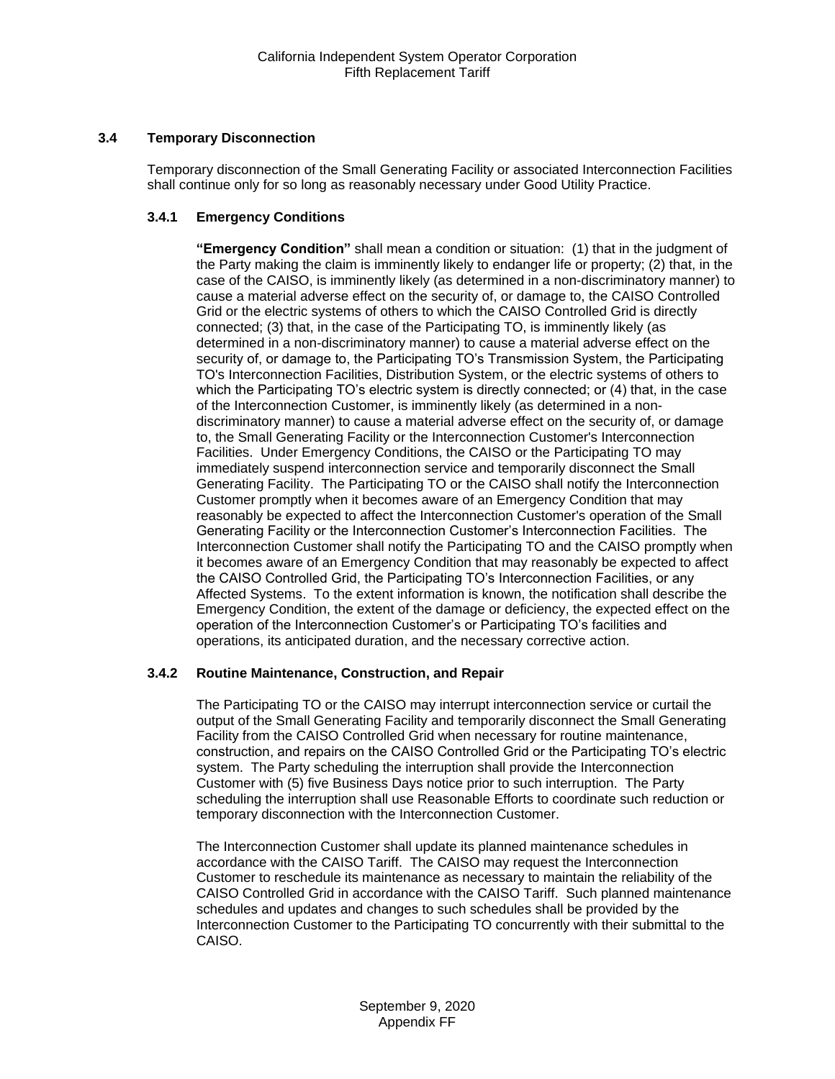# <span id="page-10-0"></span>**3.4 Temporary Disconnection**

Temporary disconnection of the Small Generating Facility or associated Interconnection Facilities shall continue only for so long as reasonably necessary under Good Utility Practice.

# **3.4.1 Emergency Conditions**

**"Emergency Condition"** shall mean a condition or situation: (1) that in the judgment of the Party making the claim is imminently likely to endanger life or property; (2) that, in the case of the CAISO, is imminently likely (as determined in a non-discriminatory manner) to cause a material adverse effect on the security of, or damage to, the CAISO Controlled Grid or the electric systems of others to which the CAISO Controlled Grid is directly connected; (3) that, in the case of the Participating TO, is imminently likely (as determined in a non-discriminatory manner) to cause a material adverse effect on the security of, or damage to, the Participating TO's Transmission System, the Participating TO's Interconnection Facilities, Distribution System, or the electric systems of others to which the Participating TO's electric system is directly connected; or (4) that, in the case of the Interconnection Customer, is imminently likely (as determined in a nondiscriminatory manner) to cause a material adverse effect on the security of, or damage to, the Small Generating Facility or the Interconnection Customer's Interconnection Facilities. Under Emergency Conditions, the CAISO or the Participating TO may immediately suspend interconnection service and temporarily disconnect the Small Generating Facility. The Participating TO or the CAISO shall notify the Interconnection Customer promptly when it becomes aware of an Emergency Condition that may reasonably be expected to affect the Interconnection Customer's operation of the Small Generating Facility or the Interconnection Customer's Interconnection Facilities. The Interconnection Customer shall notify the Participating TO and the CAISO promptly when it becomes aware of an Emergency Condition that may reasonably be expected to affect the CAISO Controlled Grid, the Participating TO's Interconnection Facilities, or any Affected Systems. To the extent information is known, the notification shall describe the Emergency Condition, the extent of the damage or deficiency, the expected effect on the operation of the Interconnection Customer's or Participating TO's facilities and operations, its anticipated duration, and the necessary corrective action.

## **3.4.2 Routine Maintenance, Construction, and Repair**

The Participating TO or the CAISO may interrupt interconnection service or curtail the output of the Small Generating Facility and temporarily disconnect the Small Generating Facility from the CAISO Controlled Grid when necessary for routine maintenance, construction, and repairs on the CAISO Controlled Grid or the Participating TO's electric system. The Party scheduling the interruption shall provide the Interconnection Customer with (5) five Business Days notice prior to such interruption. The Party scheduling the interruption shall use Reasonable Efforts to coordinate such reduction or temporary disconnection with the Interconnection Customer.

The Interconnection Customer shall update its planned maintenance schedules in accordance with the CAISO Tariff. The CAISO may request the Interconnection Customer to reschedule its maintenance as necessary to maintain the reliability of the CAISO Controlled Grid in accordance with the CAISO Tariff. Such planned maintenance schedules and updates and changes to such schedules shall be provided by the Interconnection Customer to the Participating TO concurrently with their submittal to the CAISO.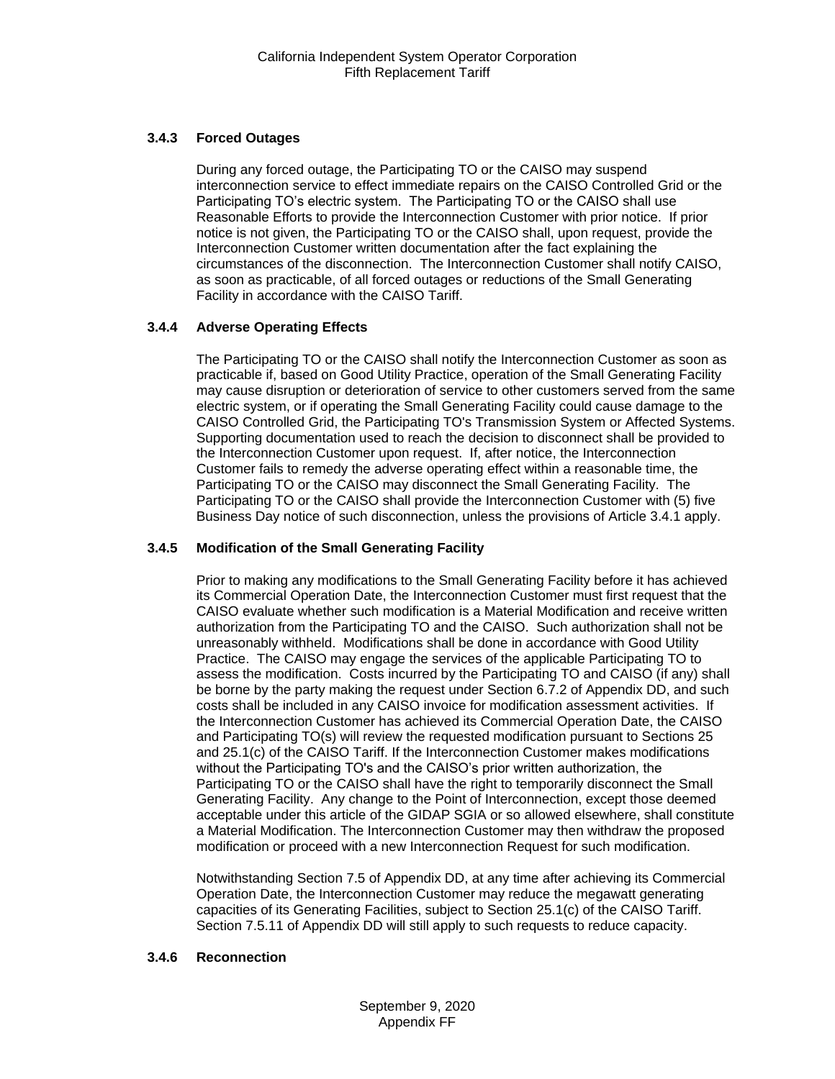# **3.4.3 Forced Outages**

During any forced outage, the Participating TO or the CAISO may suspend interconnection service to effect immediate repairs on the CAISO Controlled Grid or the Participating TO's electric system. The Participating TO or the CAISO shall use Reasonable Efforts to provide the Interconnection Customer with prior notice. If prior notice is not given, the Participating TO or the CAISO shall, upon request, provide the Interconnection Customer written documentation after the fact explaining the circumstances of the disconnection. The Interconnection Customer shall notify CAISO, as soon as practicable, of all forced outages or reductions of the Small Generating Facility in accordance with the CAISO Tariff.

# **3.4.4 Adverse Operating Effects**

The Participating TO or the CAISO shall notify the Interconnection Customer as soon as practicable if, based on Good Utility Practice, operation of the Small Generating Facility may cause disruption or deterioration of service to other customers served from the same electric system, or if operating the Small Generating Facility could cause damage to the CAISO Controlled Grid, the Participating TO's Transmission System or Affected Systems. Supporting documentation used to reach the decision to disconnect shall be provided to the Interconnection Customer upon request. If, after notice, the Interconnection Customer fails to remedy the adverse operating effect within a reasonable time, the Participating TO or the CAISO may disconnect the Small Generating Facility. The Participating TO or the CAISO shall provide the Interconnection Customer with (5) five Business Day notice of such disconnection, unless the provisions of Article 3.4.1 apply.

# **3.4.5 Modification of the Small Generating Facility**

Prior to making any modifications to the Small Generating Facility before it has achieved its Commercial Operation Date, the Interconnection Customer must first request that the CAISO evaluate whether such modification is a Material Modification and receive written authorization from the Participating TO and the CAISO. Such authorization shall not be unreasonably withheld. Modifications shall be done in accordance with Good Utility Practice. The CAISO may engage the services of the applicable Participating TO to assess the modification. Costs incurred by the Participating TO and CAISO (if any) shall be borne by the party making the request under Section 6.7.2 of Appendix DD, and such costs shall be included in any CAISO invoice for modification assessment activities. If the Interconnection Customer has achieved its Commercial Operation Date, the CAISO and Participating TO(s) will review the requested modification pursuant to Sections 25 and 25.1(c) of the CAISO Tariff. If the Interconnection Customer makes modifications without the Participating TO's and the CAISO's prior written authorization, the Participating TO or the CAISO shall have the right to temporarily disconnect the Small Generating Facility. Any change to the Point of Interconnection, except those deemed acceptable under this article of the GIDAP SGIA or so allowed elsewhere, shall constitute a Material Modification. The Interconnection Customer may then withdraw the proposed modification or proceed with a new Interconnection Request for such modification.

Notwithstanding Section 7.5 of Appendix DD, at any time after achieving its Commercial Operation Date, the Interconnection Customer may reduce the megawatt generating capacities of its Generating Facilities, subject to Section 25.1(c) of the CAISO Tariff. Section 7.5.11 of Appendix DD will still apply to such requests to reduce capacity.

## **3.4.6 Reconnection**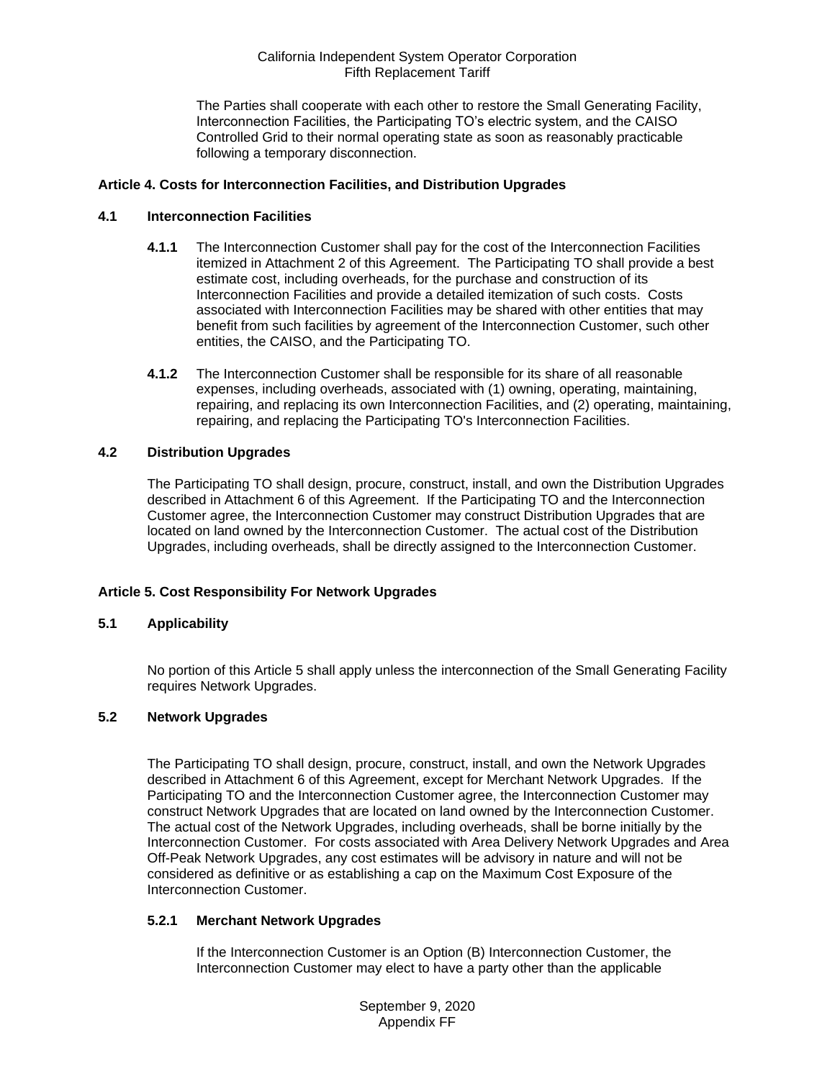The Parties shall cooperate with each other to restore the Small Generating Facility, Interconnection Facilities, the Participating TO's electric system, and the CAISO Controlled Grid to their normal operating state as soon as reasonably practicable following a temporary disconnection.

## <span id="page-12-0"></span>**Article 4. Costs for Interconnection Facilities, and Distribution Upgrades**

#### <span id="page-12-1"></span>**4.1 Interconnection Facilities**

- **4.1.1** The Interconnection Customer shall pay for the cost of the Interconnection Facilities itemized in Attachment 2 of this Agreement. The Participating TO shall provide a best estimate cost, including overheads, for the purchase and construction of its Interconnection Facilities and provide a detailed itemization of such costs. Costs associated with Interconnection Facilities may be shared with other entities that may benefit from such facilities by agreement of the Interconnection Customer, such other entities, the CAISO, and the Participating TO.
- **4.1.2** The Interconnection Customer shall be responsible for its share of all reasonable expenses, including overheads, associated with (1) owning, operating, maintaining, repairing, and replacing its own Interconnection Facilities, and (2) operating, maintaining, repairing, and replacing the Participating TO's Interconnection Facilities.

# <span id="page-12-2"></span>**4.2 Distribution Upgrades**

The Participating TO shall design, procure, construct, install, and own the Distribution Upgrades described in Attachment 6 of this Agreement. If the Participating TO and the Interconnection Customer agree, the Interconnection Customer may construct Distribution Upgrades that are located on land owned by the Interconnection Customer. The actual cost of the Distribution Upgrades, including overheads, shall be directly assigned to the Interconnection Customer.

## **Article 5. Cost Responsibility For Network Upgrades**

#### <span id="page-12-3"></span>**5.1 Applicability**

No portion of this Article 5 shall apply unless the interconnection of the Small Generating Facility requires Network Upgrades.

#### <span id="page-12-4"></span>**5.2 Network Upgrades**

The Participating TO shall design, procure, construct, install, and own the Network Upgrades described in Attachment 6 of this Agreement, except for Merchant Network Upgrades. If the Participating TO and the Interconnection Customer agree, the Interconnection Customer may construct Network Upgrades that are located on land owned by the Interconnection Customer. The actual cost of the Network Upgrades, including overheads, shall be borne initially by the Interconnection Customer. For costs associated with Area Delivery Network Upgrades and Area Off-Peak Network Upgrades, any cost estimates will be advisory in nature and will not be considered as definitive or as establishing a cap on the Maximum Cost Exposure of the Interconnection Customer.

#### **5.2.1 Merchant Network Upgrades**

If the Interconnection Customer is an Option (B) Interconnection Customer, the Interconnection Customer may elect to have a party other than the applicable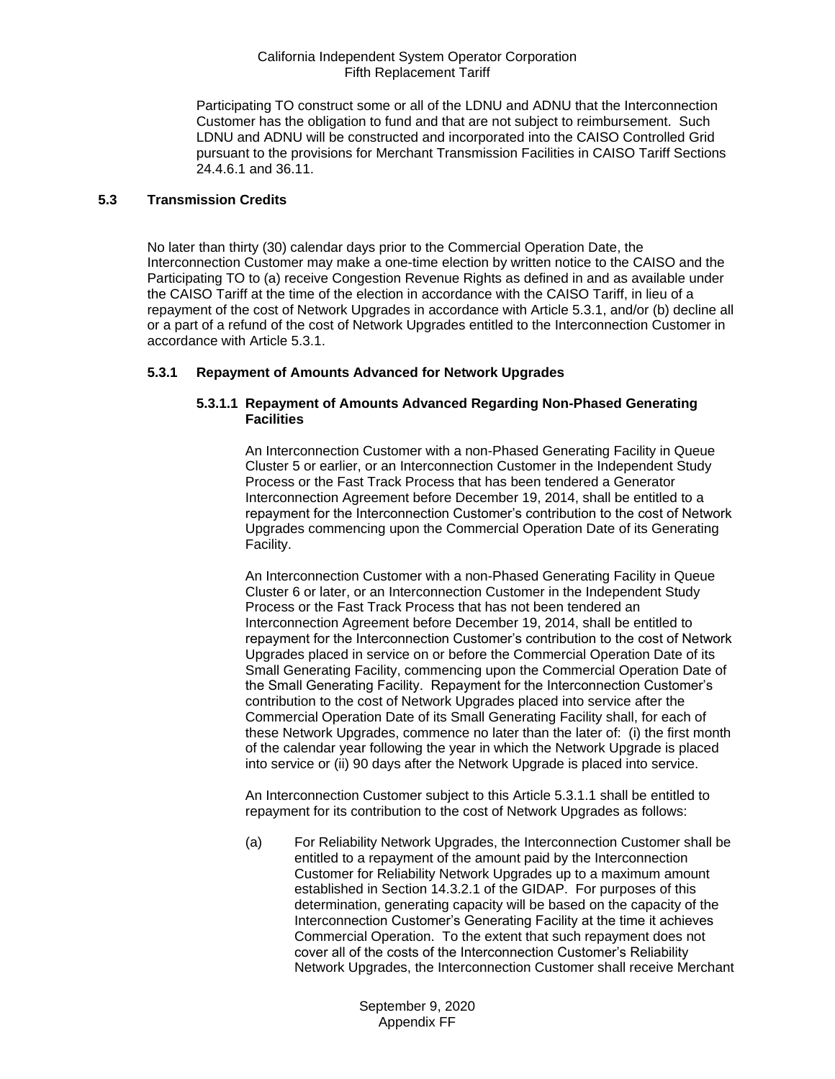Participating TO construct some or all of the LDNU and ADNU that the Interconnection Customer has the obligation to fund and that are not subject to reimbursement. Such LDNU and ADNU will be constructed and incorporated into the CAISO Controlled Grid pursuant to the provisions for Merchant Transmission Facilities in CAISO Tariff Sections 24.4.6.1 and 36.11.

## <span id="page-13-0"></span>**5.3 Transmission Credits**

No later than thirty (30) calendar days prior to the Commercial Operation Date, the Interconnection Customer may make a one-time election by written notice to the CAISO and the Participating TO to (a) receive Congestion Revenue Rights as defined in and as available under the CAISO Tariff at the time of the election in accordance with the CAISO Tariff, in lieu of a repayment of the cost of Network Upgrades in accordance with Article 5.3.1, and/or (b) decline all or a part of a refund of the cost of Network Upgrades entitled to the Interconnection Customer in accordance with Article 5.3.1.

## **5.3.1 Repayment of Amounts Advanced for Network Upgrades**

## **5.3.1.1 Repayment of Amounts Advanced Regarding Non-Phased Generating Facilities**

An Interconnection Customer with a non-Phased Generating Facility in Queue Cluster 5 or earlier, or an Interconnection Customer in the Independent Study Process or the Fast Track Process that has been tendered a Generator Interconnection Agreement before December 19, 2014, shall be entitled to a repayment for the Interconnection Customer's contribution to the cost of Network Upgrades commencing upon the Commercial Operation Date of its Generating Facility.

An Interconnection Customer with a non-Phased Generating Facility in Queue Cluster 6 or later, or an Interconnection Customer in the Independent Study Process or the Fast Track Process that has not been tendered an Interconnection Agreement before December 19, 2014, shall be entitled to repayment for the Interconnection Customer's contribution to the cost of Network Upgrades placed in service on or before the Commercial Operation Date of its Small Generating Facility, commencing upon the Commercial Operation Date of the Small Generating Facility. Repayment for the Interconnection Customer's contribution to the cost of Network Upgrades placed into service after the Commercial Operation Date of its Small Generating Facility shall, for each of these Network Upgrades, commence no later than the later of: (i) the first month of the calendar year following the year in which the Network Upgrade is placed into service or (ii) 90 days after the Network Upgrade is placed into service.

An Interconnection Customer subject to this Article 5.3.1.1 shall be entitled to repayment for its contribution to the cost of Network Upgrades as follows:

(a) For Reliability Network Upgrades, the Interconnection Customer shall be entitled to a repayment of the amount paid by the Interconnection Customer for Reliability Network Upgrades up to a maximum amount established in Section 14.3.2.1 of the GIDAP. For purposes of this determination, generating capacity will be based on the capacity of the Interconnection Customer's Generating Facility at the time it achieves Commercial Operation. To the extent that such repayment does not cover all of the costs of the Interconnection Customer's Reliability Network Upgrades, the Interconnection Customer shall receive Merchant

> September 9, 2020 Appendix FF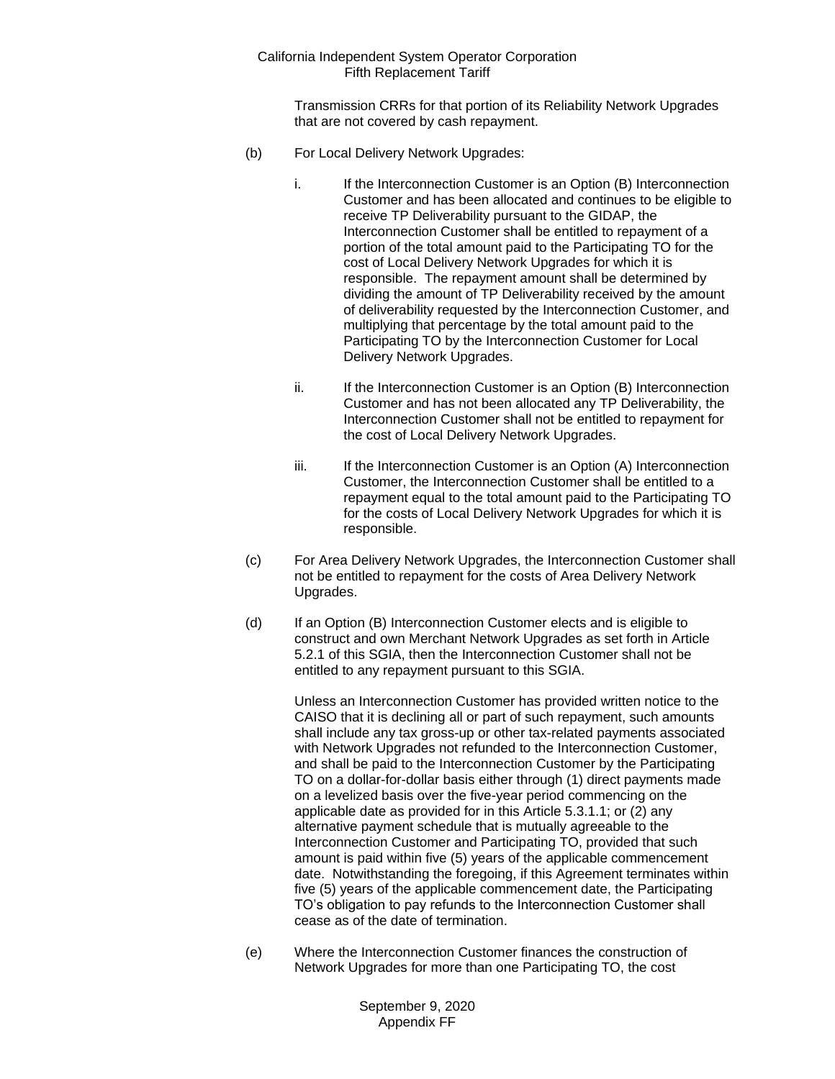Transmission CRRs for that portion of its Reliability Network Upgrades that are not covered by cash repayment.

- (b) For Local Delivery Network Upgrades:
	- i. If the Interconnection Customer is an Option (B) Interconnection Customer and has been allocated and continues to be eligible to receive TP Deliverability pursuant to the GIDAP, the Interconnection Customer shall be entitled to repayment of a portion of the total amount paid to the Participating TO for the cost of Local Delivery Network Upgrades for which it is responsible. The repayment amount shall be determined by dividing the amount of TP Deliverability received by the amount of deliverability requested by the Interconnection Customer, and multiplying that percentage by the total amount paid to the Participating TO by the Interconnection Customer for Local Delivery Network Upgrades.
	- ii. If the Interconnection Customer is an Option (B) Interconnection Customer and has not been allocated any TP Deliverability, the Interconnection Customer shall not be entitled to repayment for the cost of Local Delivery Network Upgrades.
	- iii. If the Interconnection Customer is an Option (A) Interconnection Customer, the Interconnection Customer shall be entitled to a repayment equal to the total amount paid to the Participating TO for the costs of Local Delivery Network Upgrades for which it is responsible.
- (c) For Area Delivery Network Upgrades, the Interconnection Customer shall not be entitled to repayment for the costs of Area Delivery Network Upgrades.
- (d) If an Option (B) Interconnection Customer elects and is eligible to construct and own Merchant Network Upgrades as set forth in Article 5.2.1 of this SGIA, then the Interconnection Customer shall not be entitled to any repayment pursuant to this SGIA.

Unless an Interconnection Customer has provided written notice to the CAISO that it is declining all or part of such repayment, such amounts shall include any tax gross-up or other tax-related payments associated with Network Upgrades not refunded to the Interconnection Customer, and shall be paid to the Interconnection Customer by the Participating TO on a dollar-for-dollar basis either through (1) direct payments made on a levelized basis over the five-year period commencing on the applicable date as provided for in this Article 5.3.1.1; or (2) any alternative payment schedule that is mutually agreeable to the Interconnection Customer and Participating TO, provided that such amount is paid within five (5) years of the applicable commencement date. Notwithstanding the foregoing, if this Agreement terminates within five (5) years of the applicable commencement date, the Participating TO's obligation to pay refunds to the Interconnection Customer shall cease as of the date of termination.

(e) Where the Interconnection Customer finances the construction of Network Upgrades for more than one Participating TO, the cost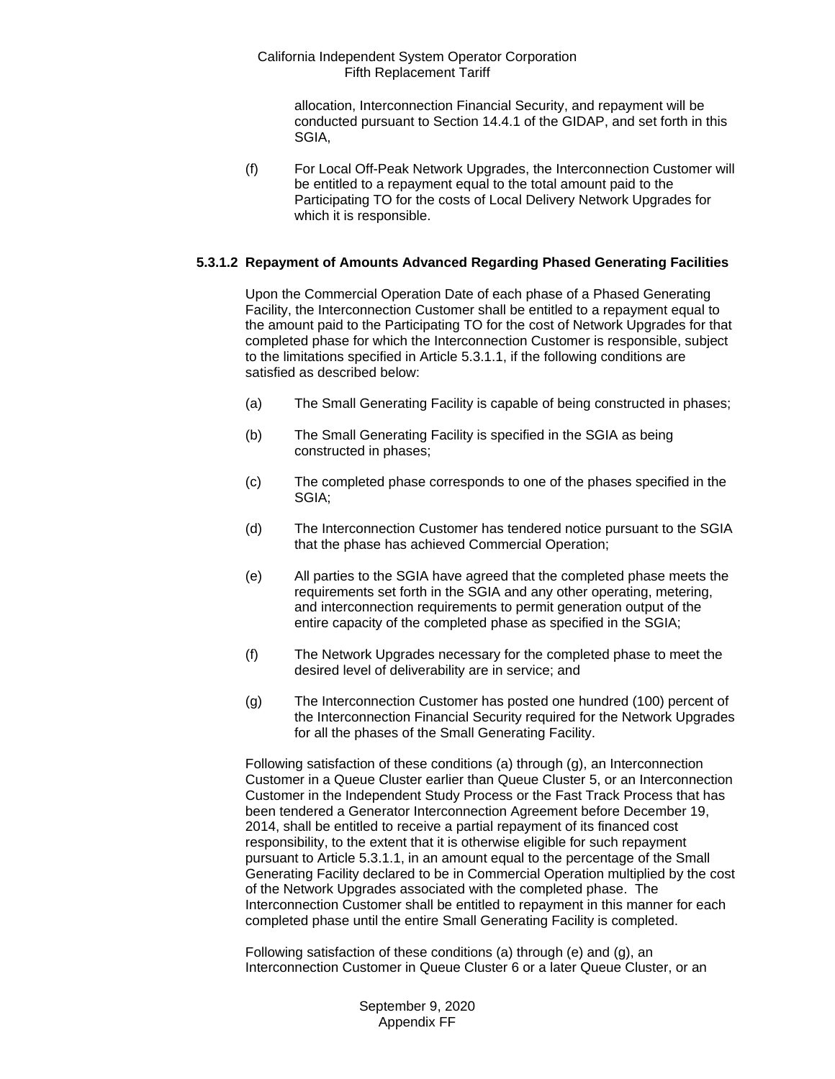allocation, Interconnection Financial Security, and repayment will be conducted pursuant to Section 14.4.1 of the GIDAP, and set forth in this SGIA,

(f) For Local Off-Peak Network Upgrades, the Interconnection Customer will be entitled to a repayment equal to the total amount paid to the Participating TO for the costs of Local Delivery Network Upgrades for which it is responsible.

## **5.3.1.2 Repayment of Amounts Advanced Regarding Phased Generating Facilities**

Upon the Commercial Operation Date of each phase of a Phased Generating Facility, the Interconnection Customer shall be entitled to a repayment equal to the amount paid to the Participating TO for the cost of Network Upgrades for that completed phase for which the Interconnection Customer is responsible, subject to the limitations specified in Article 5.3.1.1, if the following conditions are satisfied as described below:

- (a) The Small Generating Facility is capable of being constructed in phases;
- (b) The Small Generating Facility is specified in the SGIA as being constructed in phases;
- (c) The completed phase corresponds to one of the phases specified in the SGIA;
- (d) The Interconnection Customer has tendered notice pursuant to the SGIA that the phase has achieved Commercial Operation;
- (e) All parties to the SGIA have agreed that the completed phase meets the requirements set forth in the SGIA and any other operating, metering, and interconnection requirements to permit generation output of the entire capacity of the completed phase as specified in the SGIA;
- (f) The Network Upgrades necessary for the completed phase to meet the desired level of deliverability are in service; and
- (g) The Interconnection Customer has posted one hundred (100) percent of the Interconnection Financial Security required for the Network Upgrades for all the phases of the Small Generating Facility.

Following satisfaction of these conditions (a) through (g), an Interconnection Customer in a Queue Cluster earlier than Queue Cluster 5, or an Interconnection Customer in the Independent Study Process or the Fast Track Process that has been tendered a Generator Interconnection Agreement before December 19, 2014, shall be entitled to receive a partial repayment of its financed cost responsibility, to the extent that it is otherwise eligible for such repayment pursuant to Article 5.3.1.1, in an amount equal to the percentage of the Small Generating Facility declared to be in Commercial Operation multiplied by the cost of the Network Upgrades associated with the completed phase. The Interconnection Customer shall be entitled to repayment in this manner for each completed phase until the entire Small Generating Facility is completed.

Following satisfaction of these conditions (a) through (e) and (g), an Interconnection Customer in Queue Cluster 6 or a later Queue Cluster, or an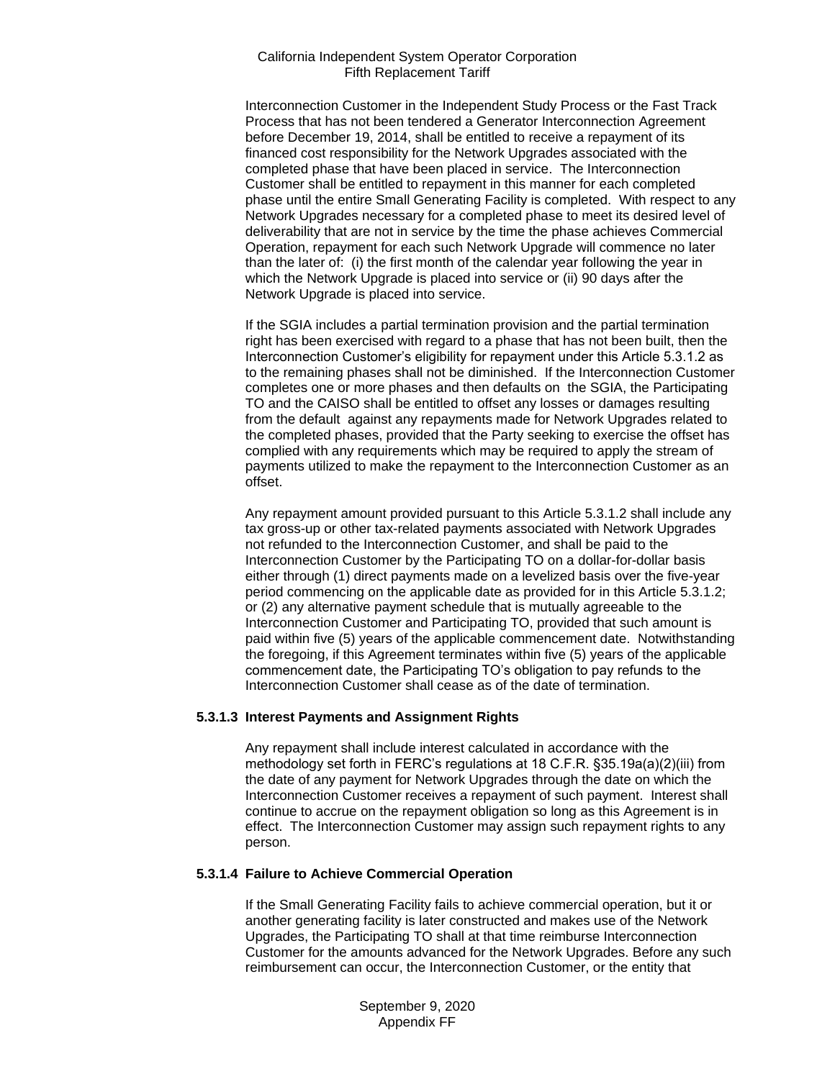Interconnection Customer in the Independent Study Process or the Fast Track Process that has not been tendered a Generator Interconnection Agreement before December 19, 2014, shall be entitled to receive a repayment of its financed cost responsibility for the Network Upgrades associated with the completed phase that have been placed in service. The Interconnection Customer shall be entitled to repayment in this manner for each completed phase until the entire Small Generating Facility is completed. With respect to any Network Upgrades necessary for a completed phase to meet its desired level of deliverability that are not in service by the time the phase achieves Commercial Operation, repayment for each such Network Upgrade will commence no later than the later of: (i) the first month of the calendar year following the year in which the Network Upgrade is placed into service or (ii) 90 days after the Network Upgrade is placed into service.

If the SGIA includes a partial termination provision and the partial termination right has been exercised with regard to a phase that has not been built, then the Interconnection Customer's eligibility for repayment under this Article 5.3.1.2 as to the remaining phases shall not be diminished. If the Interconnection Customer completes one or more phases and then defaults on the SGIA, the Participating TO and the CAISO shall be entitled to offset any losses or damages resulting from the default against any repayments made for Network Upgrades related to the completed phases, provided that the Party seeking to exercise the offset has complied with any requirements which may be required to apply the stream of payments utilized to make the repayment to the Interconnection Customer as an offset.

Any repayment amount provided pursuant to this Article 5.3.1.2 shall include any tax gross-up or other tax-related payments associated with Network Upgrades not refunded to the Interconnection Customer, and shall be paid to the Interconnection Customer by the Participating TO on a dollar-for-dollar basis either through (1) direct payments made on a levelized basis over the five-year period commencing on the applicable date as provided for in this Article 5.3.1.2; or (2) any alternative payment schedule that is mutually agreeable to the Interconnection Customer and Participating TO, provided that such amount is paid within five (5) years of the applicable commencement date. Notwithstanding the foregoing, if this Agreement terminates within five (5) years of the applicable commencement date, the Participating TO's obligation to pay refunds to the Interconnection Customer shall cease as of the date of termination.

#### **5.3.1.3 Interest Payments and Assignment Rights**

Any repayment shall include interest calculated in accordance with the methodology set forth in FERC's regulations at 18 C.F.R. §35.19a(a)(2)(iii) from the date of any payment for Network Upgrades through the date on which the Interconnection Customer receives a repayment of such payment. Interest shall continue to accrue on the repayment obligation so long as this Agreement is in effect. The Interconnection Customer may assign such repayment rights to any person.

#### **5.3.1.4 Failure to Achieve Commercial Operation**

If the Small Generating Facility fails to achieve commercial operation, but it or another generating facility is later constructed and makes use of the Network Upgrades, the Participating TO shall at that time reimburse Interconnection Customer for the amounts advanced for the Network Upgrades. Before any such reimbursement can occur, the Interconnection Customer, or the entity that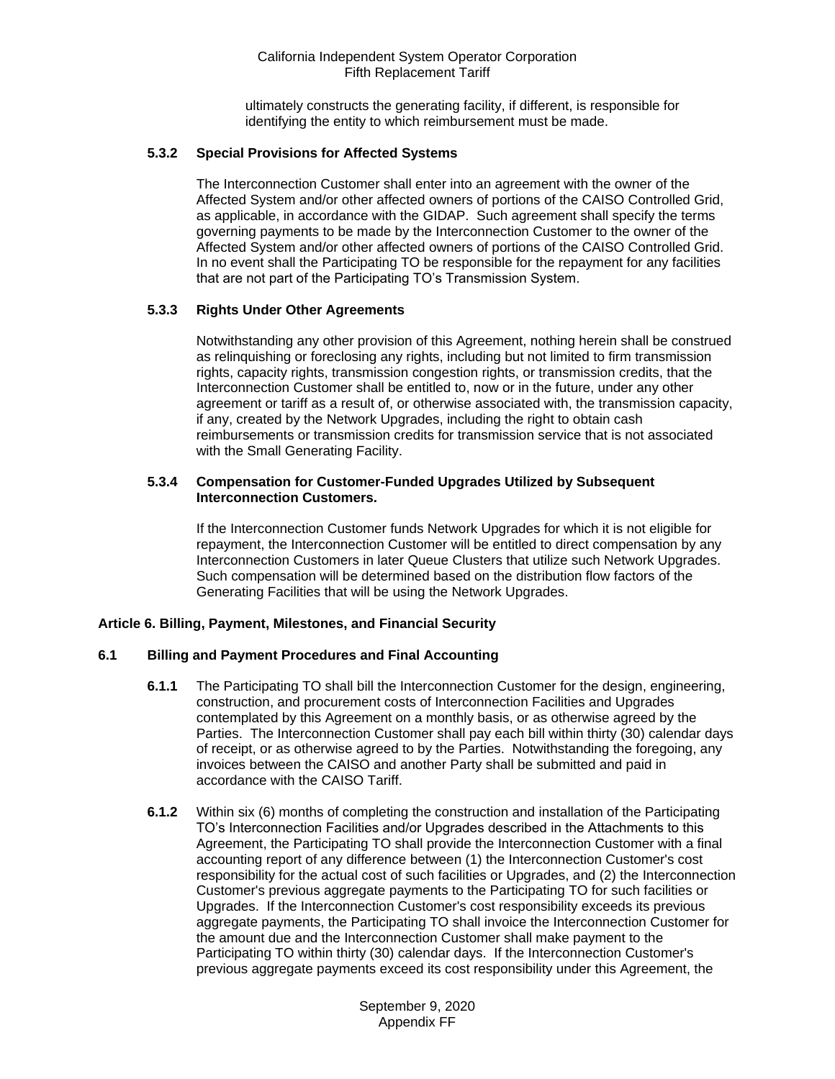ultimately constructs the generating facility, if different, is responsible for identifying the entity to which reimbursement must be made.

## **5.3.2 Special Provisions for Affected Systems**

The Interconnection Customer shall enter into an agreement with the owner of the Affected System and/or other affected owners of portions of the CAISO Controlled Grid, as applicable, in accordance with the GIDAP. Such agreement shall specify the terms governing payments to be made by the Interconnection Customer to the owner of the Affected System and/or other affected owners of portions of the CAISO Controlled Grid. In no event shall the Participating TO be responsible for the repayment for any facilities that are not part of the Participating TO's Transmission System.

## **5.3.3 Rights Under Other Agreements**

Notwithstanding any other provision of this Agreement, nothing herein shall be construed as relinquishing or foreclosing any rights, including but not limited to firm transmission rights, capacity rights, transmission congestion rights, or transmission credits, that the Interconnection Customer shall be entitled to, now or in the future, under any other agreement or tariff as a result of, or otherwise associated with, the transmission capacity, if any, created by the Network Upgrades, including the right to obtain cash reimbursements or transmission credits for transmission service that is not associated with the Small Generating Facility.

#### **5.3.4 Compensation for Customer-Funded Upgrades Utilized by Subsequent Interconnection Customers.**

If the Interconnection Customer funds Network Upgrades for which it is not eligible for repayment, the Interconnection Customer will be entitled to direct compensation by any Interconnection Customers in later Queue Clusters that utilize such Network Upgrades. Such compensation will be determined based on the distribution flow factors of the Generating Facilities that will be using the Network Upgrades.

#### <span id="page-17-0"></span>**Article 6. Billing, Payment, Milestones, and Financial Security**

## <span id="page-17-1"></span>**6.1 Billing and Payment Procedures and Final Accounting**

- **6.1.1** The Participating TO shall bill the Interconnection Customer for the design, engineering, construction, and procurement costs of Interconnection Facilities and Upgrades contemplated by this Agreement on a monthly basis, or as otherwise agreed by the Parties. The Interconnection Customer shall pay each bill within thirty (30) calendar days of receipt, or as otherwise agreed to by the Parties. Notwithstanding the foregoing, any invoices between the CAISO and another Party shall be submitted and paid in accordance with the CAISO Tariff.
- **6.1.2** Within six (6) months of completing the construction and installation of the Participating TO's Interconnection Facilities and/or Upgrades described in the Attachments to this Agreement, the Participating TO shall provide the Interconnection Customer with a final accounting report of any difference between (1) the Interconnection Customer's cost responsibility for the actual cost of such facilities or Upgrades, and (2) the Interconnection Customer's previous aggregate payments to the Participating TO for such facilities or Upgrades. If the Interconnection Customer's cost responsibility exceeds its previous aggregate payments, the Participating TO shall invoice the Interconnection Customer for the amount due and the Interconnection Customer shall make payment to the Participating TO within thirty (30) calendar days. If the Interconnection Customer's previous aggregate payments exceed its cost responsibility under this Agreement, the

September 9, 2020 Appendix FF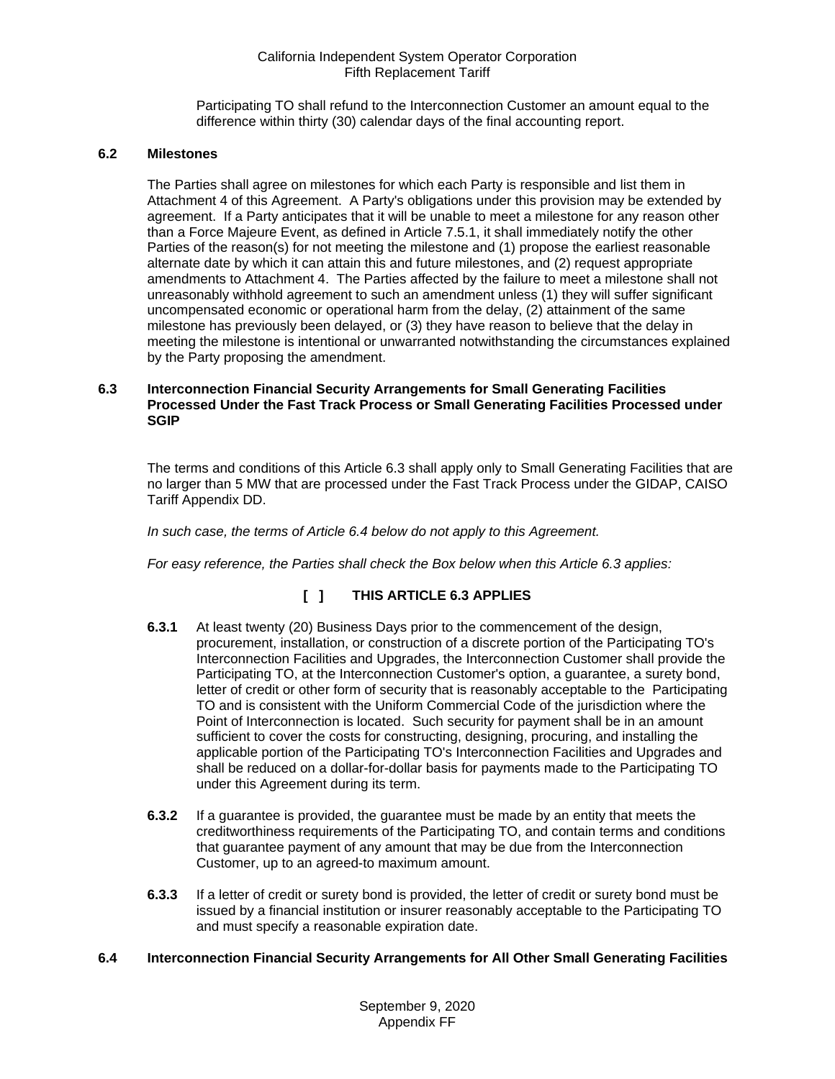Participating TO shall refund to the Interconnection Customer an amount equal to the difference within thirty (30) calendar days of the final accounting report.

# <span id="page-18-0"></span>**6.2 Milestones**

The Parties shall agree on milestones for which each Party is responsible and list them in Attachment 4 of this Agreement. A Party's obligations under this provision may be extended by agreement. If a Party anticipates that it will be unable to meet a milestone for any reason other than a Force Majeure Event, as defined in Article 7.5.1, it shall immediately notify the other Parties of the reason(s) for not meeting the milestone and (1) propose the earliest reasonable alternate date by which it can attain this and future milestones, and (2) request appropriate amendments to Attachment 4. The Parties affected by the failure to meet a milestone shall not unreasonably withhold agreement to such an amendment unless (1) they will suffer significant uncompensated economic or operational harm from the delay, (2) attainment of the same milestone has previously been delayed, or (3) they have reason to believe that the delay in meeting the milestone is intentional or unwarranted notwithstanding the circumstances explained by the Party proposing the amendment.

#### <span id="page-18-1"></span>**6.3 Interconnection Financial Security Arrangements for Small Generating Facilities Processed Under the Fast Track Process or Small Generating Facilities Processed under SGIP**

The terms and conditions of this Article 6.3 shall apply only to Small Generating Facilities that are no larger than 5 MW that are processed under the Fast Track Process under the GIDAP, CAISO Tariff Appendix DD.

*In such case, the terms of Article 6.4 below do not apply to this Agreement.*

*For easy reference, the Parties shall check the Box below when this Article 6.3 applies:* 

# **[ ] THIS ARTICLE 6.3 APPLIES**

- **6.3.1** At least twenty (20) Business Days prior to the commencement of the design, procurement, installation, or construction of a discrete portion of the Participating TO's Interconnection Facilities and Upgrades, the Interconnection Customer shall provide the Participating TO, at the Interconnection Customer's option, a guarantee, a surety bond, letter of credit or other form of security that is reasonably acceptable to the Participating TO and is consistent with the Uniform Commercial Code of the jurisdiction where the Point of Interconnection is located. Such security for payment shall be in an amount sufficient to cover the costs for constructing, designing, procuring, and installing the applicable portion of the Participating TO's Interconnection Facilities and Upgrades and shall be reduced on a dollar-for-dollar basis for payments made to the Participating TO under this Agreement during its term.
- **6.3.2** If a guarantee is provided, the guarantee must be made by an entity that meets the creditworthiness requirements of the Participating TO, and contain terms and conditions that guarantee payment of any amount that may be due from the Interconnection Customer, up to an agreed-to maximum amount.
- **6.3.3** If a letter of credit or surety bond is provided, the letter of credit or surety bond must be issued by a financial institution or insurer reasonably acceptable to the Participating TO and must specify a reasonable expiration date.

#### <span id="page-18-2"></span>**6.4 Interconnection Financial Security Arrangements for All Other Small Generating Facilities**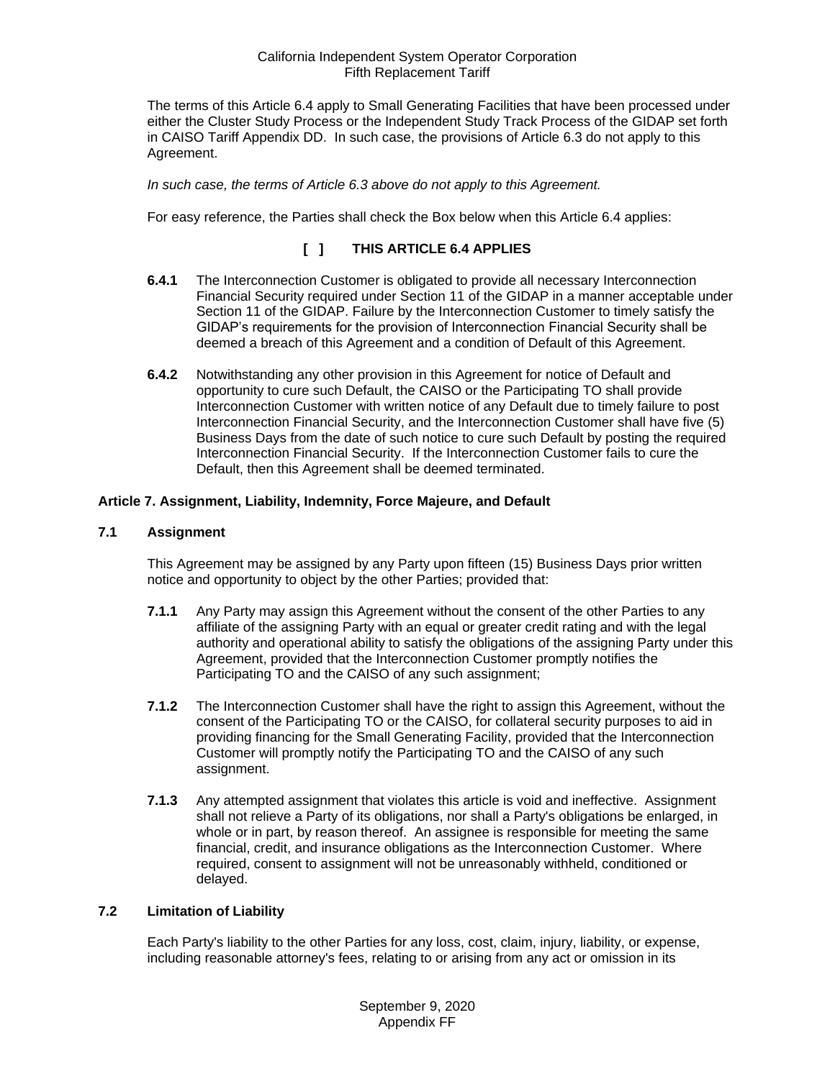The terms of this Article 6.4 apply to Small Generating Facilities that have been processed under either the Cluster Study Process or the Independent Study Track Process of the GIDAP set forth in CAISO Tariff Appendix DD. In such case, the provisions of Article 6.3 do not apply to this Agreement.

*In such case, the terms of Article 6.3 above do not apply to this Agreement.* 

For easy reference, the Parties shall check the Box below when this Article 6.4 applies:

# **[ ] THIS ARTICLE 6.4 APPLIES**

- **6.4.1** The Interconnection Customer is obligated to provide all necessary Interconnection Financial Security required under Section 11 of the GIDAP in a manner acceptable under Section 11 of the GIDAP. Failure by the Interconnection Customer to timely satisfy the GIDAP's requirements for the provision of Interconnection Financial Security shall be deemed a breach of this Agreement and a condition of Default of this Agreement.
- **6.4.2** Notwithstanding any other provision in this Agreement for notice of Default and opportunity to cure such Default, the CAISO or the Participating TO shall provide Interconnection Customer with written notice of any Default due to timely failure to post Interconnection Financial Security, and the Interconnection Customer shall have five (5) Business Days from the date of such notice to cure such Default by posting the required Interconnection Financial Security. If the Interconnection Customer fails to cure the Default, then this Agreement shall be deemed terminated.

## <span id="page-19-0"></span>**Article 7. Assignment, Liability, Indemnity, Force Majeure, and Default**

#### <span id="page-19-1"></span>**7.1 Assignment**

This Agreement may be assigned by any Party upon fifteen (15) Business Days prior written notice and opportunity to object by the other Parties; provided that:

- **7.1.1** Any Party may assign this Agreement without the consent of the other Parties to any affiliate of the assigning Party with an equal or greater credit rating and with the legal authority and operational ability to satisfy the obligations of the assigning Party under this Agreement, provided that the Interconnection Customer promptly notifies the Participating TO and the CAISO of any such assignment;
- **7.1.2** The Interconnection Customer shall have the right to assign this Agreement, without the consent of the Participating TO or the CAISO, for collateral security purposes to aid in providing financing for the Small Generating Facility, provided that the Interconnection Customer will promptly notify the Participating TO and the CAISO of any such assignment.
- **7.1.3** Any attempted assignment that violates this article is void and ineffective. Assignment shall not relieve a Party of its obligations, nor shall a Party's obligations be enlarged, in whole or in part, by reason thereof. An assignee is responsible for meeting the same financial, credit, and insurance obligations as the Interconnection Customer. Where required, consent to assignment will not be unreasonably withheld, conditioned or delayed.

#### <span id="page-19-2"></span>**7.2 Limitation of Liability**

Each Party's liability to the other Parties for any loss, cost, claim, injury, liability, or expense, including reasonable attorney's fees, relating to or arising from any act or omission in its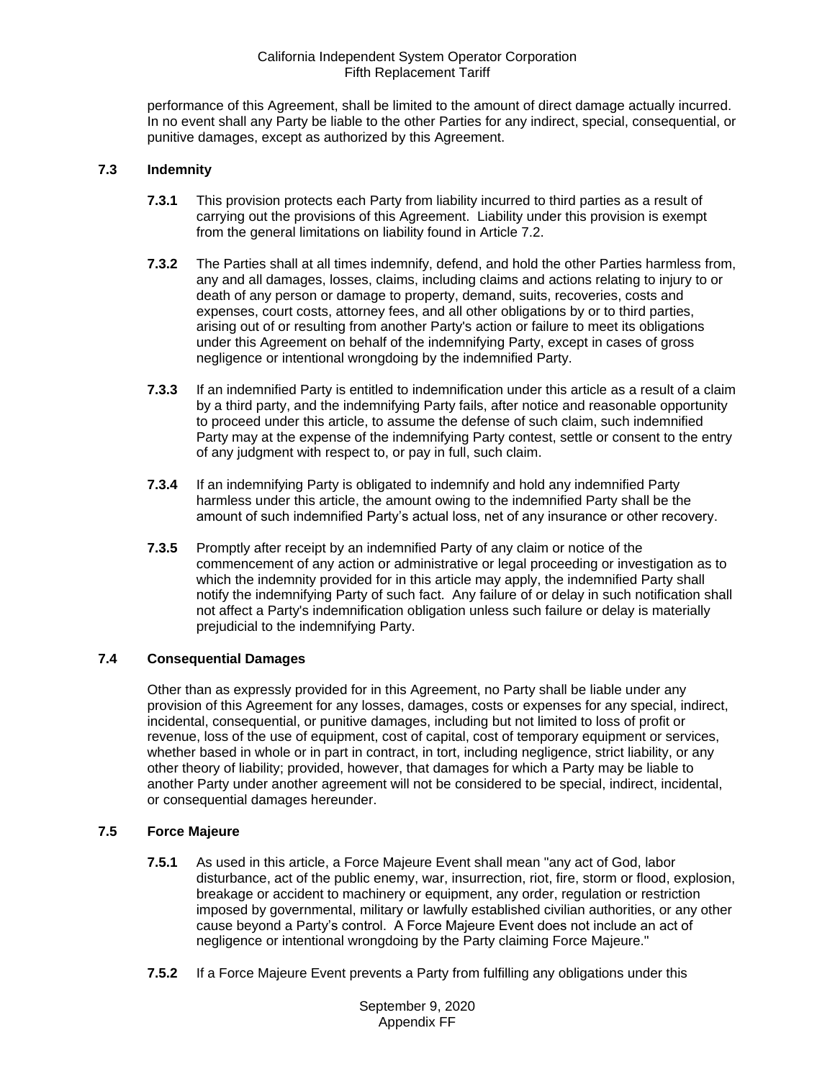performance of this Agreement, shall be limited to the amount of direct damage actually incurred. In no event shall any Party be liable to the other Parties for any indirect, special, consequential, or punitive damages, except as authorized by this Agreement.

## <span id="page-20-0"></span>**7.3 Indemnity**

- **7.3.1** This provision protects each Party from liability incurred to third parties as a result of carrying out the provisions of this Agreement. Liability under this provision is exempt from the general limitations on liability found in Article 7.2.
- **7.3.2** The Parties shall at all times indemnify, defend, and hold the other Parties harmless from, any and all damages, losses, claims, including claims and actions relating to injury to or death of any person or damage to property, demand, suits, recoveries, costs and expenses, court costs, attorney fees, and all other obligations by or to third parties, arising out of or resulting from another Party's action or failure to meet its obligations under this Agreement on behalf of the indemnifying Party, except in cases of gross negligence or intentional wrongdoing by the indemnified Party.
- **7.3.3** If an indemnified Party is entitled to indemnification under this article as a result of a claim by a third party, and the indemnifying Party fails, after notice and reasonable opportunity to proceed under this article, to assume the defense of such claim, such indemnified Party may at the expense of the indemnifying Party contest, settle or consent to the entry of any judgment with respect to, or pay in full, such claim.
- **7.3.4** If an indemnifying Party is obligated to indemnify and hold any indemnified Party harmless under this article, the amount owing to the indemnified Party shall be the amount of such indemnified Party's actual loss, net of any insurance or other recovery.
- **7.3.5** Promptly after receipt by an indemnified Party of any claim or notice of the commencement of any action or administrative or legal proceeding or investigation as to which the indemnity provided for in this article may apply, the indemnified Party shall notify the indemnifying Party of such fact. Any failure of or delay in such notification shall not affect a Party's indemnification obligation unless such failure or delay is materially prejudicial to the indemnifying Party.

## <span id="page-20-1"></span>**7.4 Consequential Damages**

Other than as expressly provided for in this Agreement, no Party shall be liable under any provision of this Agreement for any losses, damages, costs or expenses for any special, indirect, incidental, consequential, or punitive damages, including but not limited to loss of profit or revenue, loss of the use of equipment, cost of capital, cost of temporary equipment or services, whether based in whole or in part in contract, in tort, including negligence, strict liability, or any other theory of liability; provided, however, that damages for which a Party may be liable to another Party under another agreement will not be considered to be special, indirect, incidental, or consequential damages hereunder.

## <span id="page-20-2"></span>**7.5 Force Majeure**

- **7.5.1** As used in this article, a Force Majeure Event shall mean "any act of God, labor disturbance, act of the public enemy, war, insurrection, riot, fire, storm or flood, explosion, breakage or accident to machinery or equipment, any order, regulation or restriction imposed by governmental, military or lawfully established civilian authorities, or any other cause beyond a Party's control. A Force Majeure Event does not include an act of negligence or intentional wrongdoing by the Party claiming Force Majeure."
- **7.5.2** If a Force Majeure Event prevents a Party from fulfilling any obligations under this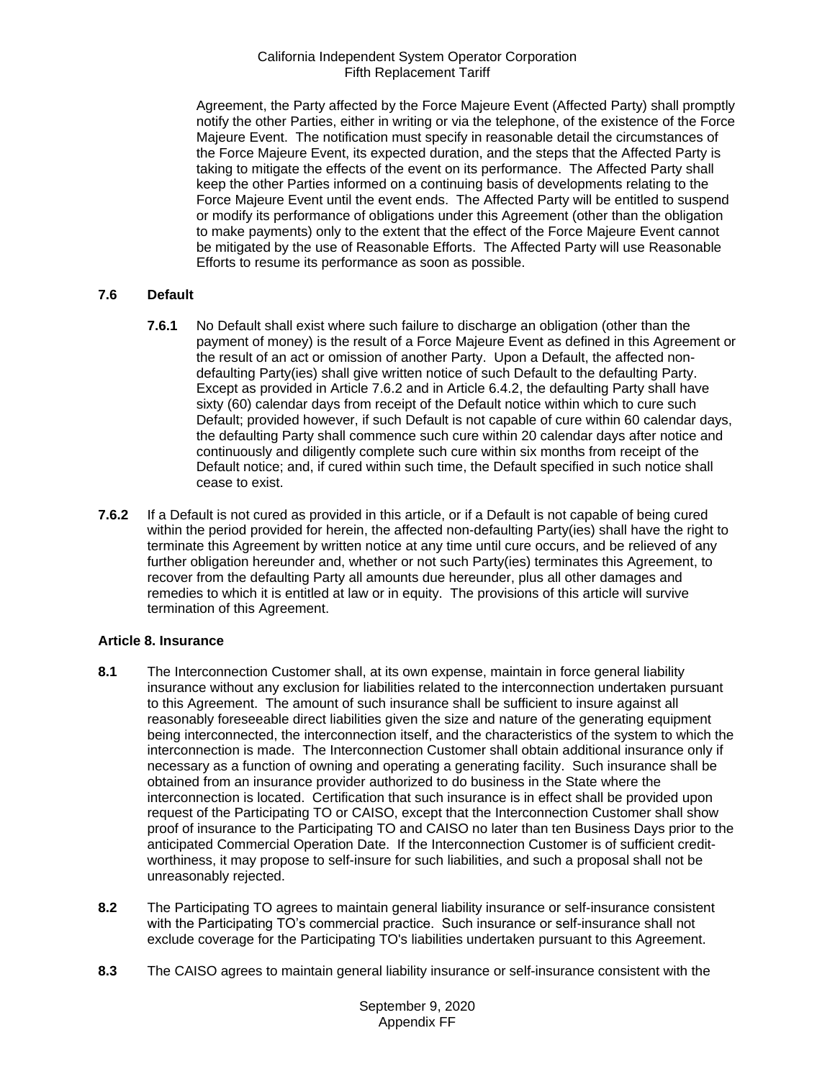Agreement, the Party affected by the Force Majeure Event (Affected Party) shall promptly notify the other Parties, either in writing or via the telephone, of the existence of the Force Majeure Event. The notification must specify in reasonable detail the circumstances of the Force Majeure Event, its expected duration, and the steps that the Affected Party is taking to mitigate the effects of the event on its performance. The Affected Party shall keep the other Parties informed on a continuing basis of developments relating to the Force Majeure Event until the event ends. The Affected Party will be entitled to suspend or modify its performance of obligations under this Agreement (other than the obligation to make payments) only to the extent that the effect of the Force Majeure Event cannot be mitigated by the use of Reasonable Efforts. The Affected Party will use Reasonable Efforts to resume its performance as soon as possible.

# <span id="page-21-0"></span>**7.6 Default**

- **7.6.1** No Default shall exist where such failure to discharge an obligation (other than the payment of money) is the result of a Force Majeure Event as defined in this Agreement or the result of an act or omission of another Party. Upon a Default, the affected nondefaulting Party(ies) shall give written notice of such Default to the defaulting Party. Except as provided in Article 7.6.2 and in Article 6.4.2, the defaulting Party shall have sixty (60) calendar days from receipt of the Default notice within which to cure such Default; provided however, if such Default is not capable of cure within 60 calendar days, the defaulting Party shall commence such cure within 20 calendar days after notice and continuously and diligently complete such cure within six months from receipt of the Default notice; and, if cured within such time, the Default specified in such notice shall cease to exist.
- **7.6.2** If a Default is not cured as provided in this article, or if a Default is not capable of being cured within the period provided for herein, the affected non-defaulting Party(ies) shall have the right to terminate this Agreement by written notice at any time until cure occurs, and be relieved of any further obligation hereunder and, whether or not such Party(ies) terminates this Agreement, to recover from the defaulting Party all amounts due hereunder, plus all other damages and remedies to which it is entitled at law or in equity. The provisions of this article will survive termination of this Agreement.

## <span id="page-21-1"></span>**Article 8. Insurance**

- <span id="page-21-2"></span>**8.1** The Interconnection Customer shall, at its own expense, maintain in force general liability insurance without any exclusion for liabilities related to the interconnection undertaken pursuant to this Agreement. The amount of such insurance shall be sufficient to insure against all reasonably foreseeable direct liabilities given the size and nature of the generating equipment being interconnected, the interconnection itself, and the characteristics of the system to which the interconnection is made. The Interconnection Customer shall obtain additional insurance only if necessary as a function of owning and operating a generating facility. Such insurance shall be obtained from an insurance provider authorized to do business in the State where the interconnection is located. Certification that such insurance is in effect shall be provided upon request of the Participating TO or CAISO, except that the Interconnection Customer shall show proof of insurance to the Participating TO and CAISO no later than ten Business Days prior to the anticipated Commercial Operation Date. If the Interconnection Customer is of sufficient creditworthiness, it may propose to self-insure for such liabilities, and such a proposal shall not be unreasonably rejected.
- <span id="page-21-3"></span>**8.2** The Participating TO agrees to maintain general liability insurance or self-insurance consistent with the Participating TO's commercial practice. Such insurance or self-insurance shall not exclude coverage for the Participating TO's liabilities undertaken pursuant to this Agreement.
- <span id="page-21-4"></span>**8.3** The CAISO agrees to maintain general liability insurance or self-insurance consistent with the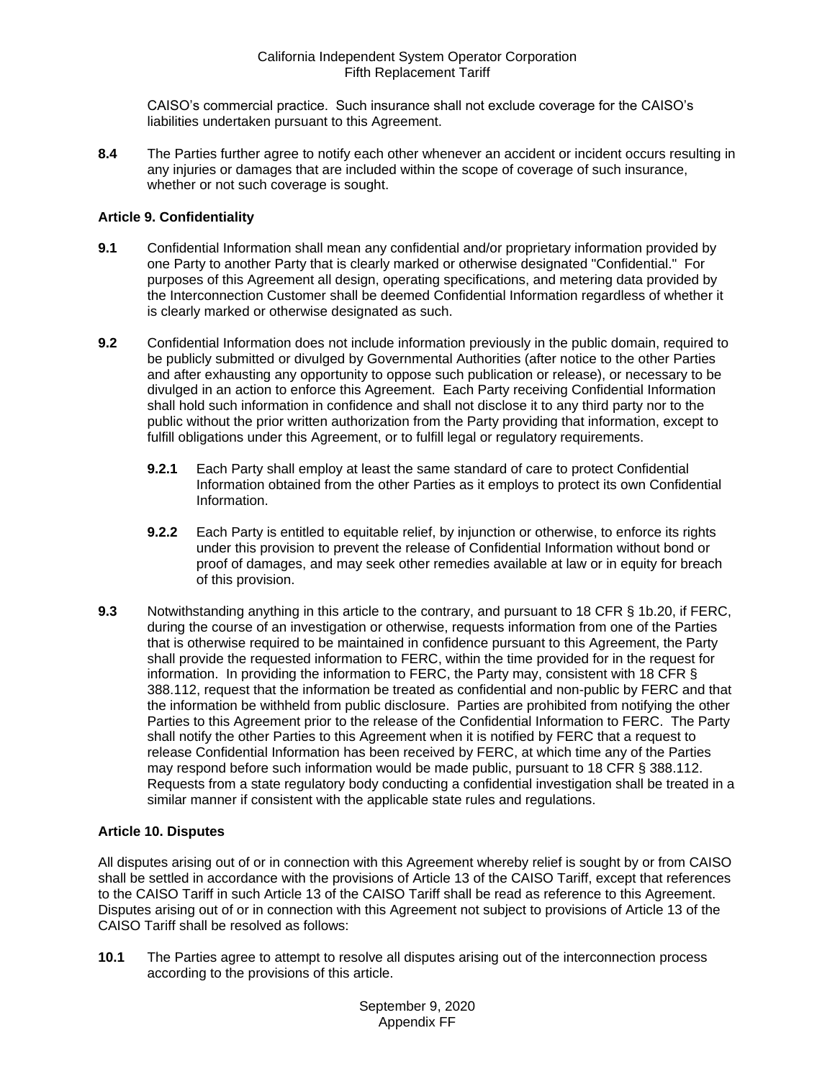CAISO's commercial practice. Such insurance shall not exclude coverage for the CAISO's liabilities undertaken pursuant to this Agreement.

<span id="page-22-0"></span>**8.4** The Parties further agree to notify each other whenever an accident or incident occurs resulting in any injuries or damages that are included within the scope of coverage of such insurance, whether or not such coverage is sought.

## <span id="page-22-1"></span>**Article 9. Confidentiality**

- <span id="page-22-2"></span>**9.1** Confidential Information shall mean any confidential and/or proprietary information provided by one Party to another Party that is clearly marked or otherwise designated "Confidential." For purposes of this Agreement all design, operating specifications, and metering data provided by the Interconnection Customer shall be deemed Confidential Information regardless of whether it is clearly marked or otherwise designated as such.
- <span id="page-22-3"></span>**9.2** Confidential Information does not include information previously in the public domain, required to be publicly submitted or divulged by Governmental Authorities (after notice to the other Parties and after exhausting any opportunity to oppose such publication or release), or necessary to be divulged in an action to enforce this Agreement. Each Party receiving Confidential Information shall hold such information in confidence and shall not disclose it to any third party nor to the public without the prior written authorization from the Party providing that information, except to fulfill obligations under this Agreement, or to fulfill legal or regulatory requirements.
	- **9.2.1** Each Party shall employ at least the same standard of care to protect Confidential Information obtained from the other Parties as it employs to protect its own Confidential Information.
	- **9.2.2** Each Party is entitled to equitable relief, by injunction or otherwise, to enforce its rights under this provision to prevent the release of Confidential Information without bond or proof of damages, and may seek other remedies available at law or in equity for breach of this provision.
- <span id="page-22-4"></span>**9.3** Notwithstanding anything in this article to the contrary, and pursuant to 18 CFR § 1b.20, if FERC, during the course of an investigation or otherwise, requests information from one of the Parties that is otherwise required to be maintained in confidence pursuant to this Agreement, the Party shall provide the requested information to FERC, within the time provided for in the request for information. In providing the information to FERC, the Party may, consistent with 18 CFR § 388.112, request that the information be treated as confidential and non-public by FERC and that the information be withheld from public disclosure. Parties are prohibited from notifying the other Parties to this Agreement prior to the release of the Confidential Information to FERC. The Party shall notify the other Parties to this Agreement when it is notified by FERC that a request to release Confidential Information has been received by FERC, at which time any of the Parties may respond before such information would be made public, pursuant to 18 CFR § 388.112. Requests from a state regulatory body conducting a confidential investigation shall be treated in a similar manner if consistent with the applicable state rules and regulations.

## <span id="page-22-5"></span>**Article 10. Disputes**

All disputes arising out of or in connection with this Agreement whereby relief is sought by or from CAISO shall be settled in accordance with the provisions of Article 13 of the CAISO Tariff, except that references to the CAISO Tariff in such Article 13 of the CAISO Tariff shall be read as reference to this Agreement. Disputes arising out of or in connection with this Agreement not subject to provisions of Article 13 of the CAISO Tariff shall be resolved as follows:

<span id="page-22-6"></span>**10.1** The Parties agree to attempt to resolve all disputes arising out of the interconnection process according to the provisions of this article.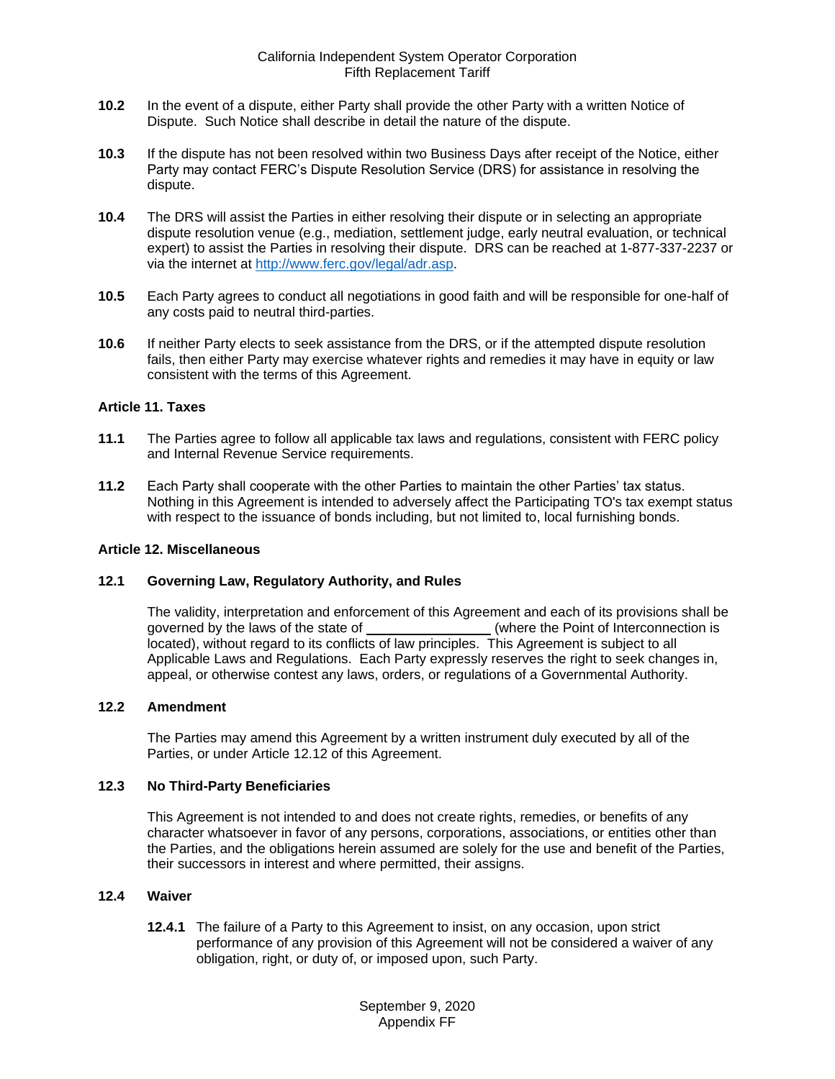- <span id="page-23-0"></span>**10.2** In the event of a dispute, either Party shall provide the other Party with a written Notice of Dispute. Such Notice shall describe in detail the nature of the dispute.
- <span id="page-23-1"></span>**10.3** If the dispute has not been resolved within two Business Days after receipt of the Notice, either Party may contact FERC's Dispute Resolution Service (DRS) for assistance in resolving the dispute.
- <span id="page-23-2"></span>**10.4** The DRS will assist the Parties in either resolving their dispute or in selecting an appropriate dispute resolution venue (e.g., mediation, settlement judge, early neutral evaluation, or technical expert) to assist the Parties in resolving their dispute. DRS can be reached at 1-877-337-2237 or via the internet at [http://www.ferc.gov/legal/adr.asp.](http://www.ferc.gov/legal/adr.asp)
- <span id="page-23-3"></span>**10.5** Each Party agrees to conduct all negotiations in good faith and will be responsible for one-half of any costs paid to neutral third-parties.
- <span id="page-23-4"></span>**10.6** If neither Party elects to seek assistance from the DRS, or if the attempted dispute resolution fails, then either Party may exercise whatever rights and remedies it may have in equity or law consistent with the terms of this Agreement.

#### <span id="page-23-5"></span>**Article 11. Taxes**

- <span id="page-23-6"></span>**11.1** The Parties agree to follow all applicable tax laws and regulations, consistent with FERC policy and Internal Revenue Service requirements.
- <span id="page-23-7"></span>**11.2** Each Party shall cooperate with the other Parties to maintain the other Parties' tax status. Nothing in this Agreement is intended to adversely affect the Participating TO's tax exempt status with respect to the issuance of bonds including, but not limited to, local furnishing bonds.

#### <span id="page-23-8"></span>**Article 12. Miscellaneous**

#### <span id="page-23-9"></span>**12.1 Governing Law, Regulatory Authority, and Rules**

The validity, interpretation and enforcement of this Agreement and each of its provisions shall be governed by the laws of the state of \_\_\_\_\_\_\_\_\_\_\_\_\_\_\_\_\_(where the Point of Interconnection is located), without regard to its conflicts of law principles. This Agreement is subject to all Applicable Laws and Regulations. Each Party expressly reserves the right to seek changes in, appeal, or otherwise contest any laws, orders, or regulations of a Governmental Authority.

#### <span id="page-23-10"></span>**12.2 Amendment**

The Parties may amend this Agreement by a written instrument duly executed by all of the Parties, or under Article 12.12 of this Agreement.

## <span id="page-23-11"></span>**12.3 No Third-Party Beneficiaries**

This Agreement is not intended to and does not create rights, remedies, or benefits of any character whatsoever in favor of any persons, corporations, associations, or entities other than the Parties, and the obligations herein assumed are solely for the use and benefit of the Parties, their successors in interest and where permitted, their assigns.

#### <span id="page-23-12"></span>**12.4 Waiver**

**12.4.1** The failure of a Party to this Agreement to insist, on any occasion, upon strict performance of any provision of this Agreement will not be considered a waiver of any obligation, right, or duty of, or imposed upon, such Party.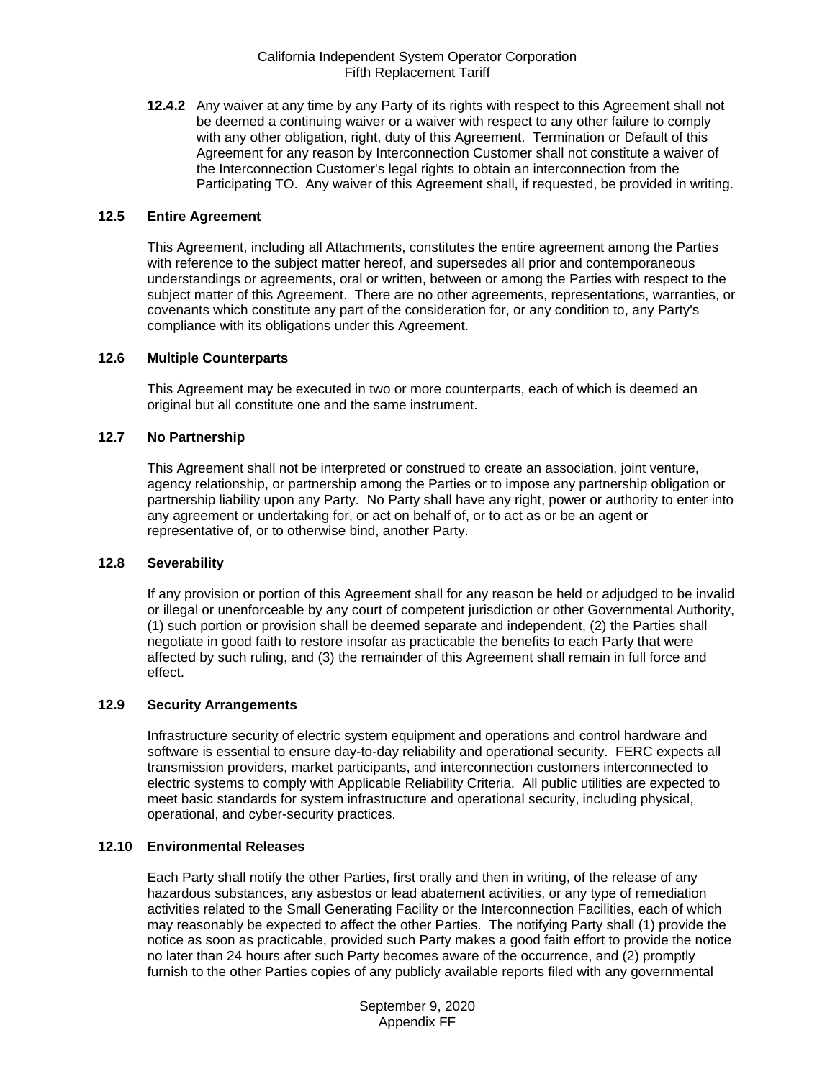**12.4.2** Any waiver at any time by any Party of its rights with respect to this Agreement shall not be deemed a continuing waiver or a waiver with respect to any other failure to comply with any other obligation, right, duty of this Agreement. Termination or Default of this Agreement for any reason by Interconnection Customer shall not constitute a waiver of the Interconnection Customer's legal rights to obtain an interconnection from the Participating TO. Any waiver of this Agreement shall, if requested, be provided in writing.

#### <span id="page-24-0"></span>**12.5 Entire Agreement**

This Agreement, including all Attachments, constitutes the entire agreement among the Parties with reference to the subject matter hereof, and supersedes all prior and contemporaneous understandings or agreements, oral or written, between or among the Parties with respect to the subject matter of this Agreement. There are no other agreements, representations, warranties, or covenants which constitute any part of the consideration for, or any condition to, any Party's compliance with its obligations under this Agreement.

## <span id="page-24-1"></span>**12.6 Multiple Counterparts**

This Agreement may be executed in two or more counterparts, each of which is deemed an original but all constitute one and the same instrument.

## <span id="page-24-2"></span>**12.7 No Partnership**

This Agreement shall not be interpreted or construed to create an association, joint venture, agency relationship, or partnership among the Parties or to impose any partnership obligation or partnership liability upon any Party. No Party shall have any right, power or authority to enter into any agreement or undertaking for, or act on behalf of, or to act as or be an agent or representative of, or to otherwise bind, another Party.

## <span id="page-24-3"></span>**12.8 Severability**

If any provision or portion of this Agreement shall for any reason be held or adjudged to be invalid or illegal or unenforceable by any court of competent jurisdiction or other Governmental Authority, (1) such portion or provision shall be deemed separate and independent, (2) the Parties shall negotiate in good faith to restore insofar as practicable the benefits to each Party that were affected by such ruling, and (3) the remainder of this Agreement shall remain in full force and effect.

## <span id="page-24-4"></span>**12.9 Security Arrangements**

Infrastructure security of electric system equipment and operations and control hardware and software is essential to ensure day-to-day reliability and operational security. FERC expects all transmission providers, market participants, and interconnection customers interconnected to electric systems to comply with Applicable Reliability Criteria. All public utilities are expected to meet basic standards for system infrastructure and operational security, including physical, operational, and cyber-security practices.

## <span id="page-24-5"></span>**12.10 Environmental Releases**

Each Party shall notify the other Parties, first orally and then in writing, of the release of any hazardous substances, any asbestos or lead abatement activities, or any type of remediation activities related to the Small Generating Facility or the Interconnection Facilities, each of which may reasonably be expected to affect the other Parties. The notifying Party shall (1) provide the notice as soon as practicable, provided such Party makes a good faith effort to provide the notice no later than 24 hours after such Party becomes aware of the occurrence, and (2) promptly furnish to the other Parties copies of any publicly available reports filed with any governmental

> September 9, 2020 Appendix FF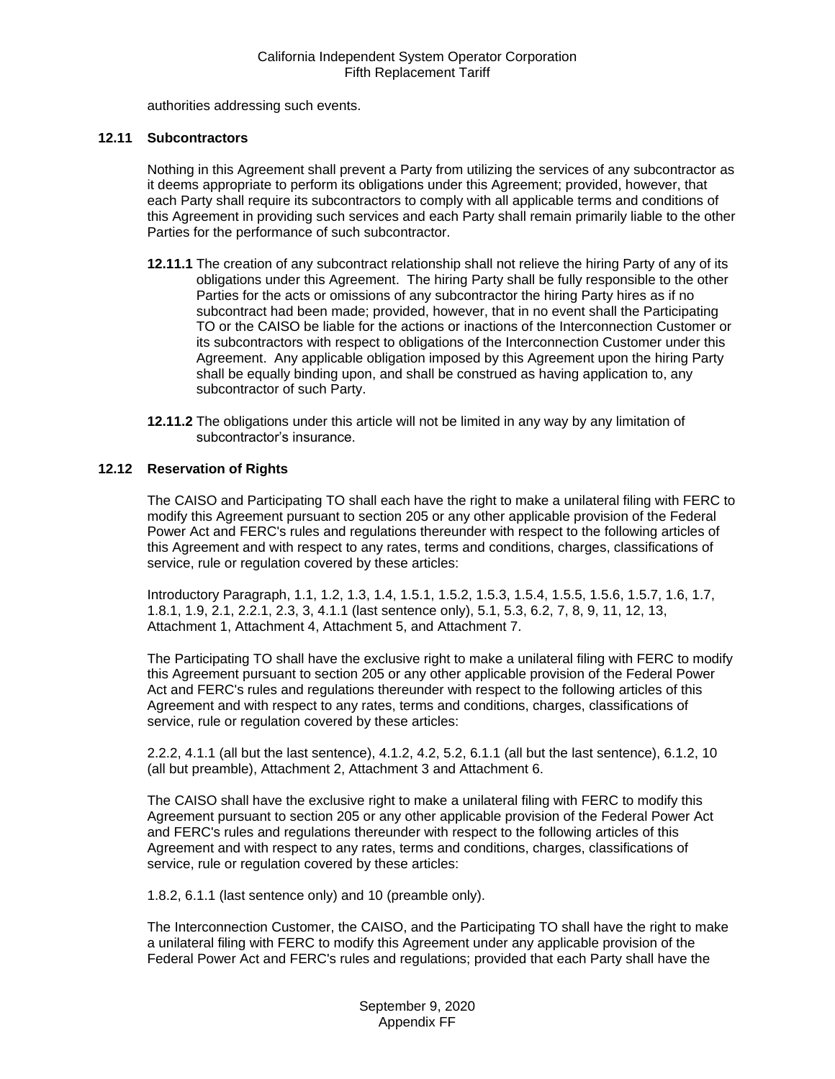authorities addressing such events.

## <span id="page-25-0"></span>**12.11 Subcontractors**

Nothing in this Agreement shall prevent a Party from utilizing the services of any subcontractor as it deems appropriate to perform its obligations under this Agreement; provided, however, that each Party shall require its subcontractors to comply with all applicable terms and conditions of this Agreement in providing such services and each Party shall remain primarily liable to the other Parties for the performance of such subcontractor.

- **12.11.1** The creation of any subcontract relationship shall not relieve the hiring Party of any of its obligations under this Agreement. The hiring Party shall be fully responsible to the other Parties for the acts or omissions of any subcontractor the hiring Party hires as if no subcontract had been made; provided, however, that in no event shall the Participating TO or the CAISO be liable for the actions or inactions of the Interconnection Customer or its subcontractors with respect to obligations of the Interconnection Customer under this Agreement. Any applicable obligation imposed by this Agreement upon the hiring Party shall be equally binding upon, and shall be construed as having application to, any subcontractor of such Party.
- **12.11.2** The obligations under this article will not be limited in any way by any limitation of subcontractor's insurance.

## <span id="page-25-1"></span>**12.12 Reservation of Rights**

The CAISO and Participating TO shall each have the right to make a unilateral filing with FERC to modify this Agreement pursuant to section 205 or any other applicable provision of the Federal Power Act and FERC's rules and regulations thereunder with respect to the following articles of this Agreement and with respect to any rates, terms and conditions, charges, classifications of service, rule or regulation covered by these articles:

Introductory Paragraph, 1.1, 1.2, 1.3, 1.4, 1.5.1, 1.5.2, 1.5.3, 1.5.4, 1.5.5, 1.5.6, 1.5.7, 1.6, 1.7, 1.8.1, 1.9, 2.1, 2.2.1, 2.3, 3, 4.1.1 (last sentence only), 5.1, 5.3, 6.2, 7, 8, 9, 11, 12, 13, Attachment 1, Attachment 4, Attachment 5, and Attachment 7.

The Participating TO shall have the exclusive right to make a unilateral filing with FERC to modify this Agreement pursuant to section 205 or any other applicable provision of the Federal Power Act and FERC's rules and regulations thereunder with respect to the following articles of this Agreement and with respect to any rates, terms and conditions, charges, classifications of service, rule or regulation covered by these articles:

2.2.2, 4.1.1 (all but the last sentence), 4.1.2, 4.2, 5.2, 6.1.1 (all but the last sentence), 6.1.2, 10 (all but preamble), Attachment 2, Attachment 3 and Attachment 6.

The CAISO shall have the exclusive right to make a unilateral filing with FERC to modify this Agreement pursuant to section 205 or any other applicable provision of the Federal Power Act and FERC's rules and regulations thereunder with respect to the following articles of this Agreement and with respect to any rates, terms and conditions, charges, classifications of service, rule or regulation covered by these articles:

1.8.2, 6.1.1 (last sentence only) and 10 (preamble only).

The Interconnection Customer, the CAISO, and the Participating TO shall have the right to make a unilateral filing with FERC to modify this Agreement under any applicable provision of the Federal Power Act and FERC's rules and regulations; provided that each Party shall have the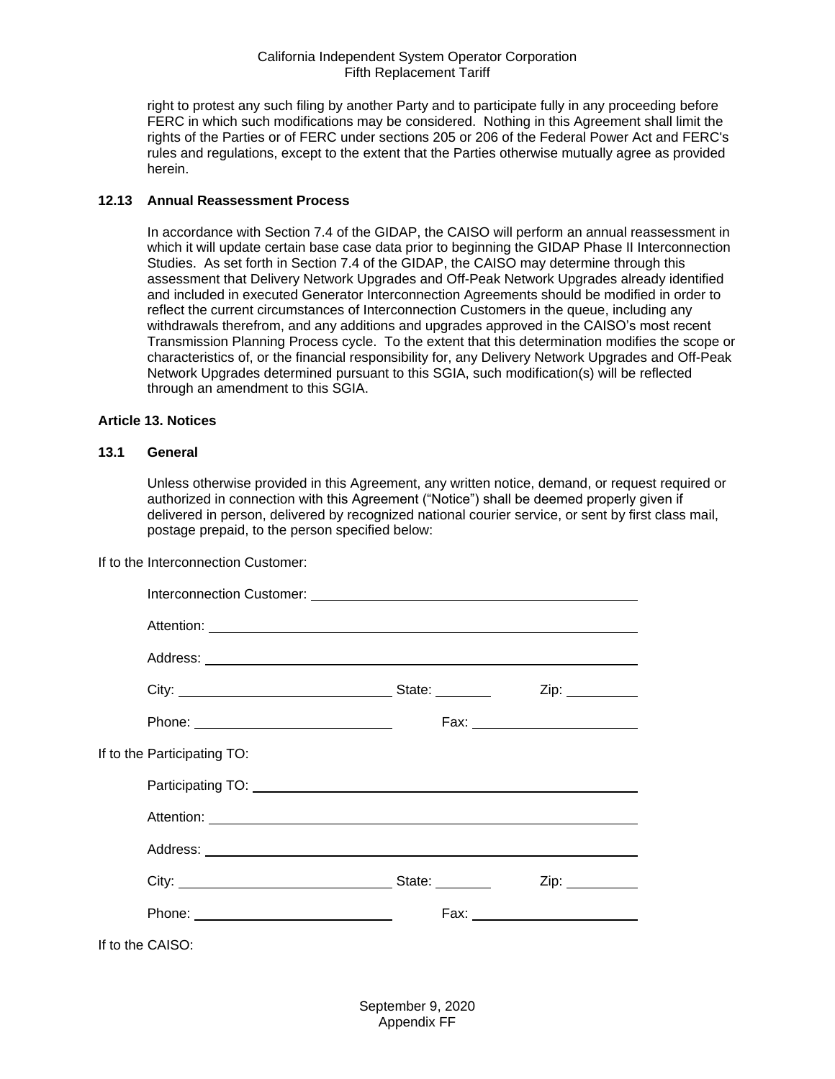right to protest any such filing by another Party and to participate fully in any proceeding before FERC in which such modifications may be considered. Nothing in this Agreement shall limit the rights of the Parties or of FERC under sections 205 or 206 of the Federal Power Act and FERC's rules and regulations, except to the extent that the Parties otherwise mutually agree as provided herein.

#### <span id="page-26-0"></span>**12.13 Annual Reassessment Process**

In accordance with Section 7.4 of the GIDAP, the CAISO will perform an annual reassessment in which it will update certain base case data prior to beginning the GIDAP Phase II Interconnection Studies. As set forth in Section 7.4 of the GIDAP, the CAISO may determine through this assessment that Delivery Network Upgrades and Off-Peak Network Upgrades already identified and included in executed Generator Interconnection Agreements should be modified in order to reflect the current circumstances of Interconnection Customers in the queue, including any withdrawals therefrom, and any additions and upgrades approved in the CAISO's most recent Transmission Planning Process cycle. To the extent that this determination modifies the scope or characteristics of, or the financial responsibility for, any Delivery Network Upgrades and Off-Peak Network Upgrades determined pursuant to this SGIA, such modification(s) will be reflected through an amendment to this SGIA.

## <span id="page-26-1"></span>**Article 13. Notices**

## <span id="page-26-2"></span>**13.1 General**

Unless otherwise provided in this Agreement, any written notice, demand, or request required or authorized in connection with this Agreement ("Notice") shall be deemed properly given if delivered in person, delivered by recognized national courier service, or sent by first class mail, postage prepaid, to the person specified below:

If to the Interconnection Customer:

|                  | Interconnection Customer: <u>contained and contained</u> and contained a late of the late of the late of the late of the |  |      |
|------------------|--------------------------------------------------------------------------------------------------------------------------|--|------|
|                  |                                                                                                                          |  |      |
|                  |                                                                                                                          |  |      |
|                  |                                                                                                                          |  |      |
|                  |                                                                                                                          |  |      |
|                  | If to the Participating TO:                                                                                              |  |      |
|                  | Participating TO: National Participating TO:                                                                             |  |      |
|                  |                                                                                                                          |  |      |
|                  |                                                                                                                          |  |      |
|                  |                                                                                                                          |  | Zip: |
|                  |                                                                                                                          |  |      |
| If to the CAISO: |                                                                                                                          |  |      |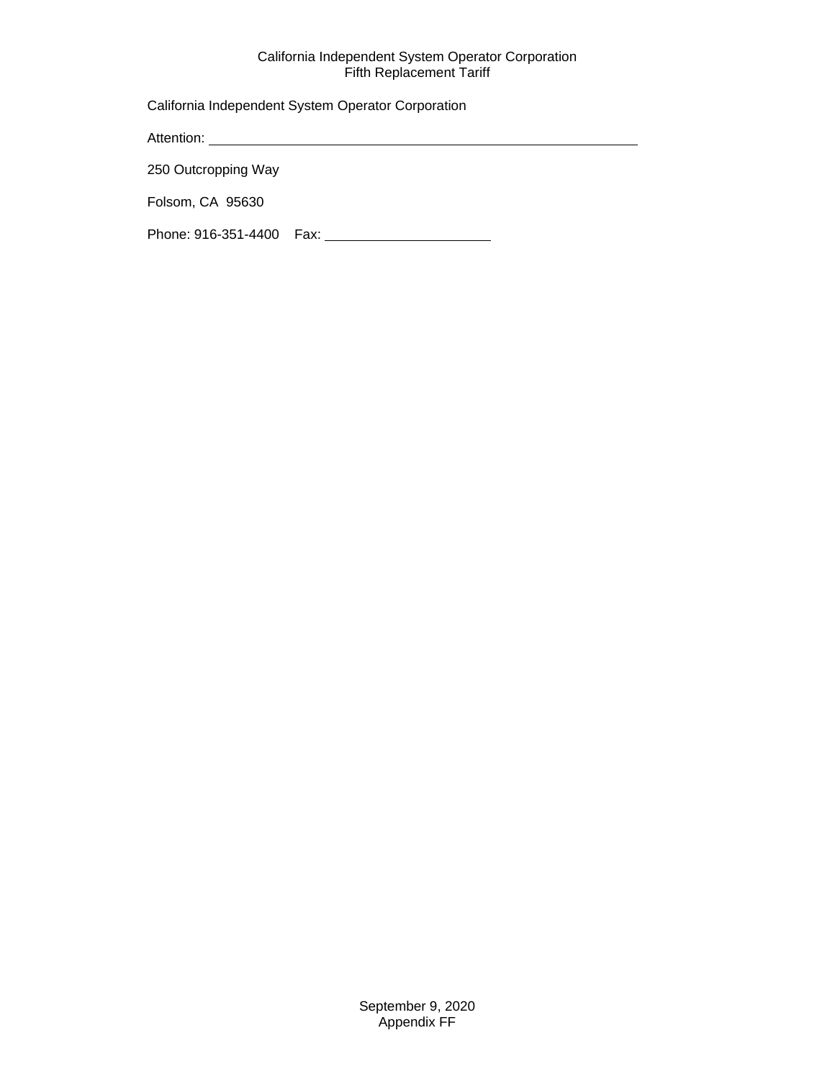California Independent System Operator Corporation

Attention:

250 Outcropping Way

Folsom, CA 95630

Phone: 916-351-4400 Fax: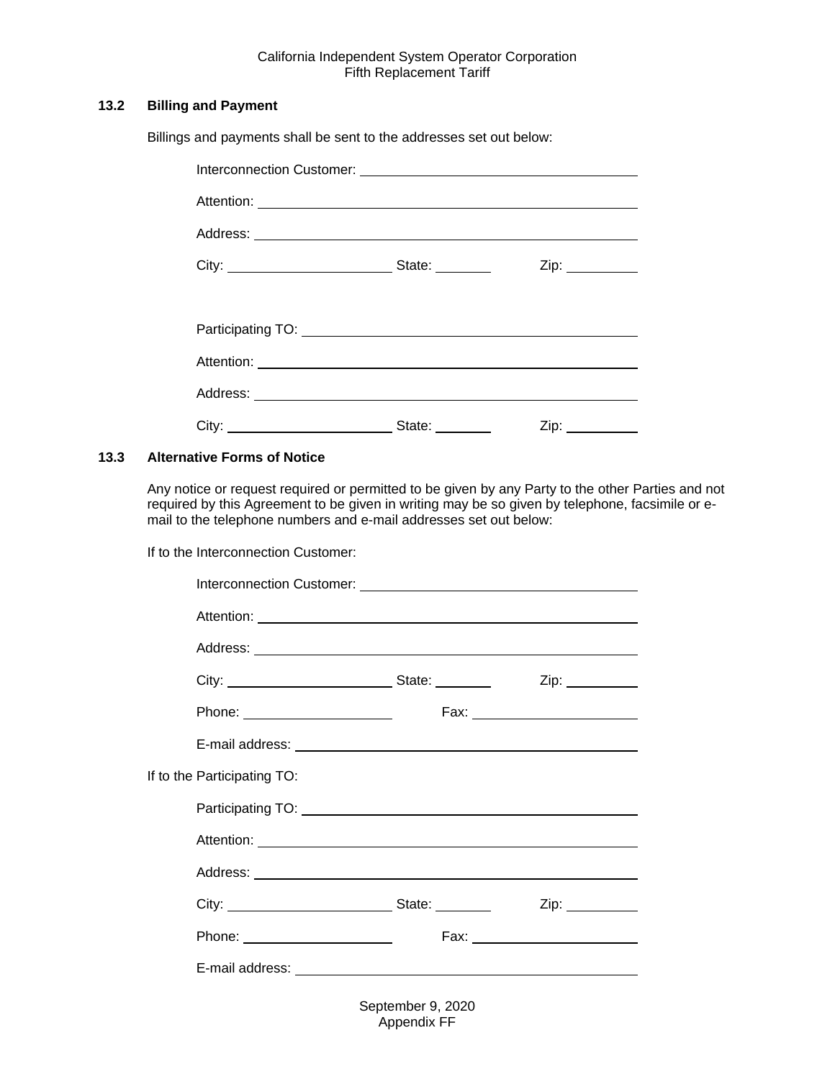## <span id="page-28-0"></span>**13.2 Billing and Payment**

Billings and payments shall be sent to the addresses set out below:

| Participating TO: Network and Contact the Contact of the Contact of the Contact of the Contact of the Contact of the Contact of the Contact of the Contact of the Contact of the Contact of the Contact of the Contact of the |                |  |
|-------------------------------------------------------------------------------------------------------------------------------------------------------------------------------------------------------------------------------|----------------|--|
|                                                                                                                                                                                                                               |                |  |
|                                                                                                                                                                                                                               |                |  |
|                                                                                                                                                                                                                               | State: _______ |  |

## <span id="page-28-1"></span>**13.3 Alternative Forms of Notice**

Any notice or request required or permitted to be given by any Party to the other Parties and not required by this Agreement to be given in writing may be so given by telephone, facsimile or email to the telephone numbers and e-mail addresses set out below:

If to the Interconnection Customer:

|                                 | Interconnection Customer: <u>contract and contract and contract and contract and contract and contract and contract and contract and contract and contract and contract and contract and contract and contract and contract and </u> |      |
|---------------------------------|--------------------------------------------------------------------------------------------------------------------------------------------------------------------------------------------------------------------------------------|------|
|                                 |                                                                                                                                                                                                                                      |      |
|                                 |                                                                                                                                                                                                                                      |      |
|                                 |                                                                                                                                                                                                                                      |      |
| Phone: ________________________ |                                                                                                                                                                                                                                      |      |
|                                 |                                                                                                                                                                                                                                      |      |
| If to the Participating TO:     |                                                                                                                                                                                                                                      |      |
|                                 |                                                                                                                                                                                                                                      |      |
|                                 |                                                                                                                                                                                                                                      |      |
|                                 |                                                                                                                                                                                                                                      |      |
|                                 |                                                                                                                                                                                                                                      | Zip: |
|                                 |                                                                                                                                                                                                                                      |      |
|                                 |                                                                                                                                                                                                                                      |      |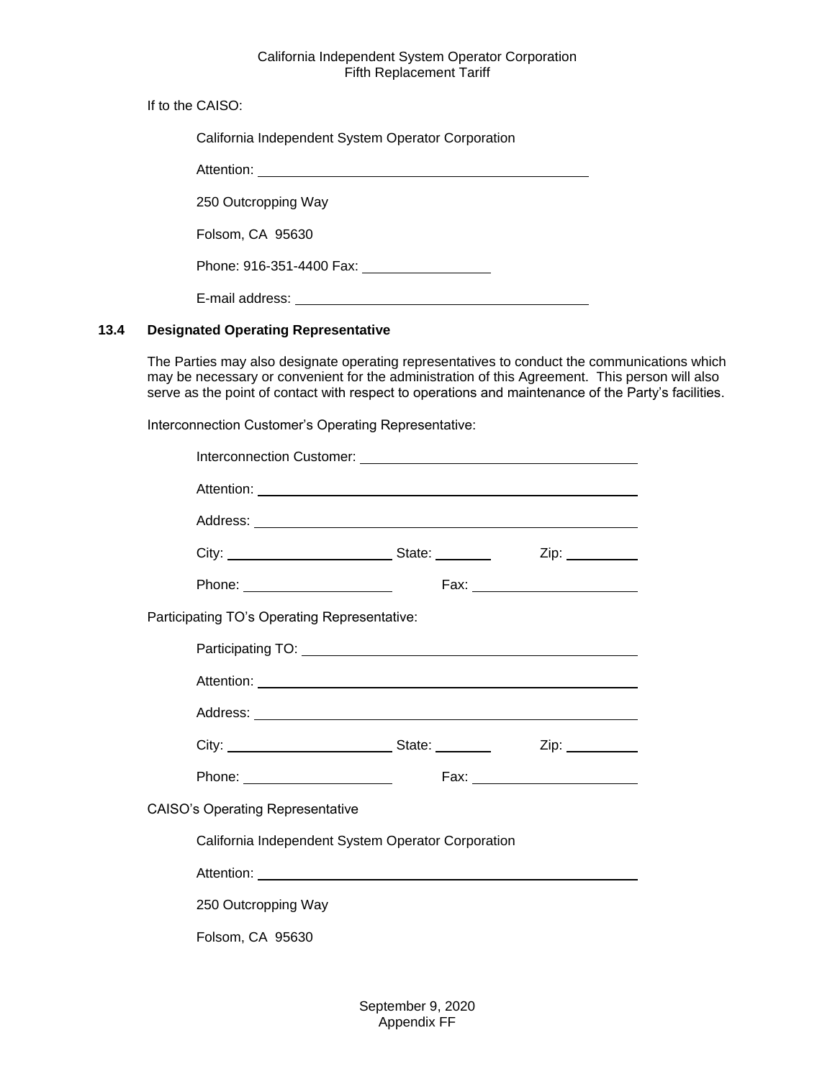If to the CAISO:

| California Independent System Operator Corporation |  |  |  |
|----------------------------------------------------|--|--|--|
|                                                    |  |  |  |
| 250 Outcropping Way                                |  |  |  |
| Folsom, CA 95630                                   |  |  |  |
| Phone: 916-351-4400 Fax:                           |  |  |  |
| E-mail address:                                    |  |  |  |

# <span id="page-29-0"></span>**13.4 Designated Operating Representative**

The Parties may also designate operating representatives to conduct the communications which may be necessary or convenient for the administration of this Agreement. This person will also serve as the point of contact with respect to operations and maintenance of the Party's facilities.

Interconnection Customer's Operating Representative:

|                                                    |  |  | Zip: __________                |
|----------------------------------------------------|--|--|--------------------------------|
| Phone: _________________________                   |  |  | Fax: _________________________ |
| Participating TO's Operating Representative:       |  |  |                                |
|                                                    |  |  |                                |
|                                                    |  |  |                                |
|                                                    |  |  |                                |
|                                                    |  |  |                                |
|                                                    |  |  |                                |
| <b>CAISO's Operating Representative</b>            |  |  |                                |
| California Independent System Operator Corporation |  |  |                                |
|                                                    |  |  |                                |
| 250 Outcropping Way                                |  |  |                                |
| Folsom, CA 95630                                   |  |  |                                |
|                                                    |  |  |                                |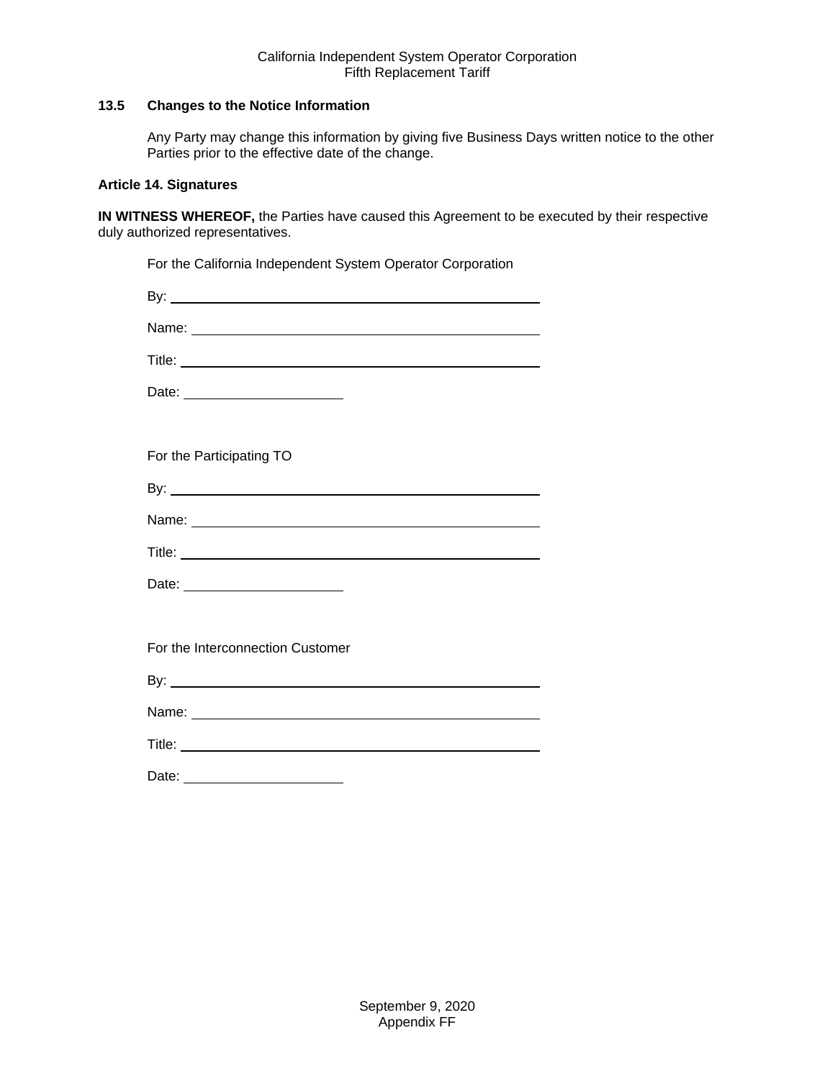## <span id="page-30-0"></span>**13.5 Changes to the Notice Information**

Any Party may change this information by giving five Business Days written notice to the other Parties prior to the effective date of the change.

## <span id="page-30-1"></span>**Article 14. Signatures**

**IN WITNESS WHEREOF,** the Parties have caused this Agreement to be executed by their respective duly authorized representatives.

| For the California Independent System Operator Corporation |
|------------------------------------------------------------|
|                                                            |
|                                                            |
|                                                            |
| Date: _________________________                            |
|                                                            |
| For the Participating TO                                   |
|                                                            |
|                                                            |
|                                                            |
| Date: _________________________                            |
|                                                            |
| For the Interconnection Customer                           |
|                                                            |
|                                                            |
|                                                            |
| Date:                                                      |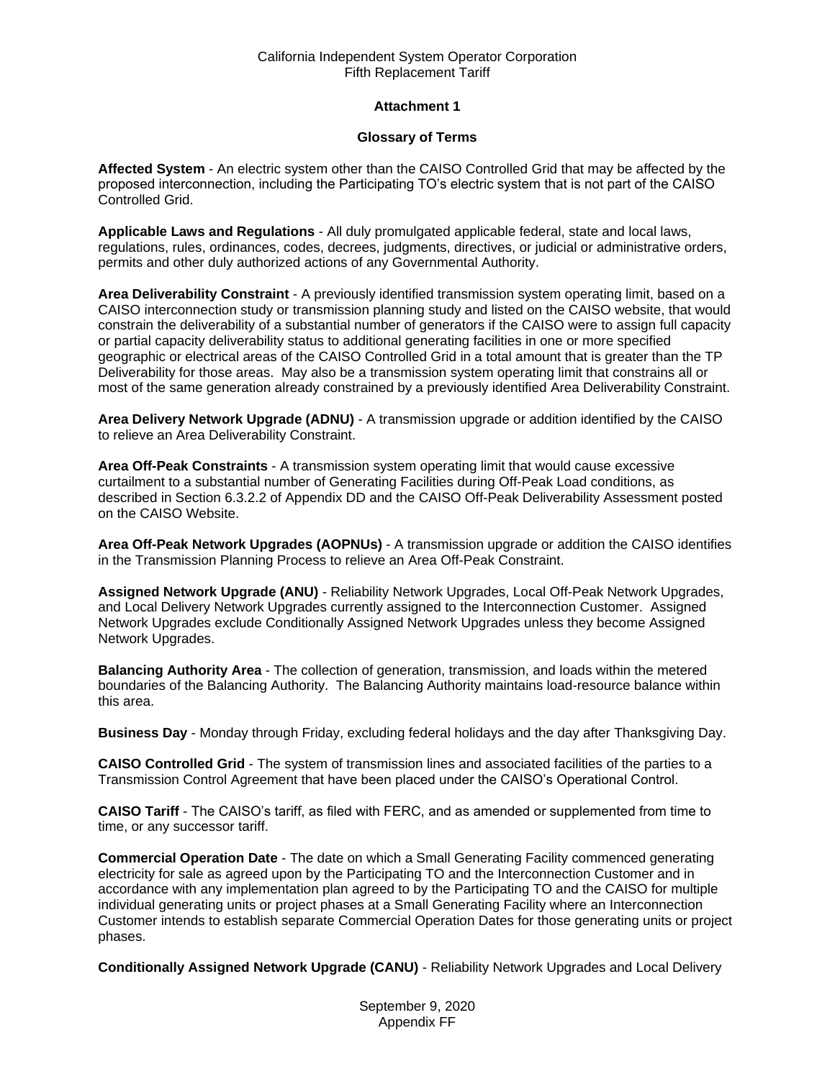## **Attachment 1**

## **Glossary of Terms**

**Affected System** - An electric system other than the CAISO Controlled Grid that may be affected by the proposed interconnection, including the Participating TO's electric system that is not part of the CAISO Controlled Grid.

**Applicable Laws and Regulations** - All duly promulgated applicable federal, state and local laws, regulations, rules, ordinances, codes, decrees, judgments, directives, or judicial or administrative orders, permits and other duly authorized actions of any Governmental Authority.

**Area Deliverability Constraint** - A previously identified transmission system operating limit, based on a CAISO interconnection study or transmission planning study and listed on the CAISO website, that would constrain the deliverability of a substantial number of generators if the CAISO were to assign full capacity or partial capacity deliverability status to additional generating facilities in one or more specified geographic or electrical areas of the CAISO Controlled Grid in a total amount that is greater than the TP Deliverability for those areas. May also be a transmission system operating limit that constrains all or most of the same generation already constrained by a previously identified Area Deliverability Constraint.

**Area Delivery Network Upgrade (ADNU)** - A transmission upgrade or addition identified by the CAISO to relieve an Area Deliverability Constraint.

**Area Off-Peak Constraints** - A transmission system operating limit that would cause excessive curtailment to a substantial number of Generating Facilities during Off-Peak Load conditions, as described in Section 6.3.2.2 of Appendix DD and the CAISO Off-Peak Deliverability Assessment posted on the CAISO Website.

**Area Off-Peak Network Upgrades (AOPNUs)** - A transmission upgrade or addition the CAISO identifies in the Transmission Planning Process to relieve an Area Off-Peak Constraint.

**Assigned Network Upgrade (ANU)** - Reliability Network Upgrades, Local Off-Peak Network Upgrades, and Local Delivery Network Upgrades currently assigned to the Interconnection Customer. Assigned Network Upgrades exclude Conditionally Assigned Network Upgrades unless they become Assigned Network Upgrades.

**Balancing Authority Area** - The collection of generation, transmission, and loads within the metered boundaries of the Balancing Authority. The Balancing Authority maintains load-resource balance within this area.

**Business Day** - Monday through Friday, excluding federal holidays and the day after Thanksgiving Day.

**CAISO Controlled Grid** - The system of transmission lines and associated facilities of the parties to a Transmission Control Agreement that have been placed under the CAISO's Operational Control.

**CAISO Tariff** - The CAISO's tariff, as filed with FERC, and as amended or supplemented from time to time, or any successor tariff.

**Commercial Operation Date** - The date on which a Small Generating Facility commenced generating electricity for sale as agreed upon by the Participating TO and the Interconnection Customer and in accordance with any implementation plan agreed to by the Participating TO and the CAISO for multiple individual generating units or project phases at a Small Generating Facility where an Interconnection Customer intends to establish separate Commercial Operation Dates for those generating units or project phases.

**Conditionally Assigned Network Upgrade (CANU)** - Reliability Network Upgrades and Local Delivery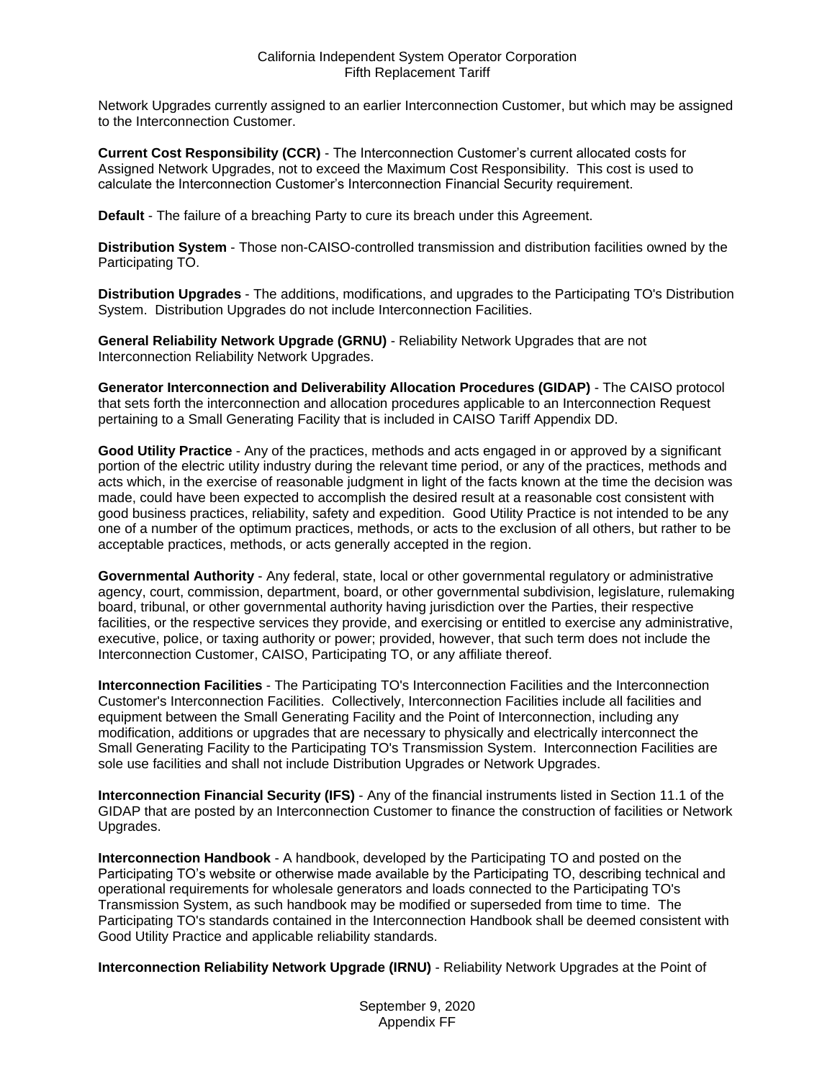Network Upgrades currently assigned to an earlier Interconnection Customer, but which may be assigned to the Interconnection Customer.

**Current Cost Responsibility (CCR)** - The Interconnection Customer's current allocated costs for Assigned Network Upgrades, not to exceed the Maximum Cost Responsibility. This cost is used to calculate the Interconnection Customer's Interconnection Financial Security requirement.

**Default** - The failure of a breaching Party to cure its breach under this Agreement.

**Distribution System** - Those non-CAISO-controlled transmission and distribution facilities owned by the Participating TO.

**Distribution Upgrades** - The additions, modifications, and upgrades to the Participating TO's Distribution System. Distribution Upgrades do not include Interconnection Facilities.

**General Reliability Network Upgrade (GRNU)** - Reliability Network Upgrades that are not Interconnection Reliability Network Upgrades.

**Generator Interconnection and Deliverability Allocation Procedures (GIDAP)** - The CAISO protocol that sets forth the interconnection and allocation procedures applicable to an Interconnection Request pertaining to a Small Generating Facility that is included in CAISO Tariff Appendix DD.

**Good Utility Practice** - Any of the practices, methods and acts engaged in or approved by a significant portion of the electric utility industry during the relevant time period, or any of the practices, methods and acts which, in the exercise of reasonable judgment in light of the facts known at the time the decision was made, could have been expected to accomplish the desired result at a reasonable cost consistent with good business practices, reliability, safety and expedition. Good Utility Practice is not intended to be any one of a number of the optimum practices, methods, or acts to the exclusion of all others, but rather to be acceptable practices, methods, or acts generally accepted in the region.

**Governmental Authority** - Any federal, state, local or other governmental regulatory or administrative agency, court, commission, department, board, or other governmental subdivision, legislature, rulemaking board, tribunal, or other governmental authority having jurisdiction over the Parties, their respective facilities, or the respective services they provide, and exercising or entitled to exercise any administrative, executive, police, or taxing authority or power; provided, however, that such term does not include the Interconnection Customer, CAISO, Participating TO, or any affiliate thereof.

**Interconnection Facilities** - The Participating TO's Interconnection Facilities and the Interconnection Customer's Interconnection Facilities. Collectively, Interconnection Facilities include all facilities and equipment between the Small Generating Facility and the Point of Interconnection, including any modification, additions or upgrades that are necessary to physically and electrically interconnect the Small Generating Facility to the Participating TO's Transmission System. Interconnection Facilities are sole use facilities and shall not include Distribution Upgrades or Network Upgrades.

**Interconnection Financial Security (IFS)** - Any of the financial instruments listed in Section 11.1 of the GIDAP that are posted by an Interconnection Customer to finance the construction of facilities or Network Upgrades.

**Interconnection Handbook** - A handbook, developed by the Participating TO and posted on the Participating TO's website or otherwise made available by the Participating TO, describing technical and operational requirements for wholesale generators and loads connected to the Participating TO's Transmission System, as such handbook may be modified or superseded from time to time. The Participating TO's standards contained in the Interconnection Handbook shall be deemed consistent with Good Utility Practice and applicable reliability standards.

**Interconnection Reliability Network Upgrade (IRNU)** - Reliability Network Upgrades at the Point of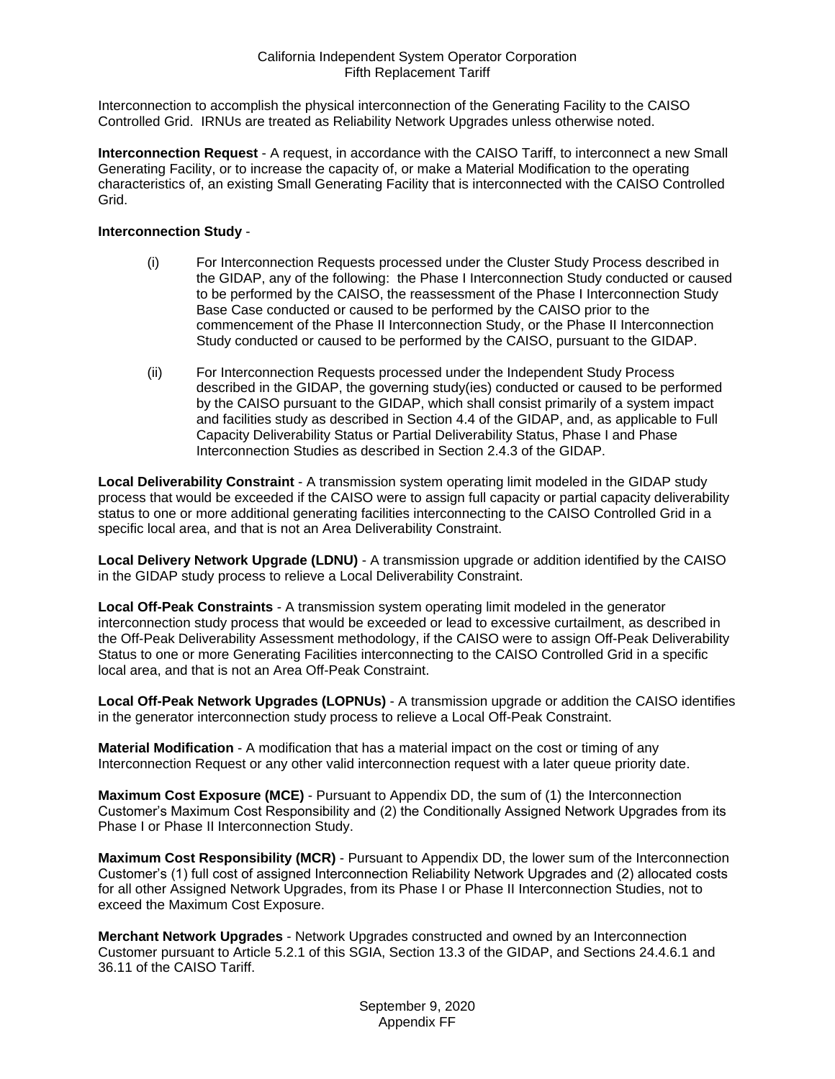Interconnection to accomplish the physical interconnection of the Generating Facility to the CAISO Controlled Grid. IRNUs are treated as Reliability Network Upgrades unless otherwise noted.

**Interconnection Request** - A request, in accordance with the CAISO Tariff, to interconnect a new Small Generating Facility, or to increase the capacity of, or make a Material Modification to the operating characteristics of, an existing Small Generating Facility that is interconnected with the CAISO Controlled Grid.

## **Interconnection Study** -

- (i) For Interconnection Requests processed under the Cluster Study Process described in the GIDAP, any of the following: the Phase I Interconnection Study conducted or caused to be performed by the CAISO, the reassessment of the Phase I Interconnection Study Base Case conducted or caused to be performed by the CAISO prior to the commencement of the Phase II Interconnection Study, or the Phase II Interconnection Study conducted or caused to be performed by the CAISO, pursuant to the GIDAP.
- (ii) For Interconnection Requests processed under the Independent Study Process described in the GIDAP, the governing study(ies) conducted or caused to be performed by the CAISO pursuant to the GIDAP, which shall consist primarily of a system impact and facilities study as described in Section 4.4 of the GIDAP, and, as applicable to Full Capacity Deliverability Status or Partial Deliverability Status, Phase I and Phase Interconnection Studies as described in Section 2.4.3 of the GIDAP.

**Local Deliverability Constraint** - A transmission system operating limit modeled in the GIDAP study process that would be exceeded if the CAISO were to assign full capacity or partial capacity deliverability status to one or more additional generating facilities interconnecting to the CAISO Controlled Grid in a specific local area, and that is not an Area Deliverability Constraint.

**Local Delivery Network Upgrade (LDNU)** - A transmission upgrade or addition identified by the CAISO in the GIDAP study process to relieve a Local Deliverability Constraint.

**Local Off-Peak Constraints** - A transmission system operating limit modeled in the generator interconnection study process that would be exceeded or lead to excessive curtailment, as described in the Off-Peak Deliverability Assessment methodology, if the CAISO were to assign Off-Peak Deliverability Status to one or more Generating Facilities interconnecting to the CAISO Controlled Grid in a specific local area, and that is not an Area Off-Peak Constraint.

**Local Off-Peak Network Upgrades (LOPNUs)** - A transmission upgrade or addition the CAISO identifies in the generator interconnection study process to relieve a Local Off-Peak Constraint.

**Material Modification** - A modification that has a material impact on the cost or timing of any Interconnection Request or any other valid interconnection request with a later queue priority date.

**Maximum Cost Exposure (MCE)** - Pursuant to Appendix DD, the sum of (1) the Interconnection Customer's Maximum Cost Responsibility and (2) the Conditionally Assigned Network Upgrades from its Phase I or Phase II Interconnection Study.

**Maximum Cost Responsibility (MCR)** - Pursuant to Appendix DD, the lower sum of the Interconnection Customer's (1) full cost of assigned Interconnection Reliability Network Upgrades and (2) allocated costs for all other Assigned Network Upgrades, from its Phase I or Phase II Interconnection Studies, not to exceed the Maximum Cost Exposure.

**Merchant Network Upgrades** - Network Upgrades constructed and owned by an Interconnection Customer pursuant to Article 5.2.1 of this SGIA, Section 13.3 of the GIDAP, and Sections 24.4.6.1 and 36.11 of the CAISO Tariff.

> September 9, 2020 Appendix FF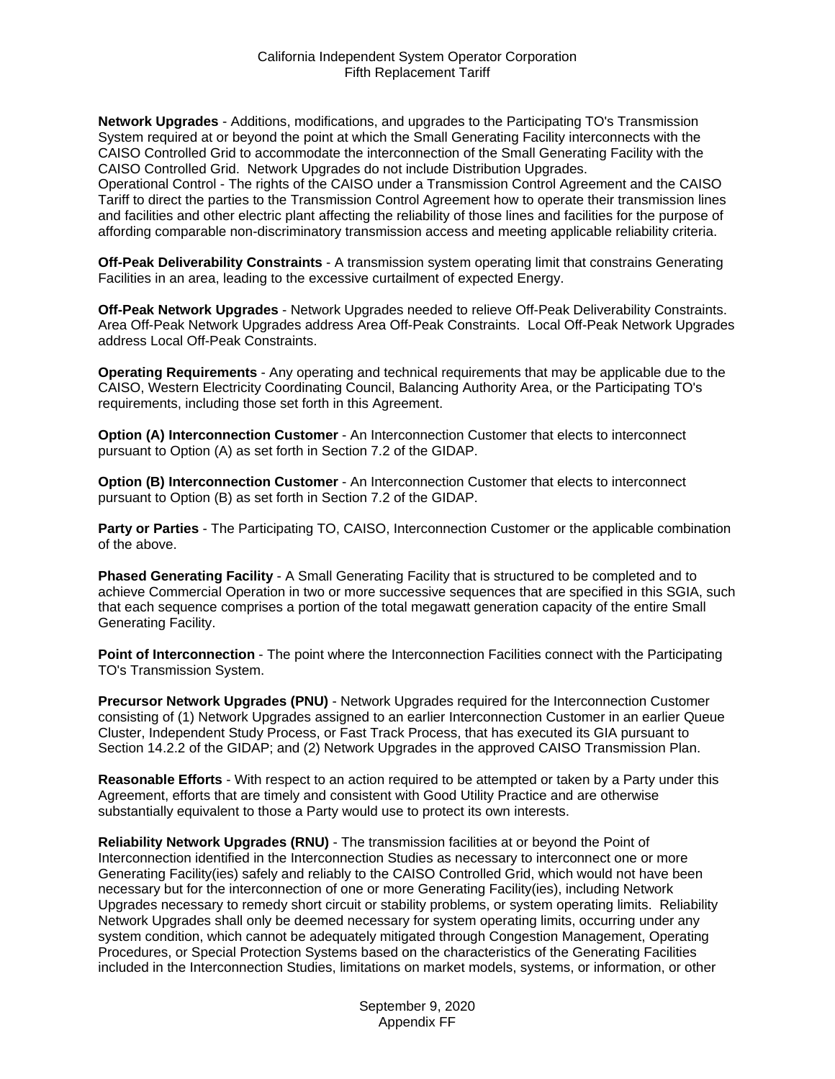**Network Upgrades** - Additions, modifications, and upgrades to the Participating TO's Transmission System required at or beyond the point at which the Small Generating Facility interconnects with the CAISO Controlled Grid to accommodate the interconnection of the Small Generating Facility with the CAISO Controlled Grid. Network Upgrades do not include Distribution Upgrades.

Operational Control - The rights of the CAISO under a Transmission Control Agreement and the CAISO Tariff to direct the parties to the Transmission Control Agreement how to operate their transmission lines and facilities and other electric plant affecting the reliability of those lines and facilities for the purpose of affording comparable non-discriminatory transmission access and meeting applicable reliability criteria.

**Off-Peak Deliverability Constraints** - A transmission system operating limit that constrains Generating Facilities in an area, leading to the excessive curtailment of expected Energy.

**Off-Peak Network Upgrades** - Network Upgrades needed to relieve Off-Peak Deliverability Constraints. Area Off-Peak Network Upgrades address Area Off-Peak Constraints. Local Off-Peak Network Upgrades address Local Off-Peak Constraints.

**Operating Requirements** - Any operating and technical requirements that may be applicable due to the CAISO, Western Electricity Coordinating Council, Balancing Authority Area, or the Participating TO's requirements, including those set forth in this Agreement.

**Option (A) Interconnection Customer** - An Interconnection Customer that elects to interconnect pursuant to Option (A) as set forth in Section 7.2 of the GIDAP.

**Option (B) Interconnection Customer** - An Interconnection Customer that elects to interconnect pursuant to Option (B) as set forth in Section 7.2 of the GIDAP.

**Party or Parties** - The Participating TO, CAISO, Interconnection Customer or the applicable combination of the above.

**Phased Generating Facility** - A Small Generating Facility that is structured to be completed and to achieve Commercial Operation in two or more successive sequences that are specified in this SGIA, such that each sequence comprises a portion of the total megawatt generation capacity of the entire Small Generating Facility.

**Point of Interconnection** - The point where the Interconnection Facilities connect with the Participating TO's Transmission System.

**Precursor Network Upgrades (PNU)** - Network Upgrades required for the Interconnection Customer consisting of (1) Network Upgrades assigned to an earlier Interconnection Customer in an earlier Queue Cluster, Independent Study Process, or Fast Track Process, that has executed its GIA pursuant to Section 14.2.2 of the GIDAP; and (2) Network Upgrades in the approved CAISO Transmission Plan.

**Reasonable Efforts** - With respect to an action required to be attempted or taken by a Party under this Agreement, efforts that are timely and consistent with Good Utility Practice and are otherwise substantially equivalent to those a Party would use to protect its own interests.

**Reliability Network Upgrades (RNU)** - The transmission facilities at or beyond the Point of Interconnection identified in the Interconnection Studies as necessary to interconnect one or more Generating Facility(ies) safely and reliably to the CAISO Controlled Grid, which would not have been necessary but for the interconnection of one or more Generating Facility(ies), including Network Upgrades necessary to remedy short circuit or stability problems, or system operating limits. Reliability Network Upgrades shall only be deemed necessary for system operating limits, occurring under any system condition, which cannot be adequately mitigated through Congestion Management, Operating Procedures, or Special Protection Systems based on the characteristics of the Generating Facilities included in the Interconnection Studies, limitations on market models, systems, or information, or other

> September 9, 2020 Appendix FF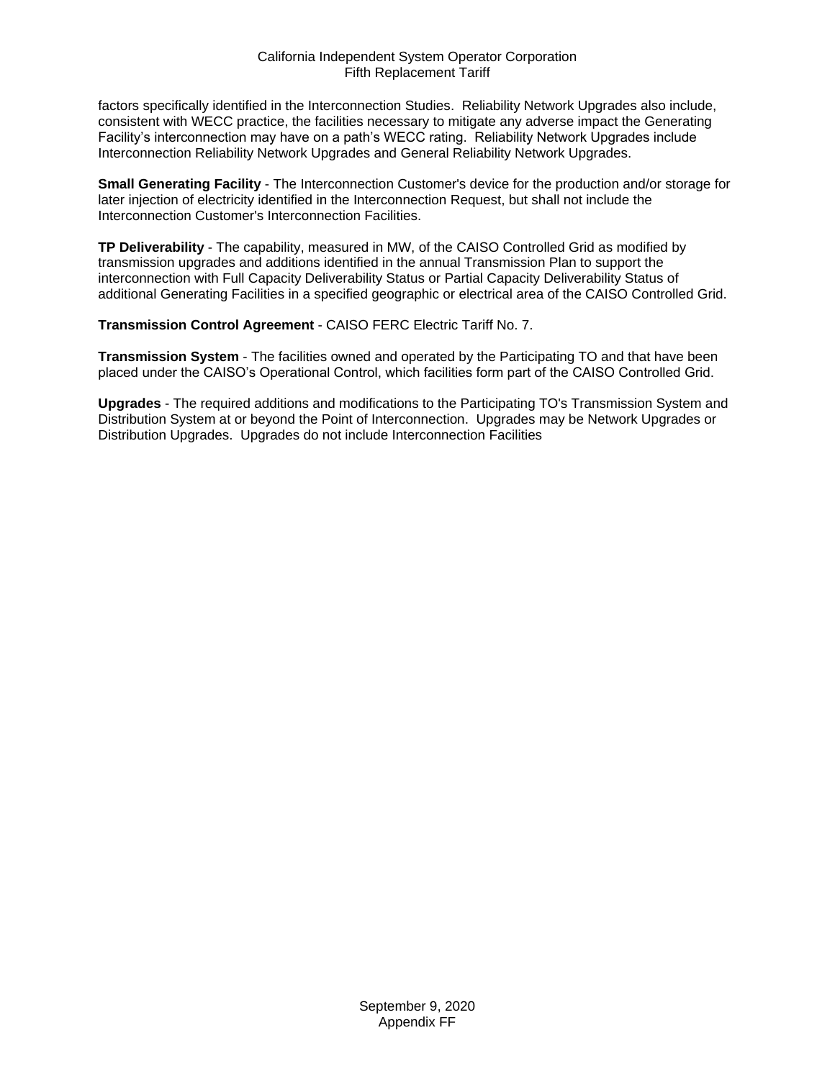factors specifically identified in the Interconnection Studies. Reliability Network Upgrades also include, consistent with WECC practice, the facilities necessary to mitigate any adverse impact the Generating Facility's interconnection may have on a path's WECC rating. Reliability Network Upgrades include Interconnection Reliability Network Upgrades and General Reliability Network Upgrades.

**Small Generating Facility** - The Interconnection Customer's device for the production and/or storage for later injection of electricity identified in the Interconnection Request, but shall not include the Interconnection Customer's Interconnection Facilities.

**TP Deliverability** - The capability, measured in MW, of the CAISO Controlled Grid as modified by transmission upgrades and additions identified in the annual Transmission Plan to support the interconnection with Full Capacity Deliverability Status or Partial Capacity Deliverability Status of additional Generating Facilities in a specified geographic or electrical area of the CAISO Controlled Grid.

**Transmission Control Agreement** - CAISO FERC Electric Tariff No. 7.

**Transmission System** - The facilities owned and operated by the Participating TO and that have been placed under the CAISO's Operational Control, which facilities form part of the CAISO Controlled Grid.

**Upgrades** - The required additions and modifications to the Participating TO's Transmission System and Distribution System at or beyond the Point of Interconnection. Upgrades may be Network Upgrades or Distribution Upgrades. Upgrades do not include Interconnection Facilities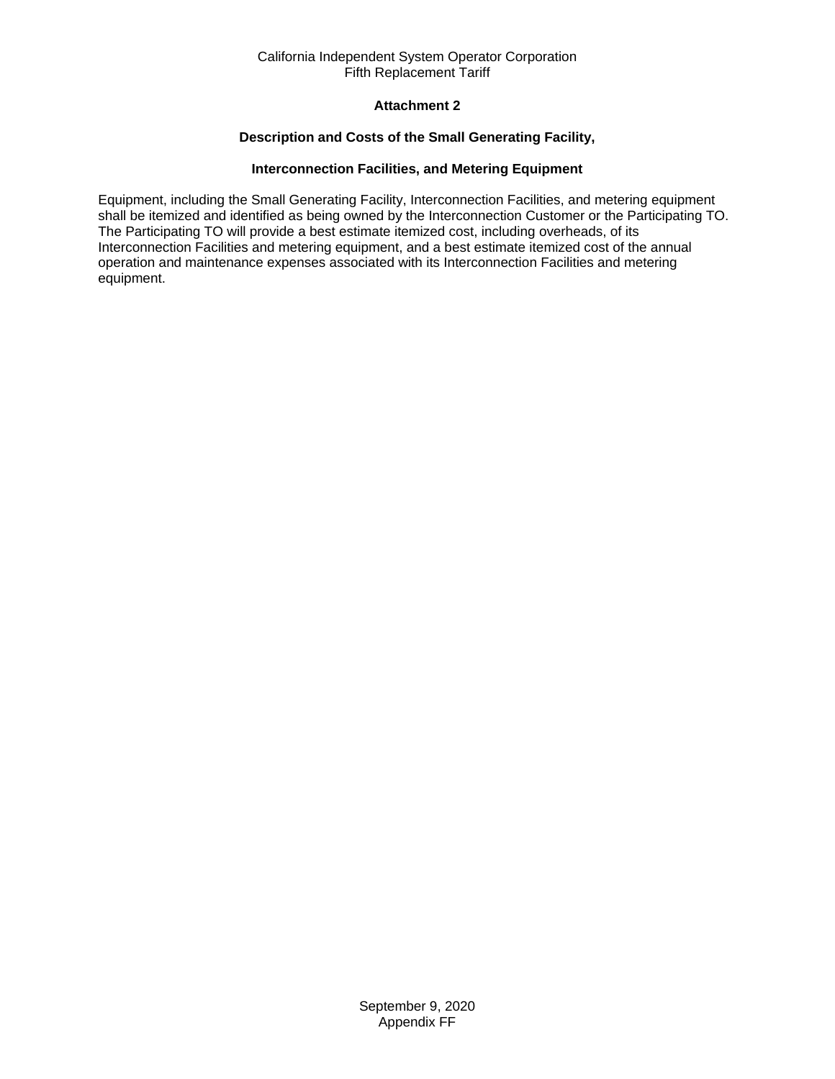# **Attachment 2**

## **Description and Costs of the Small Generating Facility,**

## **Interconnection Facilities, and Metering Equipment**

<span id="page-36-0"></span>Equipment, including the Small Generating Facility, Interconnection Facilities, and metering equipment shall be itemized and identified as being owned by the Interconnection Customer or the Participating TO. The Participating TO will provide a best estimate itemized cost, including overheads, of its Interconnection Facilities and metering equipment, and a best estimate itemized cost of the annual operation and maintenance expenses associated with its Interconnection Facilities and metering equipment.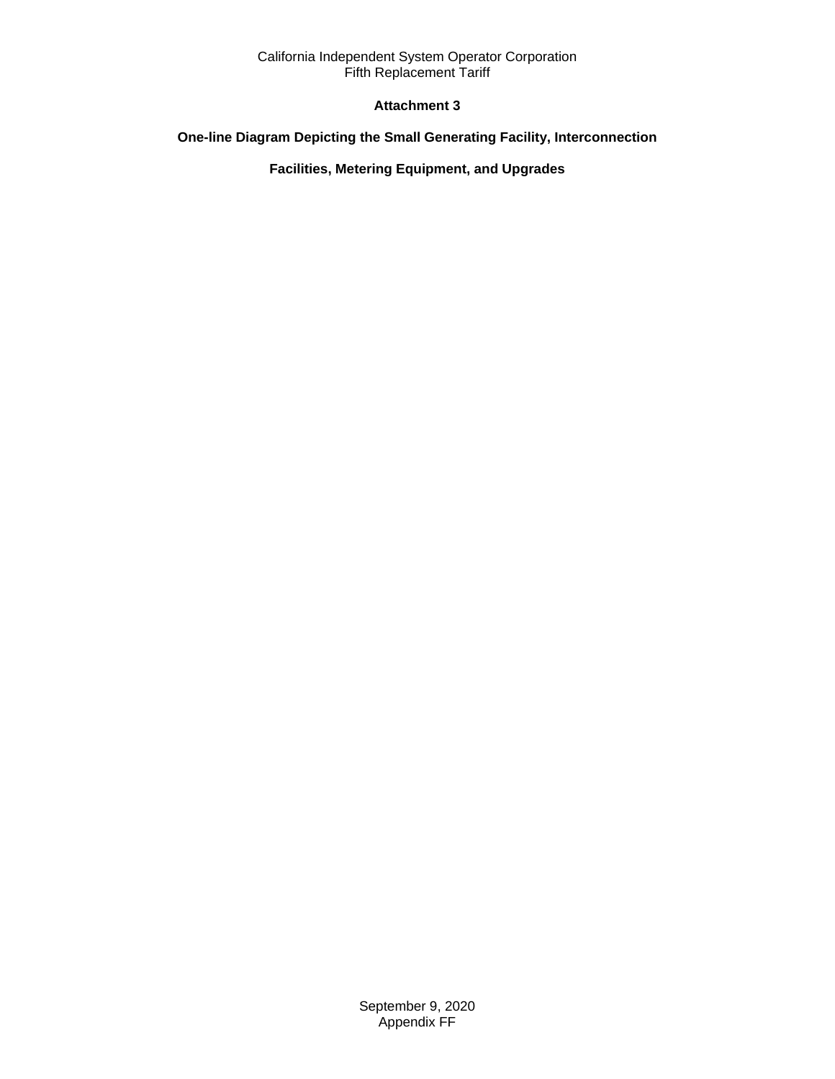# **Attachment 3**

# <span id="page-37-0"></span>**One-line Diagram Depicting the Small Generating Facility, Interconnection**

**Facilities, Metering Equipment, and Upgrades**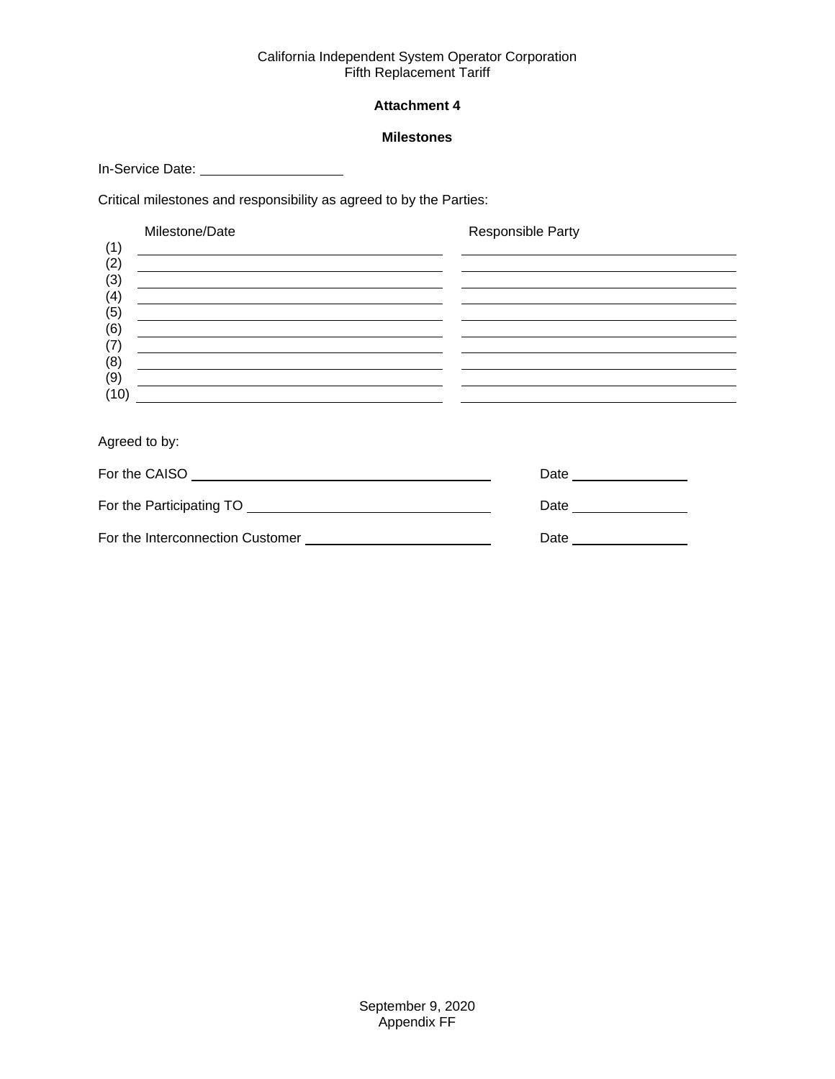# **Attachment 4**

## **Milestones**

<span id="page-38-0"></span>In-Service Date: \_\_\_\_\_\_\_\_\_\_\_\_\_\_\_\_\_\_\_\_\_\_\_

Critical milestones and responsibility as agreed to by the Parties:

|             | Milestone/Date                                                                                                                                                                                                                       | Responsible Party |
|-------------|--------------------------------------------------------------------------------------------------------------------------------------------------------------------------------------------------------------------------------------|-------------------|
| (1)         | <u> 1989 - John Stein, september 1989 - John Stein, september 1989 - John Stein, september 1989 - John Stein, sep</u>                                                                                                                |                   |
| (2)         | <u>and the state of the state of the state of the state of the state of the state of the state of the state of the state of the state of the state of the state of the state of the state of the state of the state of the state</u> |                   |
| (3)<br>(4)  | the control of the control of the control of the control of the control of the control of the control of the control of the control of the control of the control of the control of the control of the control of the control        |                   |
| (5)         | <u> 1989 - Johann Barn, fransk politik (f. 1989)</u>                                                                                                                                                                                 |                   |
| (6)         |                                                                                                                                                                                                                                      |                   |
| (7)         |                                                                                                                                                                                                                                      |                   |
| (8)         |                                                                                                                                                                                                                                      |                   |
| (9)<br>(10) |                                                                                                                                                                                                                                      |                   |
|             |                                                                                                                                                                                                                                      |                   |
|             |                                                                                                                                                                                                                                      |                   |

Agreed to by:

| For the CAISO                    | Date |
|----------------------------------|------|
| For the Participating TO         | Date |
| For the Interconnection Customer | Date |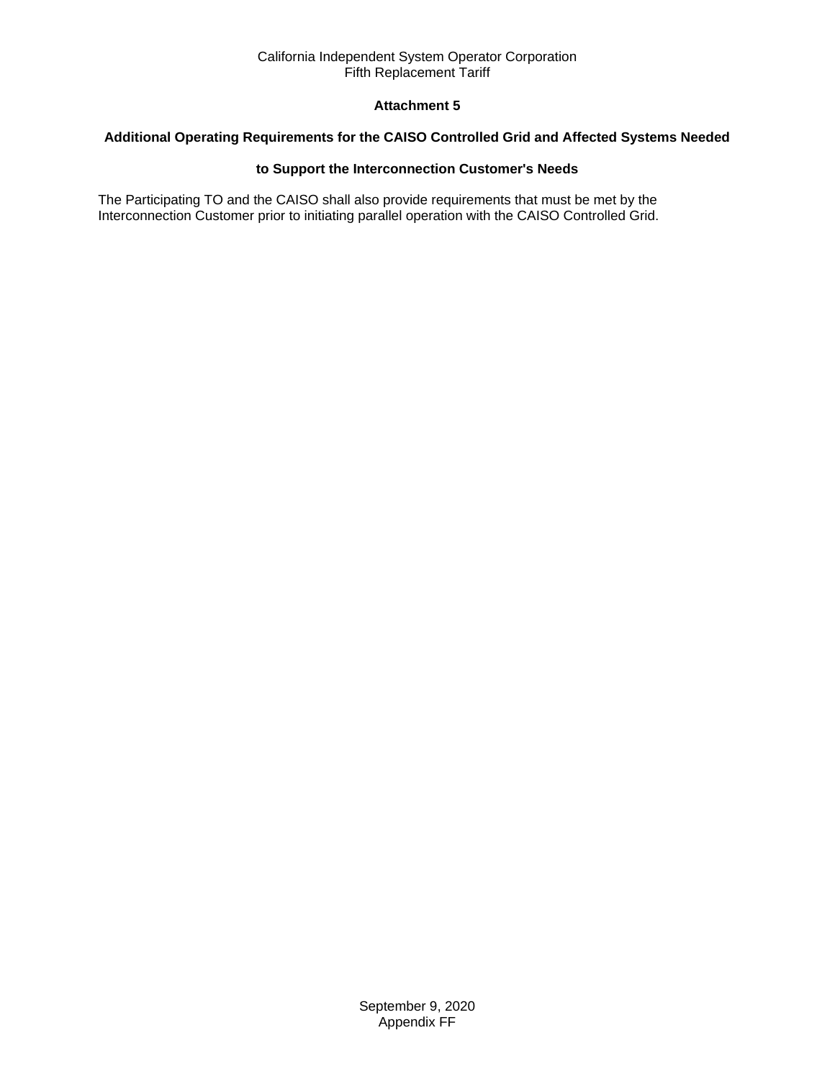# **Attachment 5**

## <span id="page-39-0"></span>**Additional Operating Requirements for the CAISO Controlled Grid and Affected Systems Needed**

## **to Support the Interconnection Customer's Needs**

The Participating TO and the CAISO shall also provide requirements that must be met by the Interconnection Customer prior to initiating parallel operation with the CAISO Controlled Grid.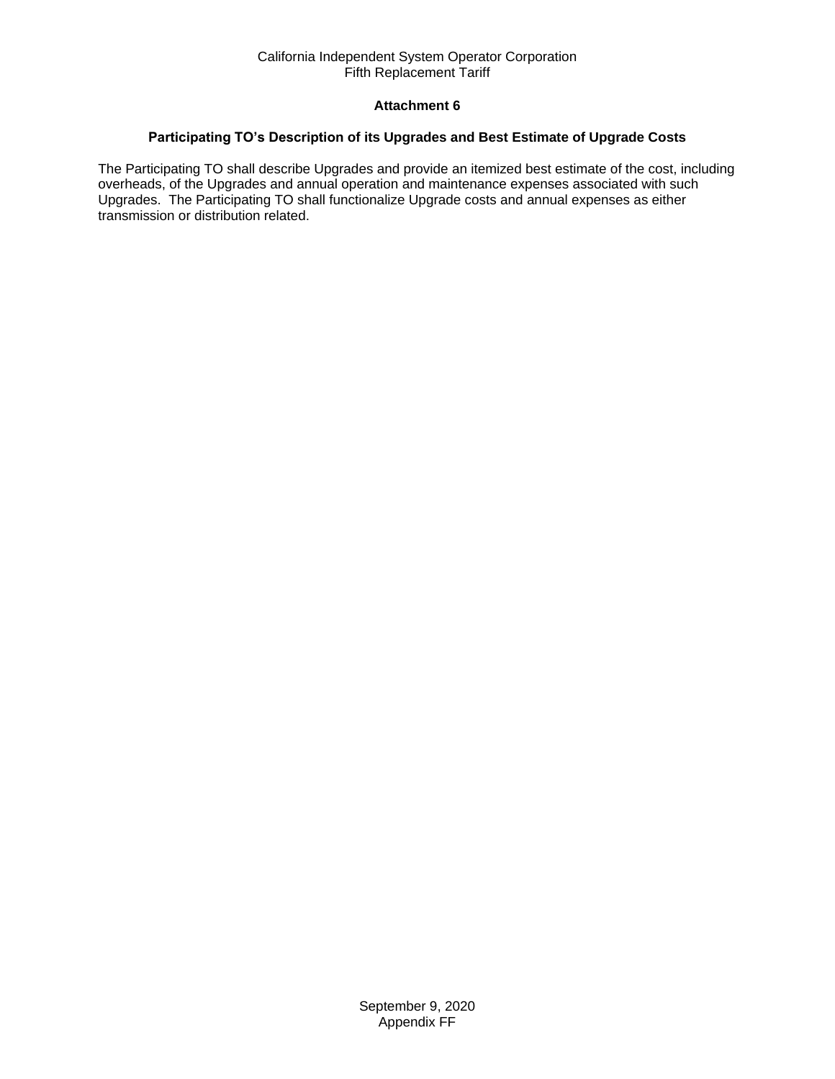# **Attachment 6**

## <span id="page-40-0"></span>**Participating TO's Description of its Upgrades and Best Estimate of Upgrade Costs**

The Participating TO shall describe Upgrades and provide an itemized best estimate of the cost, including overheads, of the Upgrades and annual operation and maintenance expenses associated with such Upgrades. The Participating TO shall functionalize Upgrade costs and annual expenses as either transmission or distribution related.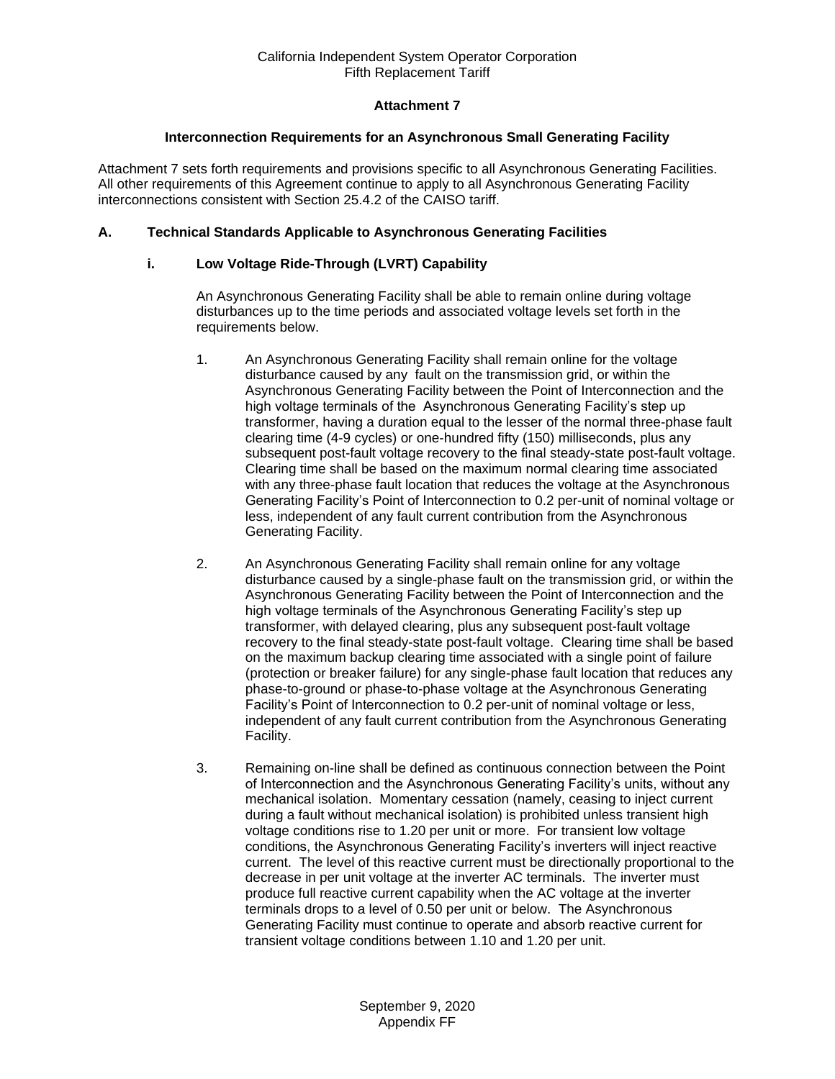# **Attachment 7**

## **Interconnection Requirements for an Asynchronous Small Generating Facility**

<span id="page-41-0"></span>Attachment 7 sets forth requirements and provisions specific to all Asynchronous Generating Facilities. All other requirements of this Agreement continue to apply to all Asynchronous Generating Facility interconnections consistent with Section 25.4.2 of the CAISO tariff.

## **A. Technical Standards Applicable to Asynchronous Generating Facilities**

## **i. Low Voltage Ride-Through (LVRT) Capability**

An Asynchronous Generating Facility shall be able to remain online during voltage disturbances up to the time periods and associated voltage levels set forth in the requirements below.

- 1. An Asynchronous Generating Facility shall remain online for the voltage disturbance caused by any fault on the transmission grid, or within the Asynchronous Generating Facility between the Point of Interconnection and the high voltage terminals of the Asynchronous Generating Facility's step up transformer, having a duration equal to the lesser of the normal three-phase fault clearing time (4-9 cycles) or one-hundred fifty (150) milliseconds, plus any subsequent post-fault voltage recovery to the final steady-state post-fault voltage. Clearing time shall be based on the maximum normal clearing time associated with any three-phase fault location that reduces the voltage at the Asynchronous Generating Facility's Point of Interconnection to 0.2 per-unit of nominal voltage or less, independent of any fault current contribution from the Asynchronous Generating Facility.
- 2. An Asynchronous Generating Facility shall remain online for any voltage disturbance caused by a single-phase fault on the transmission grid, or within the Asynchronous Generating Facility between the Point of Interconnection and the high voltage terminals of the Asynchronous Generating Facility's step up transformer, with delayed clearing, plus any subsequent post-fault voltage recovery to the final steady-state post-fault voltage. Clearing time shall be based on the maximum backup clearing time associated with a single point of failure (protection or breaker failure) for any single-phase fault location that reduces any phase-to-ground or phase-to-phase voltage at the Asynchronous Generating Facility's Point of Interconnection to 0.2 per-unit of nominal voltage or less, independent of any fault current contribution from the Asynchronous Generating Facility.
- 3. Remaining on-line shall be defined as continuous connection between the Point of Interconnection and the Asynchronous Generating Facility's units, without any mechanical isolation. Momentary cessation (namely, ceasing to inject current during a fault without mechanical isolation) is prohibited unless transient high voltage conditions rise to 1.20 per unit or more. For transient low voltage conditions, the Asynchronous Generating Facility's inverters will inject reactive current. The level of this reactive current must be directionally proportional to the decrease in per unit voltage at the inverter AC terminals. The inverter must produce full reactive current capability when the AC voltage at the inverter terminals drops to a level of 0.50 per unit or below. The Asynchronous Generating Facility must continue to operate and absorb reactive current for transient voltage conditions between 1.10 and 1.20 per unit.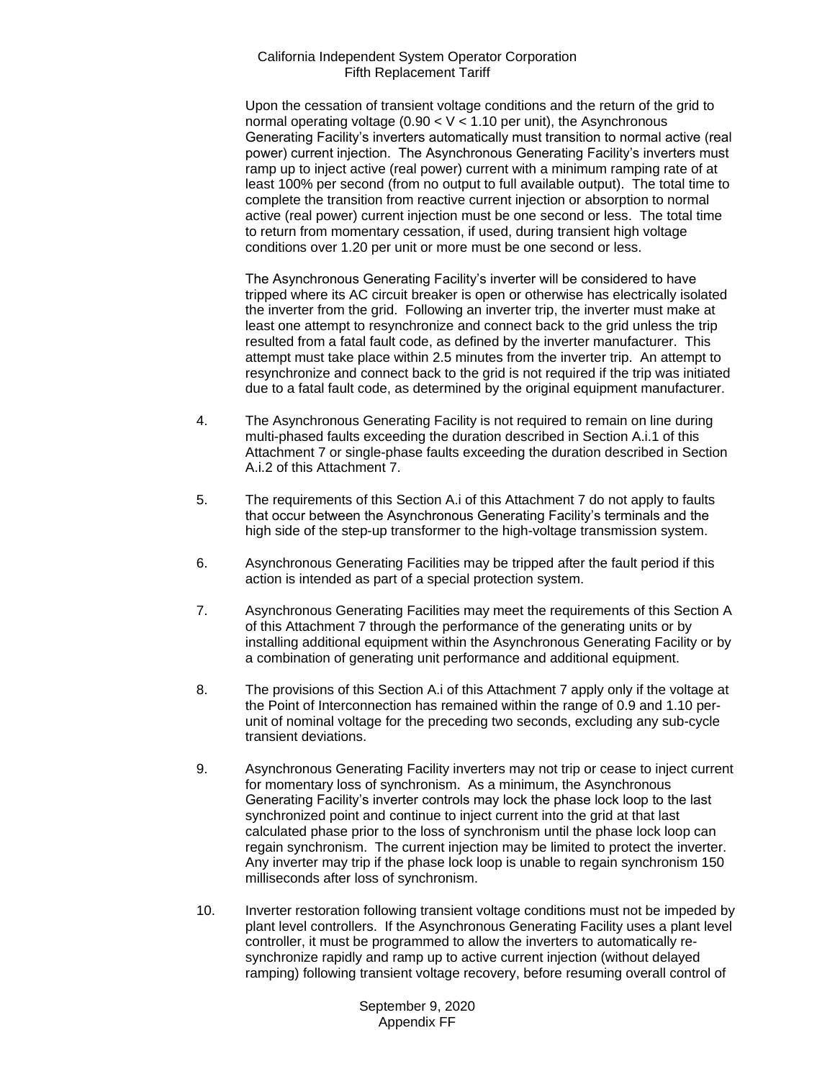Upon the cessation of transient voltage conditions and the return of the grid to normal operating voltage (0.90  $<$  V  $<$  1.10 per unit), the Asynchronous Generating Facility's inverters automatically must transition to normal active (real power) current injection. The Asynchronous Generating Facility's inverters must ramp up to inject active (real power) current with a minimum ramping rate of at least 100% per second (from no output to full available output). The total time to complete the transition from reactive current injection or absorption to normal active (real power) current injection must be one second or less. The total time to return from momentary cessation, if used, during transient high voltage conditions over 1.20 per unit or more must be one second or less.

The Asynchronous Generating Facility's inverter will be considered to have tripped where its AC circuit breaker is open or otherwise has electrically isolated the inverter from the grid. Following an inverter trip, the inverter must make at least one attempt to resynchronize and connect back to the grid unless the trip resulted from a fatal fault code, as defined by the inverter manufacturer. This attempt must take place within 2.5 minutes from the inverter trip. An attempt to resynchronize and connect back to the grid is not required if the trip was initiated due to a fatal fault code, as determined by the original equipment manufacturer.

- 4. The Asynchronous Generating Facility is not required to remain on line during multi-phased faults exceeding the duration described in Section A.i.1 of this Attachment 7 or single-phase faults exceeding the duration described in Section A.i.2 of this Attachment 7.
- 5. The requirements of this Section A.i of this Attachment 7 do not apply to faults that occur between the Asynchronous Generating Facility's terminals and the high side of the step-up transformer to the high-voltage transmission system.
- 6. Asynchronous Generating Facilities may be tripped after the fault period if this action is intended as part of a special protection system.
- 7. Asynchronous Generating Facilities may meet the requirements of this Section A of this Attachment 7 through the performance of the generating units or by installing additional equipment within the Asynchronous Generating Facility or by a combination of generating unit performance and additional equipment.
- 8. The provisions of this Section A.i of this Attachment 7 apply only if the voltage at the Point of Interconnection has remained within the range of 0.9 and 1.10 perunit of nominal voltage for the preceding two seconds, excluding any sub-cycle transient deviations.
- 9. Asynchronous Generating Facility inverters may not trip or cease to inject current for momentary loss of synchronism. As a minimum, the Asynchronous Generating Facility's inverter controls may lock the phase lock loop to the last synchronized point and continue to inject current into the grid at that last calculated phase prior to the loss of synchronism until the phase lock loop can regain synchronism. The current injection may be limited to protect the inverter. Any inverter may trip if the phase lock loop is unable to regain synchronism 150 milliseconds after loss of synchronism.
- 10. Inverter restoration following transient voltage conditions must not be impeded by plant level controllers. If the Asynchronous Generating Facility uses a plant level controller, it must be programmed to allow the inverters to automatically resynchronize rapidly and ramp up to active current injection (without delayed ramping) following transient voltage recovery, before resuming overall control of